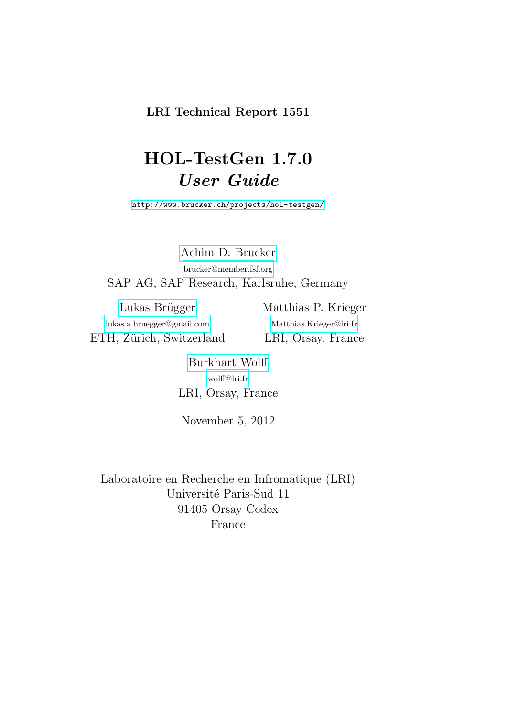## LRI Technical Report 1551

# HOL-TestGen 1.7.0 User Guide

<http://www.brucker.ch/projects/hol-testgen/>

[Achim D. Brucker](http://www.brucker.ch/) [brucker@member.fsf.org](mailto:brucker@member.fsf.org) SAP AG, SAP Research, Karlsruhe, Germany

Lukas Brügger [lukas.a.bruegger@gmail.com](mailto:lukas.a.bruegger@gmail.com) ETH, Zürich, Switzerland Matthias P. Krieger [Matthias.Krieger@lri.fr](mailto:Matthias.Krieger@lri.fr) LRI, Orsay, France

[Burkhart Wolff](http://www.infsec.ethz.ch/~wolff/) [wolff@lri.fr](mailto:wolff@lri.fr) LRI, Orsay, France

November 5, 2012

Laboratoire en Recherche en Infromatique (LRI) Université Paris-Sud 11 91405 Orsay Cedex France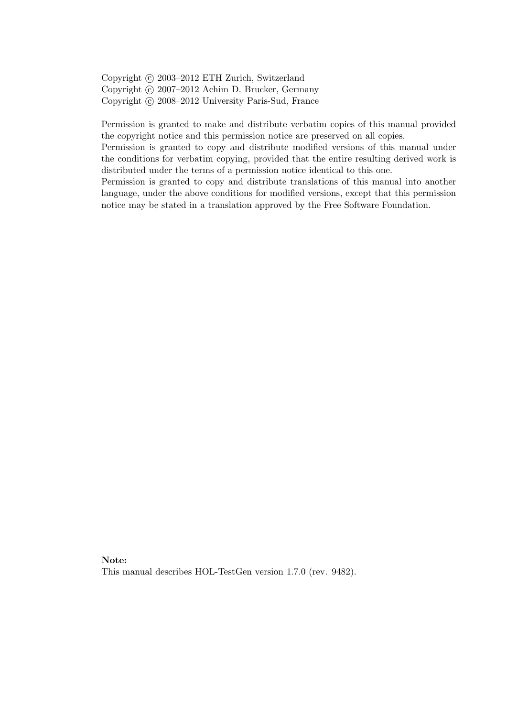Copyright (c) 2003–2012 ETH Zurich, Switzerland Copyright (c) 2007–2012 Achim D. Brucker, Germany Copyright © 2008-2012 University Paris-Sud, France

Permission is granted to make and distribute verbatim copies of this manual provided the copyright notice and this permission notice are preserved on all copies.

Permission is granted to copy and distribute modified versions of this manual under the conditions for verbatim copying, provided that the entire resulting derived work is distributed under the terms of a permission notice identical to this one.

Permission is granted to copy and distribute translations of this manual into another language, under the above conditions for modified versions, except that this permission notice may be stated in a translation approved by the Free Software Foundation.

#### Note:

This manual describes HOL-TestGen version 1.7.0 (rev. 9482).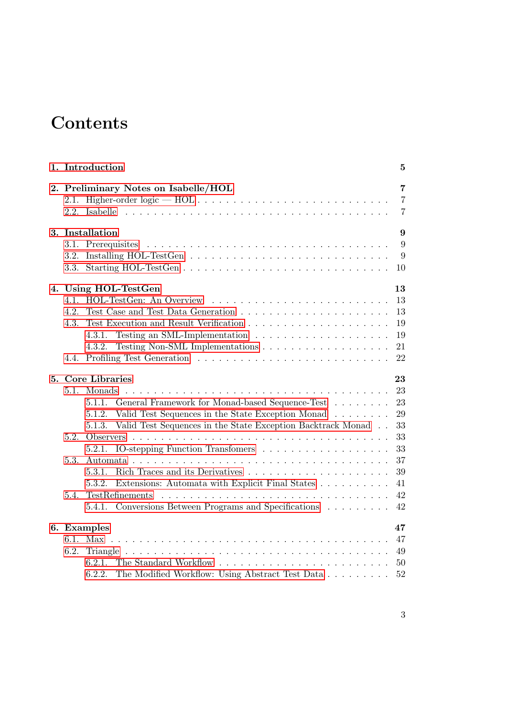# **Contents**

|  | 1. Introduction         | 5                                                                                                                                                              |                                                    |  |  |  |
|--|-------------------------|----------------------------------------------------------------------------------------------------------------------------------------------------------------|----------------------------------------------------|--|--|--|
|  |                         | 2. Preliminary Notes on Isabelle/HOL<br>2.1. Higher-order $\text{logic} \rightarrow \text{HOL} \ldots \ldots \ldots \ldots \ldots \ldots \ldots \ldots \ldots$ | $\overline{7}$<br>$\overline{7}$<br>$\overline{7}$ |  |  |  |
|  |                         | 3. Installation                                                                                                                                                | 9                                                  |  |  |  |
|  |                         |                                                                                                                                                                | 9                                                  |  |  |  |
|  | 3.2.                    |                                                                                                                                                                | 9                                                  |  |  |  |
|  |                         |                                                                                                                                                                | 10                                                 |  |  |  |
|  |                         | 4. Using HOL-TestGen                                                                                                                                           | 13                                                 |  |  |  |
|  | 41                      |                                                                                                                                                                | 13                                                 |  |  |  |
|  | 4.2.                    |                                                                                                                                                                | 13                                                 |  |  |  |
|  | 4.3.                    |                                                                                                                                                                | 19                                                 |  |  |  |
|  |                         | Testing an SML-Implementation $\dots \dots \dots \dots \dots \dots \dots$<br>4.3.1.                                                                            | 19                                                 |  |  |  |
|  |                         | 4.3.2.                                                                                                                                                         | 21                                                 |  |  |  |
|  | 4.4.                    |                                                                                                                                                                | 22                                                 |  |  |  |
|  | 5. Core Libraries<br>23 |                                                                                                                                                                |                                                    |  |  |  |
|  | 5.1.                    |                                                                                                                                                                | 23                                                 |  |  |  |
|  |                         | General Framework for Monad-based Sequence-Test<br>5.1.1.                                                                                                      | 23                                                 |  |  |  |
|  |                         | 5.1.2. Valid Test Sequences in the State Exception Monad                                                                                                       | 29                                                 |  |  |  |
|  |                         | 5.1.3. Valid Test Sequences in the State Exception Backtrack Monad                                                                                             | 33                                                 |  |  |  |
|  | 5.2.                    |                                                                                                                                                                | 33                                                 |  |  |  |
|  |                         | 5.2.1.                                                                                                                                                         | 33                                                 |  |  |  |
|  | 5.3.                    |                                                                                                                                                                | 37                                                 |  |  |  |
|  |                         | 5.3.1.                                                                                                                                                         | 39                                                 |  |  |  |
|  |                         | Extensions: Automata with Explicit Final States<br>5.3.2.                                                                                                      | 41                                                 |  |  |  |
|  | 5.4.                    | TestRefinements                                                                                                                                                | 42                                                 |  |  |  |
|  |                         | 5.4.1. Conversions Between Programs and Specifications                                                                                                         | 42                                                 |  |  |  |
|  |                         | 6. Examples                                                                                                                                                    | 47                                                 |  |  |  |
|  |                         |                                                                                                                                                                | 47                                                 |  |  |  |
|  | 6.2.                    |                                                                                                                                                                | 49                                                 |  |  |  |
|  |                         |                                                                                                                                                                | 50                                                 |  |  |  |
|  |                         | The Modified Workflow: Using Abstract Test Data<br>6.2.2.                                                                                                      | 52                                                 |  |  |  |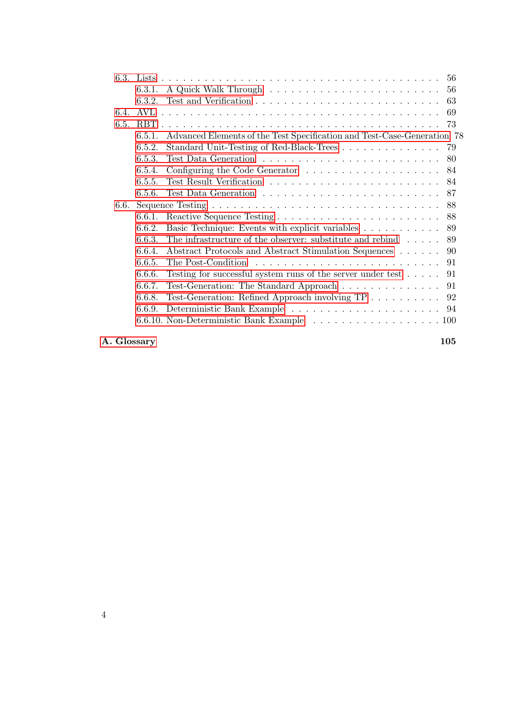|      | 6.3.1. |                                                                               |     |
|------|--------|-------------------------------------------------------------------------------|-----|
|      | 6.3.2. |                                                                               | 63  |
| 6.4. | AVL    |                                                                               |     |
| 6.5. |        |                                                                               |     |
|      | 6.5.1. | Advanced Elements of the Test Specification and Test-Case-Generation 78       |     |
|      | 6.5.2. | Standard Unit-Testing of Red-Black-Trees 79                                   |     |
|      | 6.5.3. |                                                                               | -80 |
|      | 6.5.4. | Configuring the Code Generator $\ldots \ldots \ldots \ldots \ldots \ldots 84$ |     |
|      | 6.5.5. |                                                                               |     |
|      | 6.5.6. |                                                                               |     |
| 6.6. |        |                                                                               | 88  |
|      | 6.6.1. |                                                                               |     |
|      | 6.6.2. | Basic Technique: Events with explicit variables                               | 89  |
|      | 6.6.3. | The infrastructure of the observer: substitute and rebind $\dots$ .           | 89  |
|      | 6.6.4. | Abstract Protocols and Abstract Stimulation Sequences 90                      |     |
|      | 6.6.5. |                                                                               | 91  |
|      | 6.6.6. | Testing for successful system runs of the server under test $\dots$ . 91      |     |
|      | 6.6.7. | Test-Generation: The Standard Approach 91                                     |     |
|      | 6.6.8. | Test-Generation: Refined Approach involving TP 92                             |     |
|      | 6.6.9. |                                                                               |     |
|      |        |                                                                               |     |
|      |        |                                                                               |     |

[A. Glossary](#page-104-0) 105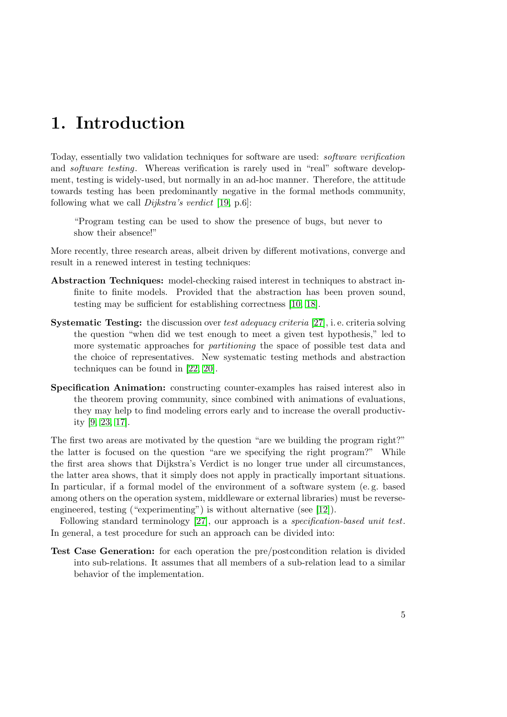## <span id="page-4-0"></span>1. Introduction

Today, essentially two validation techniques for software are used: software verification and software testing. Whereas verification is rarely used in "real" software development, testing is widely-used, but normally in an ad-hoc manner. Therefore, the attitude towards testing has been predominantly negative in the formal methods community, following what we call Dijkstra's verdict [\[19,](#page-115-0) p.6]:

"Program testing can be used to show the presence of bugs, but never to show their absence!"

More recently, three research areas, albeit driven by different motivations, converge and result in a renewed interest in testing techniques:

- Abstraction Techniques: model-checking raised interest in techniques to abstract infinite to finite models. Provided that the abstraction has been proven sound, testing may be sufficient for establishing correctness [\[10,](#page-114-0) [18\]](#page-115-1).
- Systematic Testing: the discussion over test adequacy criteria [\[27\]](#page-116-0), i.e. criteria solving the question "when did we test enough to meet a given test hypothesis," led to more systematic approaches for *partitioning* the space of possible test data and the choice of representatives. New systematic testing methods and abstraction techniques can be found in [\[22,](#page-115-2) [20\]](#page-115-3).
- Specification Animation: constructing counter-examples has raised interest also in the theorem proving community, since combined with animations of evaluations, they may help to find modeling errors early and to increase the overall productivity [\[9,](#page-114-1) [23,](#page-115-4) [17\]](#page-115-5).

The first two areas are motivated by the question "are we building the program right?" the latter is focused on the question "are we specifying the right program?" While the first area shows that Dijkstra's Verdict is no longer true under all circumstances, the latter area shows, that it simply does not apply in practically important situations. In particular, if a formal model of the environment of a software system (e. g. based among others on the operation system, middleware or external libraries) must be reverseengineered, testing ("experimenting") is without alternative (see [\[12\]](#page-114-2)).

Following standard terminology [\[27\]](#page-116-0), our approach is a specification-based unit test. In general, a test procedure for such an approach can be divided into:

Test Case Generation: for each operation the pre/postcondition relation is divided into sub-relations. It assumes that all members of a sub-relation lead to a similar behavior of the implementation.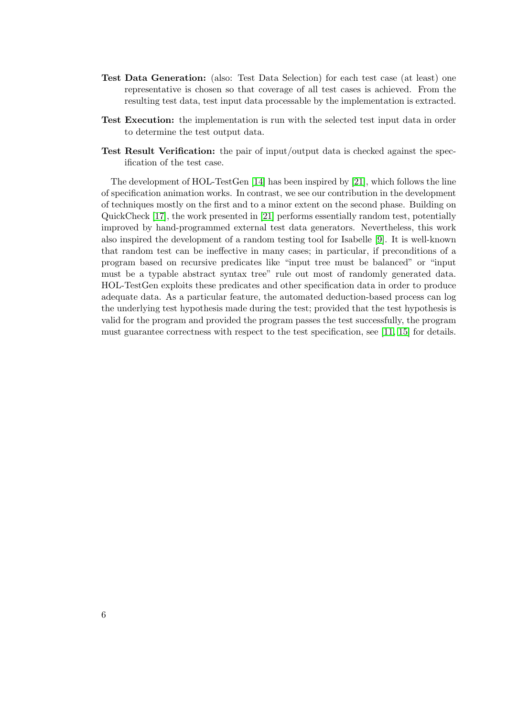- Test Data Generation: (also: Test Data Selection) for each test case (at least) one representative is chosen so that coverage of all test cases is achieved. From the resulting test data, test input data processable by the implementation is extracted.
- Test Execution: the implementation is run with the selected test input data in order to determine the test output data.
- Test Result Verification: the pair of input/output data is checked against the specification of the test case.

The development of HOL-TestGen [\[14\]](#page-115-6) has been inspired by [\[21\]](#page-115-7), which follows the line of specification animation works. In contrast, we see our contribution in the development of techniques mostly on the first and to a minor extent on the second phase. Building on QuickCheck [\[17\]](#page-115-5), the work presented in [\[21\]](#page-115-7) performs essentially random test, potentially improved by hand-programmed external test data generators. Nevertheless, this work also inspired the development of a random testing tool for Isabelle [\[9\]](#page-114-1). It is well-known that random test can be ineffective in many cases; in particular, if preconditions of a program based on recursive predicates like "input tree must be balanced" or "input must be a typable abstract syntax tree" rule out most of randomly generated data. HOL-TestGen exploits these predicates and other specification data in order to produce adequate data. As a particular feature, the automated deduction-based process can log the underlying test hypothesis made during the test; provided that the test hypothesis is valid for the program and provided the program passes the test successfully, the program must guarantee correctness with respect to the test specification, see [\[11,](#page-114-3) [15\]](#page-115-8) for details.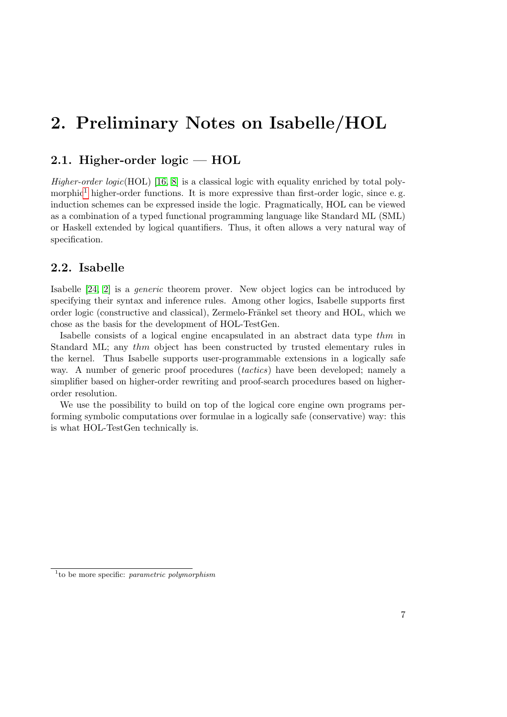## <span id="page-6-0"></span>2. Preliminary Notes on Isabelle/HOL

### <span id="page-6-1"></span>2.1. Higher-order logic — HOL

Higher-order logic(HOL) [\[16,](#page-115-9) [8\]](#page-114-4) is a classical logic with equality enriched by total poly-morphic<sup>[1](#page-6-3)</sup> higher-order functions. It is more expressive than first-order logic, since e.g. induction schemes can be expressed inside the logic. Pragmatically, HOL can be viewed as a combination of a typed functional programming language like Standard ML (SML) or Haskell extended by logical quantifiers. Thus, it often allows a very natural way of specification.

### <span id="page-6-2"></span>2.2. Isabelle

Isabelle [\[24,](#page-116-1) [2\]](#page-114-5) is a generic theorem prover. New object logics can be introduced by specifying their syntax and inference rules. Among other logics, Isabelle supports first order logic (constructive and classical), Zermelo-Fränkel set theory and HOL, which we chose as the basis for the development of HOL-TestGen.

Isabelle consists of a logical engine encapsulated in an abstract data type thm in Standard ML; any thm object has been constructed by trusted elementary rules in the kernel. Thus Isabelle supports user-programmable extensions in a logically safe way. A number of generic proof procedures *(tactics)* have been developed; namely a simplifier based on higher-order rewriting and proof-search procedures based on higherorder resolution.

We use the possibility to build on top of the logical core engine own programs performing symbolic computations over formulae in a logically safe (conservative) way: this is what HOL-TestGen technically is.

<span id="page-6-3"></span> $1$  to be more specific: parametric polymorphism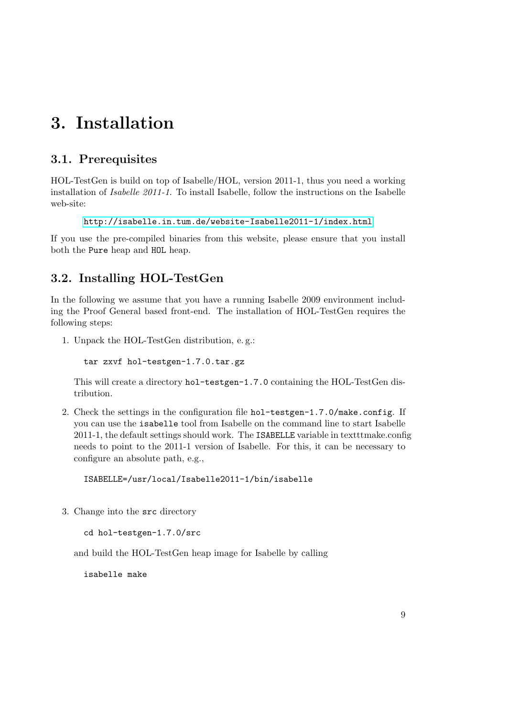## <span id="page-8-0"></span>3. Installation

## <span id="page-8-1"></span>3.1. Prerequisites

HOL-TestGen is build on top of Isabelle/HOL, version 2011-1, thus you need a working installation of Isabelle 2011-1. To install Isabelle, follow the instructions on the Isabelle web-site:

```
http://isabelle.in.tum.de/website-Isabelle2011-1/index.html
```
If you use the pre-compiled binaries from this website, please ensure that you install both the Pure heap and HOL heap.

## <span id="page-8-2"></span>3.2. Installing HOL-TestGen

In the following we assume that you have a running Isabelle 2009 environment including the Proof General based front-end. The installation of HOL-TestGen requires the following steps:

1. Unpack the HOL-TestGen distribution, e. g.:

```
tar zxvf hol-testgen-1.7.0.tar.gz
```
This will create a directory hol-testgen-1.7.0 containing the HOL-TestGen distribution.

2. Check the settings in the configuration file hol-testgen-1.7.0/make.config. If you can use the isabelle tool from Isabelle on the command line to start Isabelle 2011-1, the default settings should work. The ISABELLE variable in textttmake.config needs to point to the 2011-1 version of Isabelle. For this, it can be necessary to configure an absolute path, e.g.,

ISABELLE=/usr/local/Isabelle2011-1/bin/isabelle

3. Change into the src directory

cd hol-testgen-1.7.0/src

and build the HOL-TestGen heap image for Isabelle by calling

isabelle make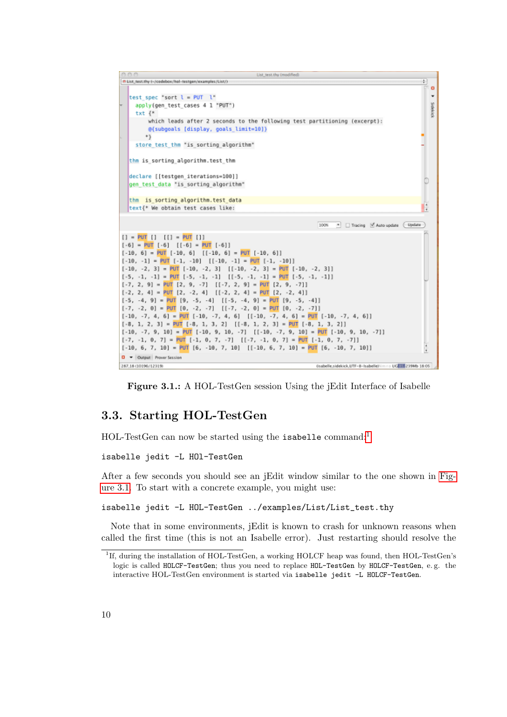

<span id="page-9-2"></span>Figure 3.1.: A HOL-TestGen session Using the jEdit Interface of Isabelle

### <span id="page-9-0"></span>3.3. Starting HOL-TestGen

 $HOL-TestGen$  can now be started using the isabelle command:<sup>[1](#page-9-1)</sup>

isabelle jedit -L HOl-TestGen

After a few seconds you should see an jEdit window similar to the one shown in [Fig](#page-9-2)[ure 3.1.](#page-9-2) To start with a concrete example, you might use:

isabelle jedit -L HOL-TestGen ../examples/List/List\_test.thy

Note that in some environments, jEdit is known to crash for unknown reasons when called the first time (this is not an Isabelle error). Just restarting should resolve the

<span id="page-9-1"></span><sup>1</sup> If, during the installation of HOL-TestGen, a working HOLCF heap was found, then HOL-TestGen's logic is called HOLCF-TestGen; thus you need to replace HOL-TestGen by HOLCF-TestGen, e.g. the interactive HOL-TestGen environment is started via isabelle jedit -L HOLCF-TestGen.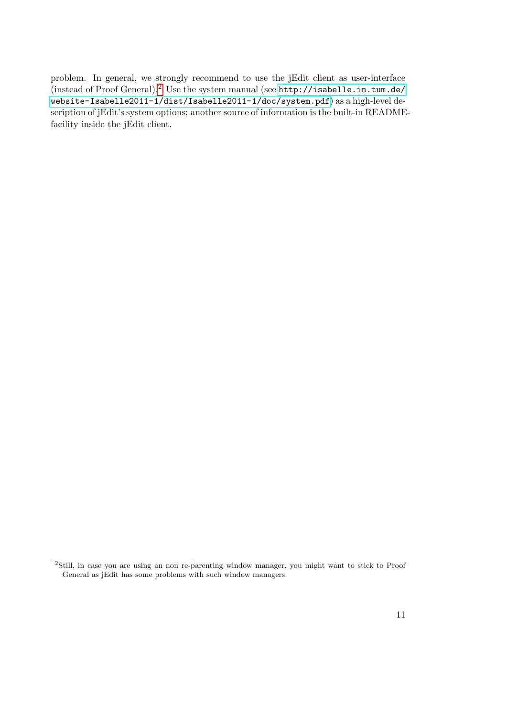problem. In general, we strongly recommend to use the jEdit client as user-interface (instead of Proof General).[2](#page-10-0) Use the system manual (see [http://isabelle.in.tum.de/](http://isabelle.in.tum.de/website-Isabelle2011-1/dist/Isabelle2011-1/doc/system.pdf) [website-Isabelle2011-1/dist/Isabelle2011-1/doc/system.pdf](http://isabelle.in.tum.de/website-Isabelle2011-1/dist/Isabelle2011-1/doc/system.pdf)) as a high-level description of jEdit's system options; another source of information is the built-in READMEfacility inside the jEdit client.

<span id="page-10-0"></span><sup>&</sup>lt;sup>2</sup>Still, in case you are using an non re-parenting window manager, you might want to stick to Proof General as jEdit has some problems with such window managers.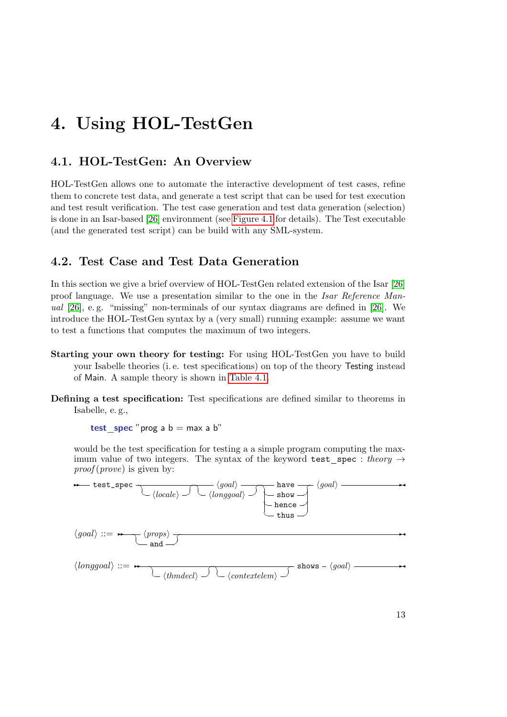## <span id="page-12-0"></span>4. Using HOL-TestGen

## <span id="page-12-1"></span>4.1. HOL-TestGen: An Overview

HOL-TestGen allows one to automate the interactive development of test cases, refine them to concrete test data, and generate a test script that can be used for test execution and test result verification. The test case generation and test data generation (selection) is done in an Isar-based [\[26\]](#page-116-2) environment (see [Figure 4.1](#page-13-0) for details). The Test executable (and the generated test script) can be build with any SML-system.

## <span id="page-12-2"></span>4.2. Test Case and Test Data Generation

In this section we give a brief overview of HOL-TestGen related extension of the Isar [\[26\]](#page-116-2) proof language. We use a presentation similar to the one in the Isar Reference Manual [\[26\]](#page-116-2), e. g. "missing" non-terminals of our syntax diagrams are defined in [\[26\]](#page-116-2). We introduce the HOL-TestGen syntax by a (very small) running example: assume we want to test a functions that computes the maximum of two integers.

- Starting your own theory for testing: For using HOL-TestGen you have to build your Isabelle theories (i. e. test specifications) on top of the theory Testing instead of Main. A sample theory is shown in [Table 4.1.](#page-13-1)
- Defining a test specification: Test specifications are defined similar to theorems in Isabelle, e. g.,

test spec "prog a  $b = max a b$ "

would be the test specification for testing a a simple program computing the maximum value of two integers. The syntax of the keyword test\_spec : theory  $\rightarrow$  $proof(prove)$  is given by:

$$
\leftarrow \text{test\_spec} \quad \begin{array}{c}\n\backslash\text{local}\n\end{array}\n\right) \quad \begin{array}{c}\n\backslash\text{local}\n\end{array}\n\longrightarrow \begin{array}{c}\n\backslash\text{local}\n\end{array}\n\leftarrow \begin{array}{c}\n\backslash\text{slow} \\
\text{thuse}\n\end{array}\n\end{array}
$$
\n
$$
\langle \text{goal} \rangle ::= \leftarrow \begin{array}{c}\n\backslash\text{props}\n\end{array}\n\right) \quad \begin{array}{c}\n\backslash\text{longgoal}\n\end{array}\n\longrightarrow \begin{array}{c}\n\backslash\text{nongen} \mid \end{array}\n\leftarrow \begin{array}{c}\n\backslash\text{longgoal}\n\end{array}\n\right) \quad \begin{array}{c}\n\backslash\text{nontestelem}\n\end{array}\n\right)
$$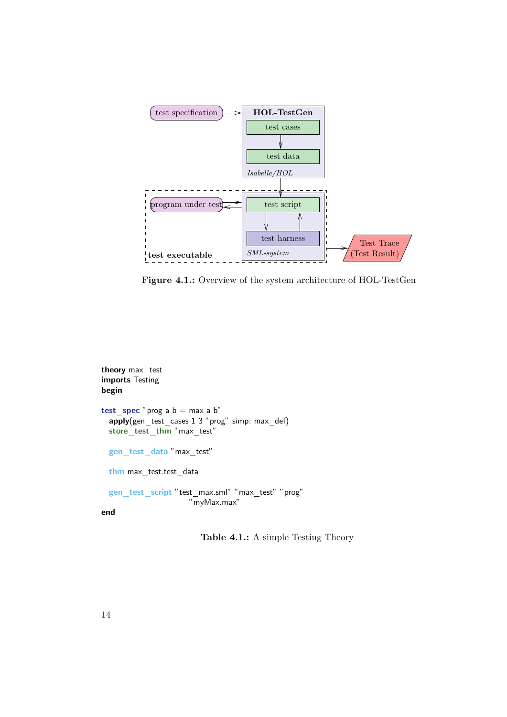

<span id="page-13-0"></span>Figure 4.1.: Overview of the system architecture of HOL-TestGen

```
theory max test
imports Testing
begin
test spec "prog a b = max a b"
 apply(gen\_test\_cases 1 3 "prog" simp: max\_def)store_test_thm "max_test"
 gen_test_data"max_test"
 thm max_test.test_data
 gen_test_script "test_max.sml" "max_test" "prog"
                     "myMax.max"
```


<span id="page-13-1"></span>Table 4.1.: A simple Testing Theory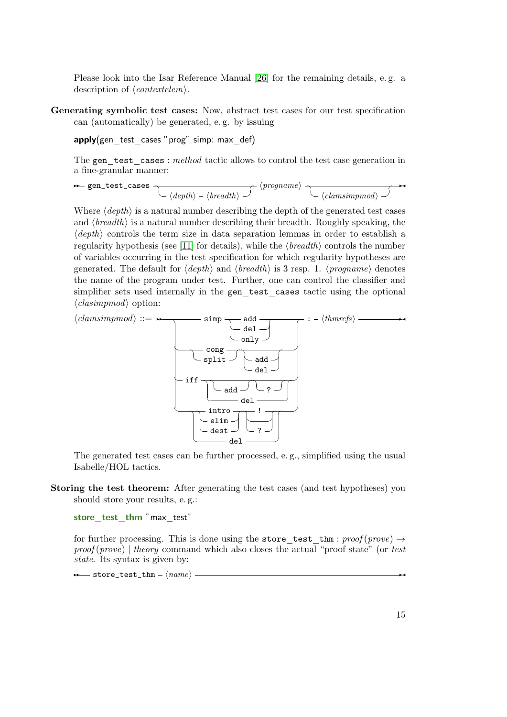Please look into the Isar Reference Manual [\[26\]](#page-116-2) for the remaining details, e. g. a description of  $\langle contextelem \rangle$ .

Generating symbolic test cases: Now, abstract test cases for our test specification can (automatically) be generated, e. g. by issuing

 $apply(gen\_test\_cases$  "prog" simp: max $-def)$ 

The gen test cases : method tactic allows to control the test case generation in a fine-granular manner:

$$
\leftarrow \texttt{gen\_test\_cases} \qquad \qquad \qquad \qquad \texttt{{\char'134}p} \qquad \qquad \texttt{{\char'134}p} \qquad \qquad \texttt{{\char'134}p} \qquad \qquad \qquad \texttt{{\char'134}p} \qquad \qquad \qquad \texttt{{\char'134}p} \qquad \qquad \texttt{{\char'134}p} \qquad \qquad \texttt{{\char'134}p} \qquad \qquad \texttt{{\char'134}p} \qquad \qquad \texttt{{\char'134}p} \qquad \qquad \texttt{{\char'134}p} \qquad \qquad \texttt{{\char'134}p} \qquad \qquad \texttt{{\char'134}p} \qquad \qquad \texttt{{\char'134}p} \qquad \qquad \texttt{{\char'134}p} \qquad \qquad \texttt{{\char'134}p} \qquad \qquad \texttt{{\char'134}p} \qquad \qquad \texttt{{\char'134}p} \qquad \qquad \texttt{{\char'134}p} \qquad \qquad \texttt{{\char'134}p} \qquad \qquad \texttt{{\char'134}p} \qquad \qquad \texttt{{\char'134}p} \qquad \qquad \texttt{{\char'134}p} \qquad \qquad \texttt{{\char'134}p} \qquad \qquad \texttt{{\char'134}p} \qquad \qquad \texttt{{\char'134}p} \qquad \qquad \texttt{{\char'134}p} \qquad \qquad \texttt{{\char'134}p} \qquad \qquad \texttt{{\char'134}p} \qquad \qquad \texttt{{\char'134}p} \qquad \qquad \texttt{{\char'134}p} \qquad \qquad \texttt{{\char'134}p} \qquad \qquad \texttt{{\char'134}p} \qquad \qquad \texttt{{\char'134}p} \qquad \qquad \texttt{{\char'134}p} \qquad \qquad \texttt{{\char'134}p} \qquad \qquad \texttt{{\char'134}p} \qquad \qquad \texttt{{\char'134}p} \qquad \qquad \texttt{{\char'134}p} \qquad \qquad \texttt{{\char'
$$

Where  $\langle depth \rangle$  is a natural number describing the depth of the generated test cases and  $\langle breadth \rangle$  is a natural number describing their breadth. Roughly speaking, the  $\langle depth \rangle$  controls the term size in data separation lemmas in order to establish a regularity hypothesis (see [\[11\]](#page-114-3) for details), while the  $\langle breadth \rangle$  controls the number of variables occurring in the test specification for which regularity hypotheses are generated. The default for  $\langle depth \rangle$  and  $\langle breadth \rangle$  is 3 resp. 1.  $\langle propagation \rangle$  denotes the name of the program under test. Further, one can control the classifier and simplifier sets used internally in the gen test cases tactic using the optional  $\langle$ *clasimpmod* $\rangle$  option:

$$
\langle \textit{clamsimpmod} \rangle ::= \rightarrow \qquad \qquad \text{simp} \qquad \qquad \text{and} \qquad \qquad \text{inp} \qquad \qquad \text{inp} \qquad \text{inp} \qquad \text{inp} \qquad \text{inp} \qquad \text{inp} \qquad \text{inp} \qquad \text{inp} \qquad \text{inp} \qquad \text{inp} \qquad \text{inp} \qquad \text{inp} \qquad \text{inp} \qquad \text{inp} \qquad \text{inp} \qquad \text{inp} \qquad \text{inp} \qquad \text{inp} \qquad \text{inp} \qquad \text{inp} \qquad \text{inp} \qquad \text{inp} \qquad \text{inp} \qquad \text{inp} \qquad \text{inp} \qquad \text{inp} \qquad \text{inp} \qquad \text{inp} \qquad \text{inp} \qquad \text{inp} \qquad \text{inp} \qquad \text{inp} \qquad \text{inp} \qquad \text{inp} \qquad \text{inp} \qquad \text{inp} \qquad \text{inp} \qquad \text{inp} \qquad \text{inp} \qquad \text{inp} \qquad \text{inp} \qquad \text{inp} \qquad \text{inp} \qquad \text{inp} \qquad \text{inp} \qquad \text{inp} \qquad \text{inp} \qquad \text{inp} \qquad \text{inp} \qquad \text{inp} \qquad \text{inp} \qquad \text{inp} \qquad \text{inp} \qquad \text{inp} \qquad \text{inp} \qquad \text{inp} \qquad \text{inp} \qquad \text{inp} \qquad \text{inp} \qquad \text{inp} \qquad \text{inp} \qquad \text{inp} \qquad \text{inp} \qquad \text{inp} \qquad \text{inp} \qquad \text{inp} \qquad \text{inp} \qquad \text{inp} \qquad \text{inp} \qquad \text{inp} \qquad \text{inp} \qquad \text{inp} \qquad \text{inp} \qquad \text{inp} \qquad \text{inp} \qquad \text{inp} \qquad \text{inp} \qquad \text{inp} \qquad \text{inp} \qquad
$$

The generated test cases can be further processed, e. g., simplified using the usual Isabelle/HOL tactics.

Storing the test theorem: After generating the test cases (and test hypotheses) you should store your results, e. g.:

store test thm "max test"

for further processing. This is done using the store test thm:  $proof(prove) \rightarrow$  $proof(prove)$  | theory command which also closes the actual "proof state" (or test state. Its syntax is given by:

 $\rightarrow$  store\_test\_thm -  $\langle name \rangle$  -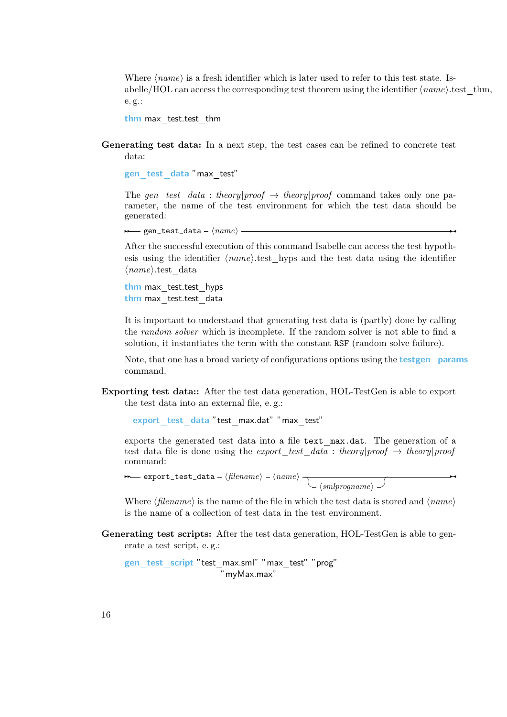Where  $\langle name \rangle$  is a fresh identifier which is later used to refer to this test state. Isabelle/HOL can access the corresponding test theorem using the identifier  $\langle name \rangle$ .test thm, e. g.:

thm max test.test thm

Generating test data: In a next step, the test cases can be refined to concrete test data:

gen test data "max test"

The gen\_test\_data : theory|proof  $\rightarrow$  theory|proof command takes only one parameter, the name of the test environment for which the test data should be generated:

 $\rightarrow$  gen\_test\_data -  $\langle name \rangle$  →

After the successful execution of this command Isabelle can access the test hypothesis using the identifier  $\langle name \rangle$  test hyps and the test data using the identifier  $\langle name \rangle$ test data

thm max test.test hyps thm max test.test data

It is important to understand that generating test data is (partly) done by calling the random solver which is incomplete. If the random solver is not able to find a solution, it instantiates the term with the constant RSF (random solve failure).

Note, that one has a broad variety of configurations options using the **testgen** params command.

Exporting test data:: After the test data generation, HOL-TestGen is able to export the test data into an external file, e. g.:

export test data "test max.dat" "max test"

exports the generated test data into a file text max.dat. The generation of a test data file is done using the export test data : theory|proof  $\rightarrow$  theory|proof command:

 $\overline{\phantom{a}}$ 

 $\rightarrow$  export\_test\_data -  $\langle$ filename $\rangle$  -  $\langle$ name $\rangle$   $\rightarrow$  $\setminus$  (smlprogname)  $\rightarrow$ 

Where  $\langle$  filename) is the name of the file in which the test data is stored and  $\langle$  name) is the name of a collection of test data in the test environment.

Generating test scripts: After the test data generation, HOL-TestGen is able to generate a test script, e. g.:

```
gen_test_script "test_max.sml" "max_test" "prog"
                     "myMax.max"
```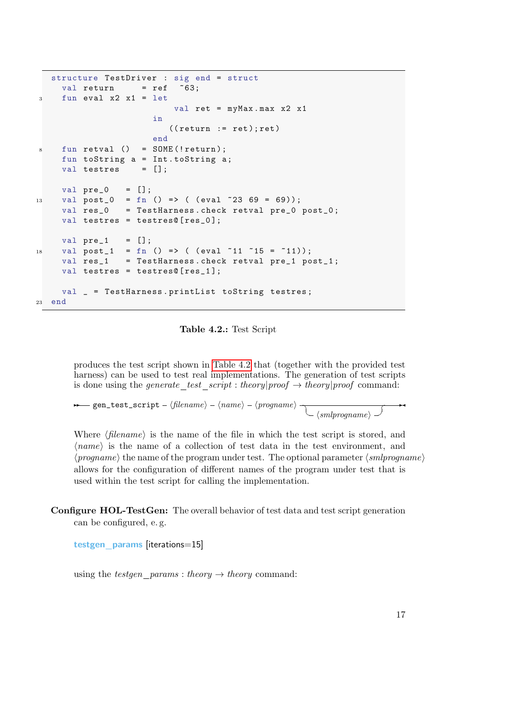```
structure TestDriver : sig end = struct
    val return = ref 63;3 fun eval x2 x1 = let
                         val ret = myMax.max x2 x1
                     in
                        ((return := ret); ret)end
\sin fun retval () = SOME (! return):
    fun toString a = Int . toString a ;
    val testres = [];
    val pre_0 = [];
13 val post_0 = fn () => ( (eval 2369 = 69);
    val res_0 = TestHarness . check retval pre_0 post_0 ;
    val testres = testres@ [res_0];
    val pre_1 = [];
18 val post_1 = fn () => ( (eval 11 15 = 11);
    val res_1 = TestHarness.check retval pre_1 post_1;
    val testres = testres@[res_1];val _ = TestHarness . printList toString testres ;
23 end
```
<span id="page-16-0"></span>Table 4.2.: Test Script

produces the test script shown in [Table 4.2](#page-16-0) that (together with the provided test harness) can be used to test real implementations. The generation of test scripts is done using the generate\_test\_script : theory|proof  $\rightarrow$  theory|proof command:

**→** gen\_test\_script -  $\langle$ filename $\rangle$  -  $\langle$ name $\rangle$  -  $\langle$ progname $\rangle$   $\rightarrow$  $\setminus$  (smlprogname)  $\supset$  $\overrightarrow{a}$ 

Where  $\langle filename\rangle$  is the name of the file in which the test script is stored, and  $\langle name \rangle$  is the name of a collection of test data in the test environment, and  $\langle p_{\textit{rogname}} \rangle$  the name of the program under test. The optional parameter  $\langle \textit{smlprogname} \rangle$ allows for the configuration of different names of the program under test that is used within the test script for calling the implementation.

Configure HOL-TestGen: The overall behavior of test data and test script generation can be configured, e. g.

testgen params [iterations=15]

using the *testgen* params : theory  $\rightarrow$  theory command: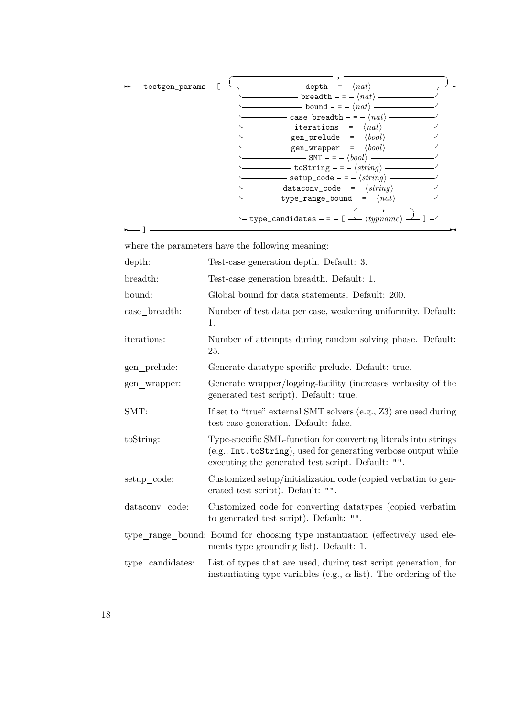

where the parameters have the following meaning:

| depth:           | Test-case generation depth. Default: 3.                                                                                                                                                 |
|------------------|-----------------------------------------------------------------------------------------------------------------------------------------------------------------------------------------|
| breadth:         | Test-case generation breadth. Default: 1.                                                                                                                                               |
| bound:           | Global bound for data statements. Default: 200.                                                                                                                                         |
| $case$ breadth:  | Number of test data per case, weakening uniformity. Default:<br>1.                                                                                                                      |
| iterations:      | Number of attempts during random solving phase. Default:<br>25.                                                                                                                         |
| gen_prelude:     | Generate datatype specific prelude. Default: true.                                                                                                                                      |
| gen wrapper:     | Generate wrapper/logging-facility (increases verbosity of the<br>generated test script). Default: true.                                                                                 |
| SMT:             | If set to "true" external SMT solvers (e.g., Z3) are used during<br>test-case generation. Default: false.                                                                               |
| toString:        | Type-specific SML-function for converting literals into strings<br>(e.g., Int. toString), used for generating verbose output while<br>executing the generated test script. Default: "". |
| setup_code:      | Customized setup/initialization code (copied verbatim to gen-<br>erated test script). Default: "".                                                                                      |
| dataconv_code:   | Customized code for converting data types (copied verbatim<br>to generated test script). Default: "".                                                                                   |
|                  | type_range_bound: Bound for choosing type instantiation (effectively used ele-<br>ments type grounding list). Default: 1.                                                               |
| type_candidates: | List of types that are used, during test script generation, for<br>instantiating type variables (e.g., $\alpha$ list). The ordering of the                                              |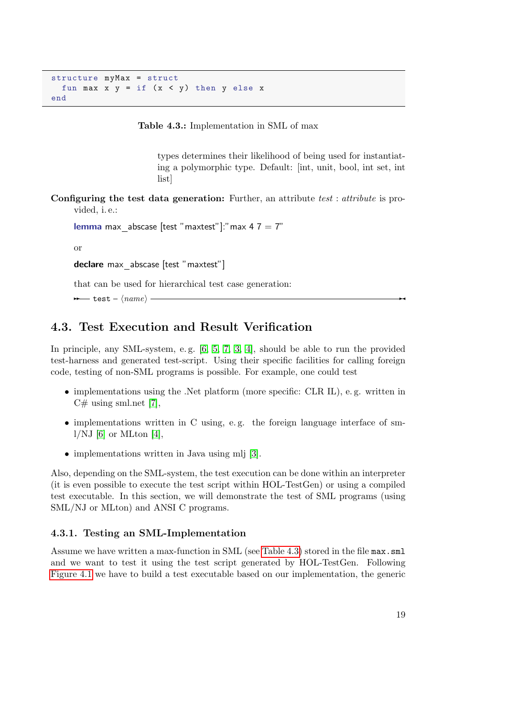```
structure myMax = struct
 fun max x y = if (x < y) then y else xend
```
Table 4.3.: Implementation in SML of max

<span id="page-18-2"></span>types determines their likelihood of being used for instantiating a polymorphic type. Default: [int, unit, bool, int set, int list]

Configuring the test data generation: Further, an attribute test : attribute is provided, i. e.:

```
lemma max abscase [test "maxtest"]:" max 4 \, 7 = 7"
```
or

declare max abscase [test "maxtest"]

that can be used for hierarchical test case generation:

 $\rightarrow$  test –  $\langle name \rangle$ 

## <span id="page-18-0"></span>4.3. Test Execution and Result Verification

In principle, any SML-system, e.g. [\[6,](#page-114-6) [5,](#page-114-7) [7,](#page-114-8) [3,](#page-114-9) [4\]](#page-114-10), should be able to run the provided test-harness and generated test-script. Using their specific facilities for calling foreign code, testing of non-SML programs is possible. For example, one could test

- implementations using the .Net platform (more specific: CLR IL), e.g. written in  $C#$  using sml.net [\[7\]](#page-114-8),
- implementations written in C using, e.g. the foreign language interface of sm- $1/NJ$  [\[6\]](#page-114-6) or MLton [\[4\]](#page-114-10),
- implementations written in Java using mli [\[3\]](#page-114-9).

Also, depending on the SML-system, the test execution can be done within an interpreter (it is even possible to execute the test script within HOL-TestGen) or using a compiled test executable. In this section, we will demonstrate the test of SML programs (using SML/NJ or MLton) and ANSI C programs.

#### <span id="page-18-1"></span>4.3.1. Testing an SML-Implementation

Assume we have written a max-function in SML (see [Table 4.3\)](#page-18-2) stored in the file max.sml and we want to test it using the test script generated by HOL-TestGen. Following [Figure 4.1](#page-13-0) we have to build a test executable based on our implementation, the generic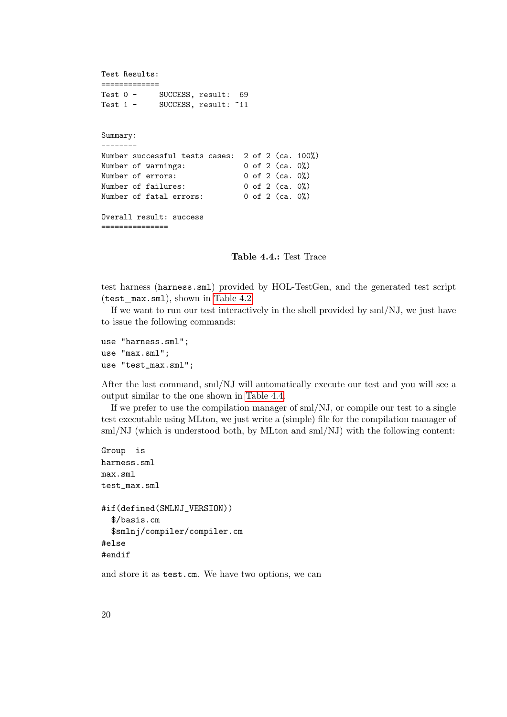```
Test Results:
==============<br>Test 0 -
Test 0 - SUCCESS, result: 69
Test 1 - SUCCESS, result: ~11
Summary:
--------
Number successful tests cases: 2 of 2 (ca. 100%)
Number of warnings: 0 of 2 (ca. 0%)
Number of errors: 0 of 2 (ca. 0%)
Number of failures: 0 of 2 (ca. 0%)
Number of fatal errors: 0 of 2 (ca. 0%)
Overall result: success
===============
```
#### <span id="page-19-0"></span>Table 4.4.: Test Trace

test harness (harness.sml) provided by HOL-TestGen, and the generated test script (test max.sml), shown in [Table 4.2.](#page-16-0)

If we want to run our test interactively in the shell provided by sml/NJ, we just have to issue the following commands:

use "harness.sml"; use "max.sml"; use "test\_max.sml";

After the last command, sml/NJ will automatically execute our test and you will see a output similar to the one shown in [Table 4.4.](#page-19-0)

If we prefer to use the compilation manager of sml/NJ, or compile our test to a single test executable using MLton, we just write a (simple) file for the compilation manager of sml/NJ (which is understood both, by MLton and sml/NJ) with the following content:

```
Group is
harness.sml
max.sml
test_max.sml
#if(defined(SMLNJ_VERSION))
  $/basis.cm
  $smlnj/compiler/compiler.cm
#else
#endif
```
and store it as test.cm. We have two options, we can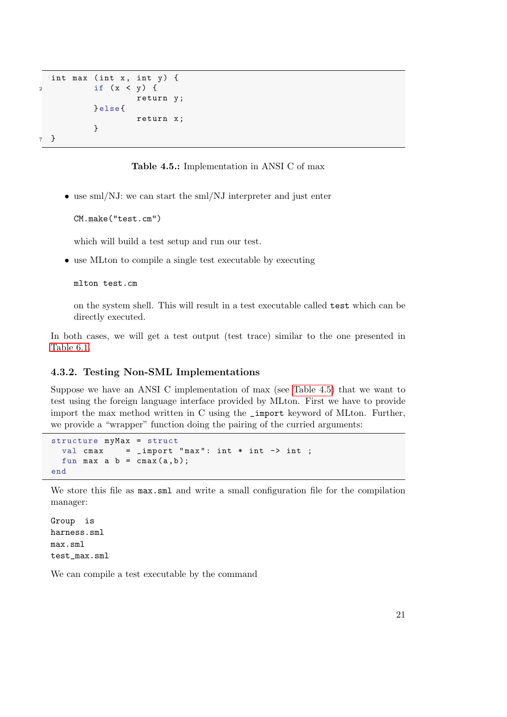```
int max (int x, int y) {
2 if (x < y) {
                  return y ;
          } else {
                  return x ;
          }
7 }
```
<span id="page-20-1"></span>Table 4.5.: Implementation in ANSI C of max

• use sml/NJ: we can start the sml/NJ interpreter and just enter

CM.make("test.cm")

which will build a test setup and run our test.

• use MLton to compile a single test executable by executing

mlton test.cm

on the system shell. This will result in a test executable called test which can be directly executed.

In both cases, we will get a test output (test trace) similar to the one presented in [Table 6.1.](#page-59-0)

#### <span id="page-20-0"></span>4.3.2. Testing Non-SML Implementations

Suppose we have an ANSI C implementation of max (see [Table 4.5\)](#page-20-1) that we want to test using the foreign language interface provided by MLton. First we have to provide import the max method written in C using the \_import keyword of MLton. Further, we provide a "wrapper" function doing the pairing of the curried arguments:

```
structure myMax = struct
  val cmax = \text{import} "\text{max}": \text{int} * \text{int} -> \text{int};
  fun max a b = \text{cmax}(a, b);
end
```
We store this file as  $max.xml$  and write a small configuration file for the compilation manager:

Group is harness.sml max.sml test\_max.sml

We can compile a test executable by the command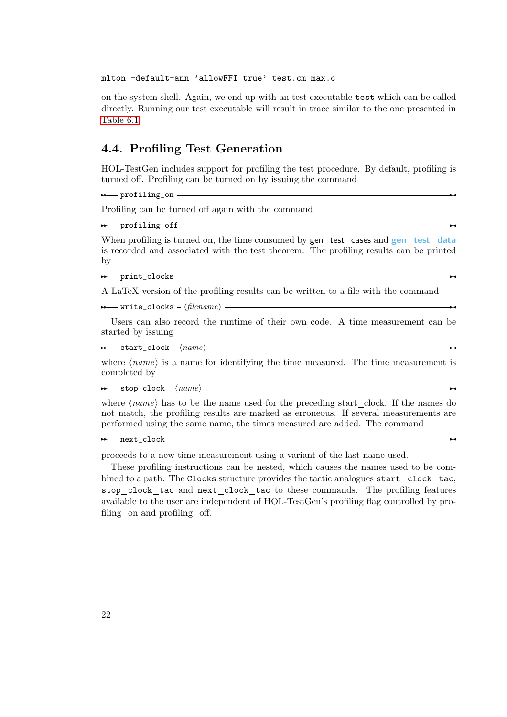mlton -default-ann 'allowFFI true' test.cm max.c

on the system shell. Again, we end up with an test executable test which can be called directly. Running our test executable will result in trace similar to the one presented in [Table 6.1.](#page-59-0)

### <span id="page-21-0"></span>4.4. Profiling Test Generation

HOL-TestGen includes support for profiling the test procedure. By default, profiling is turned off. Profiling can be turned on by issuing the command

✲✲ profiling\_on ✲✛

Profiling can be turned off again with the command

✲✲ profiling\_off ✲✛

When profiling is turned on, the time consumed by gen test cases and gen test data is recorded and associated with the test theorem. The profiling results can be printed by

✲✲ print\_clocks ✲✛

A LaTeX version of the profiling results can be written to a file with the command

**→** write\_clocks  $-\langle filename \rangle -$ 

Users can also record the runtime of their own code. A time measurement can be started by issuing

 $\rightarrow$  start\_clock -  $\langle name \rangle$   $\rightarrow$ 

where  $\langle name \rangle$  is a name for identifying the time measured. The time measurement is completed by

✲✲ stop\_clock <sup>h</sup>name<sup>i</sup> ✲✛

where  $\langle name \rangle$  has to be the name used for the preceding start clock. If the names do not match, the profiling results are marked as erroneous. If several measurements are performed using the same name, the times measured are added. The command

<u>► next</u>\_clock ← next\_clock ← next\_clock ← next\_clock ← next\_clock ← next\_clock ← next\_clock ← next\_clock ← next\_clock ← next\_clock ← next\_clock ← next\_clock ← next\_clock ← next\_clock ← next\_clock ← next\_clock ← next\_cloc

proceeds to a new time measurement using a variant of the last name used.

These profiling instructions can be nested, which causes the names used to be combined to a path. The Clocks structure provides the tactic analogues start\_clock\_tac, stop clock tac and next clock tac to these commands. The profiling features available to the user are independent of HOL-TestGen's profiling flag controlled by profiling on and profiling off.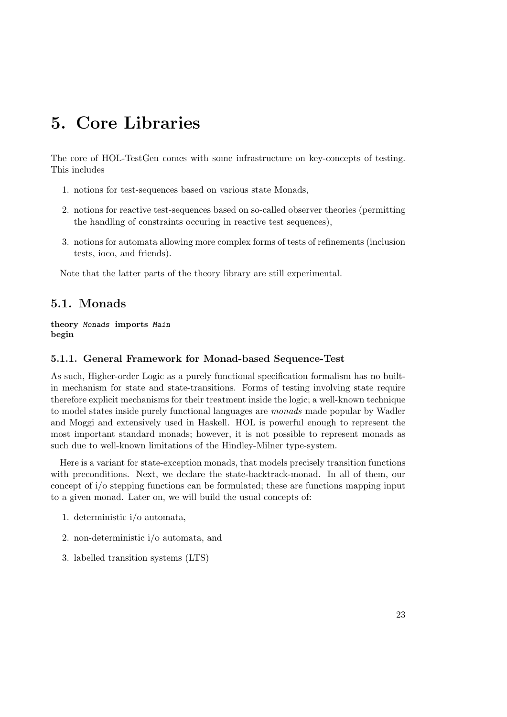## <span id="page-22-0"></span>5. Core Libraries

The core of HOL-TestGen comes with some infrastructure on key-concepts of testing. This includes

- 1. notions for test-sequences based on various state Monads,
- 2. notions for reactive test-sequences based on so-called observer theories (permitting the handling of constraints occuring in reactive test sequences),
- 3. notions for automata allowing more complex forms of tests of refinements (inclusion tests, ioco, and friends).

Note that the latter parts of the theory library are still experimental.

## <span id="page-22-1"></span>5.1. Monads

theory Monads imports Main begin

#### <span id="page-22-2"></span>5.1.1. General Framework for Monad-based Sequence-Test

As such, Higher-order Logic as a purely functional specification formalism has no builtin mechanism for state and state-transitions. Forms of testing involving state require therefore explicit mechanisms for their treatment inside the logic; a well-known technique to model states inside purely functional languages are monads made popular by Wadler and Moggi and extensively used in Haskell. HOL is powerful enough to represent the most important standard monads; however, it is not possible to represent monads as such due to well-known limitations of the Hindley-Milner type-system.

Here is a variant for state-exception monads, that models precisely transition functions with preconditions. Next, we declare the state-backtrack-monad. In all of them, our concept of i/o stepping functions can be formulated; these are functions mapping input to a given monad. Later on, we will build the usual concepts of:

- 1. deterministic i/o automata,
- 2. non-deterministic i/o automata, and
- 3. labelled transition systems (LTS)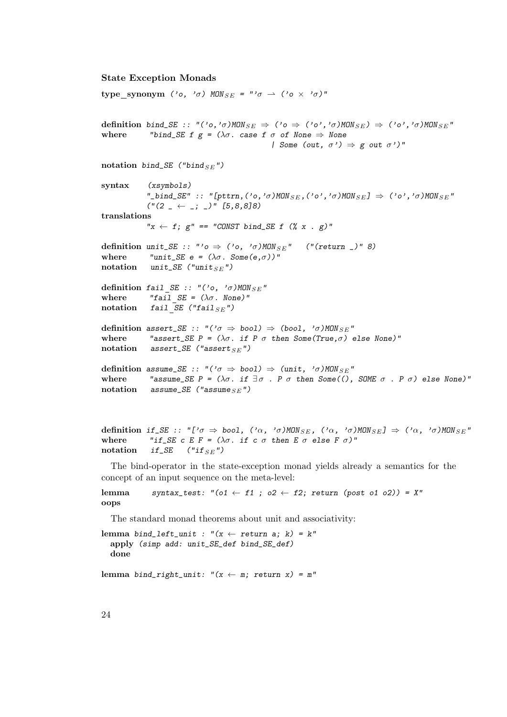#### State Exception Monads

```
type synonym ('o, '\sigma) MON<sub>SE</sub> = "'\sigma \rightharpoonup ('o \times '\sigma)"
definition bind_SE :: "('o,'σ)MON<sub>SE</sub> \Rightarrow ('o \Rightarrow ('o','σ)MON<sub>SE</sub>) \Rightarrow ('o','σ)MON<sub>SE</sub>"
where "bind_SE f g = (\lambda \sigma) case f \sigma of None \Rightarrow None
                                                         | Some (out, \sigma') \Rightarrow g out \sigma')"
notation bind_SE ("bind _{SE}")
syntax (xsymbols)
               "_bind_SE" :: "[pttrn,('o,'\sigma)MON<sub>SE</sub>,('o','\sigma)MON<sub>SE</sub>] \Rightarrow ('o','\sigma)MON<sub>SE</sub>"
               ("(2 - \leftarrow -; -)" [5, 8, 8]8)translations
               "x \leftarrow f; g'' == "CONST bind_SE f (% x . g)"
definition unit_SE :: "'o \Rightarrow ('o, '\sigma)MON<sub>SE</sub>" ("(return _)" 8)
where "unit_SE e = (\lambda \sigma \cdot \text{Some}(e, \sigma))"
notation unit_SE ("unit _{SE}")
definition fail SE :: "('o, '\sigma)MON<sub>SE</sub>"
where "fail SE = (\lambda \sigma \cdot \text{None})"
notation fail SE ("fail _{SE}")
definition assert_SE :: "('\sigma \Rightarrow bool) \Rightarrow (bool, '\sigma)MON<sub>SE</sub>"
where "assert_SE P = (\lambda \sigma). if P \sigma then Some(True, \sigma) else None)"
notation assert_SE ("assert _{SE}")
definition assume_SE :: "('\sigma \Rightarrow bool) \Rightarrow (unit, '\sigma)MON<sub>SE</sub>"
where "assume_SE P = (\lambda \sigma \cdot \text{if } \exists \sigma \cdot P \sigma \text{ then Some} ((\rho \cdot \text{SOME } \sigma \cdot P \sigma) \text{ else None})"
notation assume_SE ("assume _{SE}")
```

```
definition if_SE :: "['\sigma \Rightarrow bool, ('\alpha, '\sigma)MON<sub>SE</sub>, ('\alpha, '\sigma)MON<sub>SE</sub>] \Rightarrow ('\alpha, '\sigma)MON<sub>SE</sub>"
where "if_SE c E F = (\lambda \sigma) if c \sigma then E \sigma else F \sigma)"
notation if_SE ("if_{SE}"")
```
The bind-operator in the state-exception monad yields already a semantics for the concept of an input sequence on the meta-level:

```
lemma syntax_test: "(o1 \leftarrow f1; o2 \leftarrow f2; return (post o1 o2)) = X"
oops
```
The standard monad theorems about unit and associativity:

lemma bind\_left\_unit : " $(x \leftarrow$  return a; k) = k" apply (simp add: unit\_SE\_def bind\_SE\_def) done

lemma bind\_right\_unit: " $(x \leftarrow m;$  return x) = m"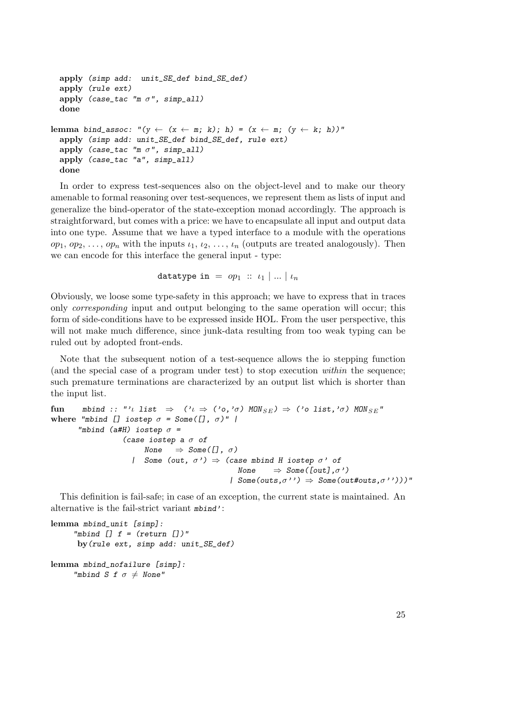```
apply (simp add: unit_SE_def bind_SE_def)
  apply (rule ext)
  apply (case_tac "m \sigma", simp_all)
  done
lemma bind_assoc: "(y \leftarrow (x \leftarrow m; k); h) = (x \leftarrow m; (y \leftarrow k; h))"
  apply (simp add: unit_SE_def bind_SE_def, rule ext)
  apply (case_tac "m \sigma", simp_all)
  apply (case_tac "a", simp_all)
  done
```
In order to express test-sequences also on the object-level and to make our theory amenable to formal reasoning over test-sequences, we represent them as lists of input and generalize the bind-operator of the state-exception monad accordingly. The approach is straightforward, but comes with a price: we have to encapsulate all input and output data into one type. Assume that we have a typed interface to a module with the operations  $op_1, op_2, \ldots, op_n$  with the inputs  $\iota_1, \iota_2, \ldots, \iota_n$  (outputs are treated analogously). Then we can encode for this interface the general input - type:

datatype in =  $op_1$  ::  $i_1$  | ... |  $i_n$ 

Obviously, we loose some type-safety in this approach; we have to express that in traces only corresponding input and output belonging to the same operation will occur; this form of side-conditions have to be expressed inside HOL. From the user perspective, this will not make much difference, since junk-data resulting from too weak typing can be ruled out by adopted front-ends.

Note that the subsequent notion of a test-sequence allows the io stepping function (and the special case of a program under test) to stop execution within the sequence; such premature terminations are characterized by an output list which is shorter than the input list.

```
fun mbind :: "'l list \Rightarrow ('
\iota \Rightarrow ('<sup>o</sup>,'\sigma) MON<sub>SE</sub>) \Rightarrow ('o list,'\sigma) MON<sub>SE</sub>"
where "mbind [] iostep \sigma = Some([\,], \sigma)" |
         "mbind (a#H) iostep \sigma =
                        (case iostep a \sigma of
                               None \Rightarrow Some([], \sigma)
                           | Some (out, \sigma') \Rightarrow (case mbind H iostep \sigma' of
                                                               None \Rightarrow Some([out],\sigma')
                                                            | Some(outs,\sigma') \Rightarrow Some(out#outs,\sigma')))"
```
This definition is fail-safe; in case of an exception, the current state is maintained. An alternative is the fail-strict variant mbind':

```
lemma mbind unit [simp]:
     "mbind [] f = (return []"
     by(rule ext, simp add: unit_SE_def)
```

```
lemma mbind_nofailure [simp]:
     "mbind S f \sigma \neq None"
```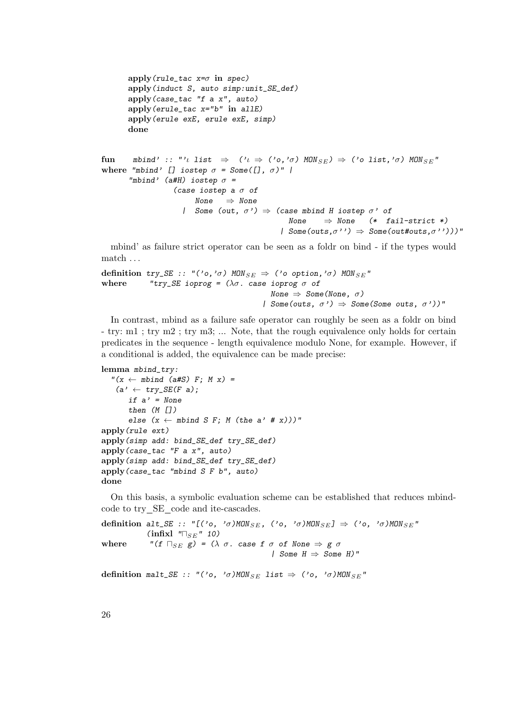```
apply(rule_tac x=\sigma in spec)
       apply(induct S, auto simp:unit_SE_def)
       apply(case_tac "f a x", auto)
       apply(erule_tac x="b" in allE)
       apply(erule exE, erule exE, simp)
       done
fun mbind' :: "'ι list \Rightarrow ('ι \Rightarrow ('o,'σ) MON<sub>SE</sub>) \Rightarrow ('o list,'σ) MON<sub>SE</sub>"
where "mbind' [] iostep \sigma = Some([\ ], \sigma)" |
       "mbind' (a#H) iostep \sigma =
                    (case iostep a \sigma of
                         None \Rightarrow None
                      | Some (out, \sigma') \Rightarrow (case mbind H iostep \sigma' of
                                                    None \Rightarrow None (* fail-strict *)
                                                  | Some(outs,\sigma') \Rightarrow Some(out#outs,\sigma')))"
```
mbind' as failure strict operator can be seen as a foldr on bind - if the types would match . . .

```
definition try_SE :: "('o,'σ) MON<sub>SE</sub> \Rightarrow ('o option,'σ) MON<sub>SE</sub>"
where "try_SE ioprog = (\lambda \sigma). case ioprog \sigma of
                                                      None \Rightarrow Some(None, \sigma)
                                                    | Some(outs, \sigma') \Rightarrow Some(Some outs, \sigma'))"
```
In contrast, mbind as a failure safe operator can roughly be seen as a foldr on bind - try: m1 ; try m2 ; try m3; ... Note, that the rough equivalence only holds for certain predicates in the sequence - length equivalence modulo None, for example. However, if a conditional is added, the equivalence can be made precise:

```
lemma mbind_try:
  ''(x \leftarrow mbind (a#S) F; M x) =
   (a' \leftarrow try\_SE(F \ a);if a' = Nonethen (M [])
      else (x \leftarrow \text{mbind } S \ F; M \ (the a' \# x))"
apply(rule ext)
apply(simp add: bind_SE_def try_SE_def)
apply(case_tac "F a x", auto)
apply(simp add: bind_SE_def try_SE_def)
apply(case_tac "mbind S F b", auto)
done
```
On this basis, a symbolic evaluation scheme can be established that reduces mbindcode to try SE code and ite-cascades.

```
definition alt_SE :: "[('o, 'σ)MON<sub>SE</sub>, ('o, 'σ)MON<sub>SE</sub>] \Rightarrow ('o, 'σ)MON<sub>SE</sub>"
               (infixl \sqrt[m]{s_E}" 10)
where "(f \sqcap_{SE} g) = (\lambda \sigma. case f \sigma of None \Rightarrow g \sigma| Some H \Rightarrow Some H)"
```

```
definition malt_SE :: "('o, 'σ)MON<sub>SE</sub> list \Rightarrow ('o, 'σ)MON<sub>SE</sub>"
```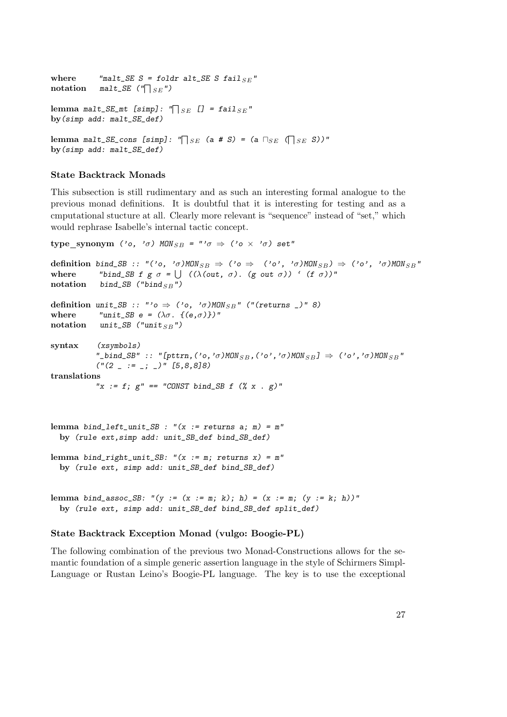where "malt\_SE S = foldr alt\_SE S fail  $_{SE}$ "  $\text{notation} \quad \text{malt\_SE} \ (\text{``} \square_{SE} \text{''})$ lemma malt\_SE\_mt [simp]: " $\bigcap_{SE}$  [] = fail<sub>SE</sub>" by(simp add: malt\_SE\_def)  ${\rm lemma}$  malt\_SE\_cons [simp]: " $\bigcap_{SE}$  (a # S) = (a  $\sqcap_{SE}$  ( $\bigcap_{SE}$  S))" by(simp add: malt\_SE\_def)

#### State Backtrack Monads

This subsection is still rudimentary and as such an interesting formal analogue to the previous monad definitions. It is doubtful that it is interesting for testing and as a cmputational stucture at all. Clearly more relevant is "sequence" instead of "set," which would rephrase Isabelle's internal tactic concept.

```
type_synonym ('o, '\sigma) MON<sub>SB</sub> = "'\sigma \Rightarrow ('o \times '\sigma) set"
definition bind_SB :: "('o, 'σ)MON<sub>SB</sub> \Rightarrow ('o \Rightarrow ('o', 'σ)MON<sub>SB</sub>) \Rightarrow ('o', 'σ)MON<sub>SB</sub>"
where "bind_SB f g \sigma = \bigcup (\lambda(\text{out}, \sigma) \cdot (\text{g out } \sigma))' (f \sigma))"
notation bind_SB ("bind _{SB}")
definition unit_SB :: "'o \Rightarrow ('o, '\sigma)MON<sub>SB</sub>" ("(returns _)" 8)
where "unit_SB e = (\lambda \sigma. \{(\mathsf{e}, \sigma)\})"
notation unit_SB ("unit _{SB}")
syntax (xsymbols)
              "_bind_SB" :: "[pttrn,('o,'σ)MON<sub>SB</sub>,('o','σ)MON<sub>SB</sub>] \Rightarrow ('o','σ)MON<sub>SB</sub>"
              ("(2 - := -; -)" [5, 8, 8]8)translations
             "x := f; g'' == "CONST bind\_SB f (x x . g)"
lemma bind_left_unit_SB : "(x := returns a; m) = m"
  by (rule ext,simp add: unit_SB_def bind_SB_def)
```

```
lemma bind_right_unit_SB: "(x := m; returns x) = m"by (rule ext, simp add: unit_SB_def bind_SB_def)
```

```
lemma bind_assoc_SB: "(y := (x := m; k); h) = (x := m; (y := k; h))"
 by (rule ext, simp add: unit_SB_def bind_SB_def split_def)
```
#### State Backtrack Exception Monad (vulgo: Boogie-PL)

The following combination of the previous two Monad-Constructions allows for the semantic foundation of a simple generic assertion language in the style of Schirmers Simpl-Language or Rustan Leino's Boogie-PL language. The key is to use the exceptional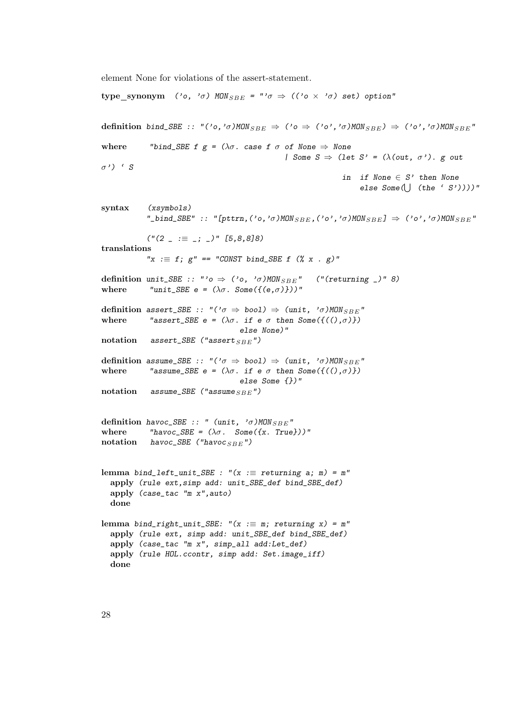element None for violations of the assert-statement.

type synonym ('o, ' $\sigma$ ) MON  $_{SBE}$  = "' $\sigma \Rightarrow$  (('o  $\times$  ' $\sigma$ ) set) option" definition bind\_SBE :: "('o,'σ)MON  $_{SBE}$   $\Rightarrow$  ('o  $\Rightarrow$  ('o','σ)MON  $_{SBE}$ )  $\Rightarrow$  ('o','σ)MON  $_{SBE}$ " where "bind\_SBE f  $g = (\lambda \sigma)$  case f  $\sigma$  of None  $\Rightarrow$  None | Some  $S \Rightarrow$  (let  $S' = (\lambda(\text{out}, \sigma'))$ . g out  $\sigma'$ ) ' S in if None  $\in S'$  then None else  $Some(\bigcup (the 'S'))))$ " syntax (xsymbols) "\_bind\_SBE" :: "[pttrn,('o,'σ)MON  $_{SBE}$ ,('o','σ)MON  $_{SBE}$ ]  $\Rightarrow$  ('o','σ)MON  $_{SBE}$ "  $("(2 \_ := \_ ; \_ )" [5,8,8]8)$ translations " $x := f$ ;  $g'' == "CONST bind\_SBE f ('x x . g)$ " definition unit\_SBE :: "' $o \Rightarrow$  (' $o$ , ' $\sigma$ )MON<sub>SBE</sub>" ("(returning \_)" 8) where "unit\_SBE e =  $(\lambda \sigma$ . Some({(e, $\sigma$ )}))" definition assert\_SBE :: "(' $\sigma \Rightarrow$  bool)  $\Rightarrow$  (unit, ' $\sigma$ )MON<sub>SBE</sub>" where "assert\_SBE e =  $(\lambda \sigma \cdot \text{ if } \sigma \sigma \text{ then } \text{Some}(\{((\rho, \sigma)\})$ else None)" notation assert\_SBE ("assert  $_{SBE}$ ") definition assume\_SBE :: " $(°\sigma \Rightarrow \text{bool}) \Rightarrow$  (unit, ' $\sigma$ )MON<sub>SBE</sub>" where "assume\_SBE e =  $(\lambda \sigma \cdot \text{if } \sigma \sigma \text{ then } \text{Some}(\{((\rho \sigma)\})$ else Some {})" notation assume\_SBE ("assume  $_{SBE}$ ") definition havoc\_SBE :: " (unit,  $' \sigma$ )MON<sub>SBE</sub>" where "havoc\_SBE =  $(\lambda \sigma)$ . Some({x. True}))" notation havoc\_SBE ("havoc  $_{SBE}$ ") lemma bind\_left\_unit\_SBE : " $(x :=$  returning a; m) = m" apply (rule ext,simp add: unit\_SBE\_def bind\_SBE\_def) apply (case\_tac "m x",auto) done lemma bind\_right\_unit\_SBE: " $(x := m;$  returning x) = m" apply (rule ext, simp add: unit\_SBE\_def bind\_SBE\_def) apply (case\_tac "m x", simp\_all add:Let\_def) apply (rule HOL.ccontr, simp add: Set.image\_iff) done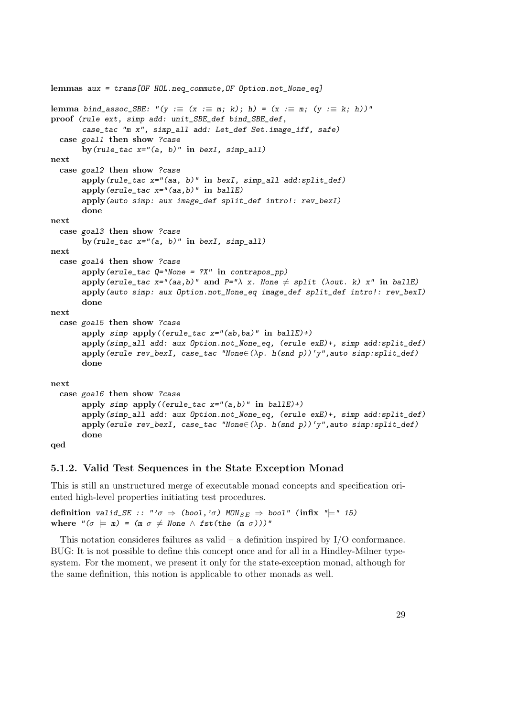```
lemmas aux = trans[OF HOL.neq_commute,OF Option.not_None_eq]
lemma bind_assoc_SBE: "(y := (x := m; k); h) = (x := m; (y := k; h))"
proof (rule ext, simp add: unit_SBE_def bind_SBE_def,
       case_tac "m x", simp_all add: Let_def Set.image_iff, safe)
 case goal1 then show ?case
       by (rule\_tac x="a, b)" in bexI, simp_all)
next
 case goal2 then show ?case
      apply(rule_tac x="(aa, b)" in bexI, simp_all add:split_def)
       apply(erule_tac x="(aa,b)" in ballE)
       apply(auto simp: aux image_def split_def intro!: rev_bexI)
       done
next
 case goal3 then show ?case
       by (rule_tac x = "(a, b)" in bexI, simp_all)
next
 case goal4 then show ?case
       apply(erule_tac Q="None = ?X" in contrapos_pp)
       apply(erule_tac x="(aa,b)" and P="\lambda x. None \neq split (\lambdaout. k) x" in ballE)
       apply(auto simp: aux Option.not_None_eq image_def split_def intro!: rev_bexI)
       done
next
 case goal5 then show ?case
       apply simp apply((erule_tac x="(ab,ba)" in ballE)+)
       apply(simp_all add: aux Option.not_None_eq, (erule exE)+, simp add:split_def)
       apply(erule rev_bexI, case_tac "None\in(\lambdap. h(snd p))'y",auto simp:split_def)
       done
next
 case goal6 then show ?case
       apply simp apply((erule_tac x = "(a, b)" in ballE)+)
       apply(simp_all add: aux Option.not_None_eq, (erule exE)+, simp add:split_def)
       apply(erule rev_bexI, case_tac "None\in(\lambdap. h(snd p))'y",auto simp:split_def)
       done
```

```
qed
```
#### <span id="page-28-0"></span>5.1.2. Valid Test Sequences in the State Exception Monad

This is still an unstructured merge of executable monad concepts and specification oriented high-level properties initiating test procedures.

definition valid\_SE :: "' $\sigma \Rightarrow$  (bool,' $\sigma$ ) MON<sub>SE</sub>  $\Rightarrow$  bool" (infix " $\models$ " 15) where " $(\sigma \models m) = (m \sigma \neq N \text{one} \land \text{fst}(\text{the} (m \sigma)))$ "

This notation consideres failures as valid  $-$  a definition inspired by  $I/O$  conformance. BUG: It is not possible to define this concept once and for all in a Hindley-Milner typesystem. For the moment, we present it only for the state-exception monad, although for the same definition, this notion is applicable to other monads as well.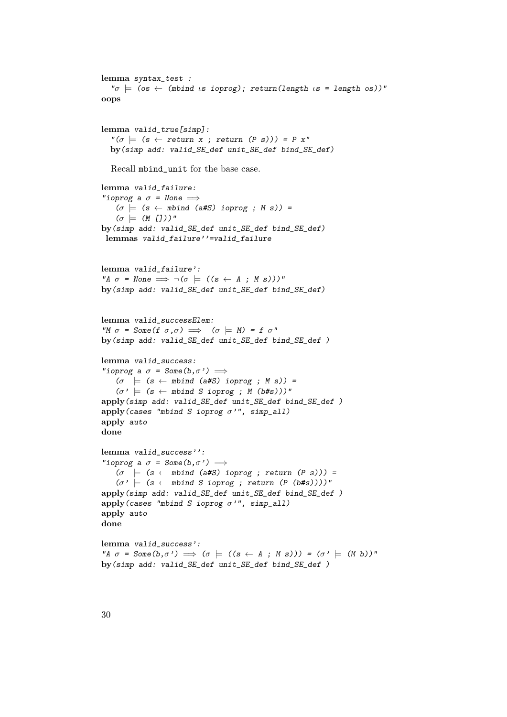```
lemma syntax_test :
   "\sigma \models (os \leftarrow (mbind is ioprog); return(length is = length os))"
oops
lemma valid_true[simp]:
  "\,(\sigma \models (s \leftarrow return x ; return (P s))) = P x"by(simp add: valid_SE_def unit_SE_def bind_SE_def)
  Recall mbind_unit for the base case.
lemma valid_failure:
"ioprog a \sigma = None \implies(\sigma \models (s \leftarrow \text{mbind} (a\#S) \text{ ioprog }; M s)) =(\sigma \models (M []))"
by(simp add: valid_SE_def unit_SE_def bind_SE_def)
 lemmas valid_failure''=valid_failure
lemma valid_failure':
"A \sigma = None \implies \neg(\sigma) = ((s \leftarrow A ; M s)))"
by(simp add: valid_SE_def unit_SE_def bind_SE_def)
lemma valid_successElem:
"M \sigma = Some(f \sigma, \sigma) \implies (\sigma \models M) = f \sigma"
by(simp add: valid_SE_def unit_SE_def bind_SE_def )
lemma valid_success:
"ioprog a \sigma = Some(b, \sigma') \implies(\sigma \models (s \leftarrow \text{mbind} (a\#S) \text{ ioprog } ; M s)) =(\sigma') = (s \leftarrow \text{mbind } S \text{ ioprog } ; M \text{ (b#s)}))"
apply(simp add: valid_SE_def unit_SE_def bind_SE_def )
apply(cases "mbind S ioprog \sigma'", simp_all)
apply auto
done
lemma valid_success'':
"ioprog a \sigma = Some(b, \sigma') \implies(\sigma \models (s \leftarrow mbind (a \# S) ioprog ; return (P s))) =(\sigma \}' \models (s \leftarrow \text{mbind } S \text{ ioprog }; \text{ return } (P \text{ (b#s)})))"
apply(simp add: valid_SE_def unit_SE_def bind_SE_def )
apply(cases "mbind S ioprog \sigma", simp_all)
apply auto
done
lemma valid_success':
"A \sigma = Some(b,\sigma') \implies (\sigma \models ((s \leftarrow A ; M s))) = (\sigma' \models (M b))"
by(simp add: valid_SE_def unit_SE_def bind_SE_def )
```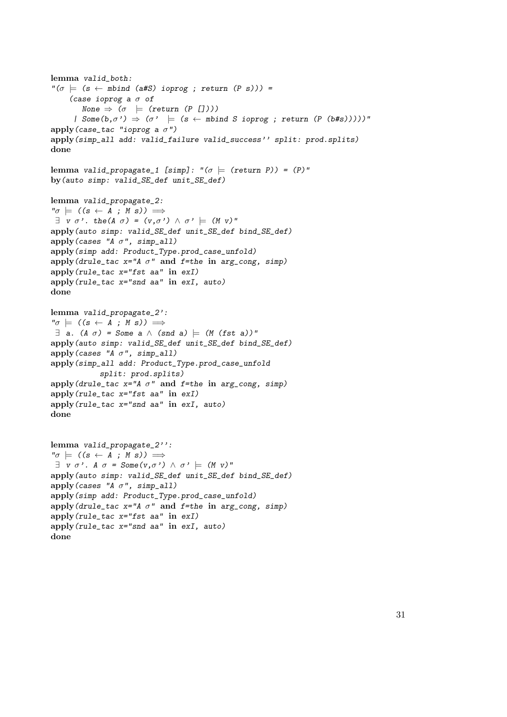```
lemma valid_both:
"\,(\sigma \models (s \leftarrow mbind (a#S) ioprog ; return (P s))) =
    (case ioprog a \sigma of
        None \Rightarrow (\sigma \models (return (P [])))
      | Some(b,\sigma') \Rightarrow (\sigma') = (s \leftarrow mbind S ioprog ; return (P (b#s)))))"
apply(case_tac "ioprog a \sigma")
apply(simp_all add: valid_failure valid_success'' split: prod.splits)
done
lemma valid_propagate_1 [simp]: "(\sigma \models (return P)) = (P)"
by(auto simp: valid_SE_def unit_SE_def)
lemma valid_propagate_2:
"\sigma = ((s \leftarrow A ; M s)) \implies\exists v \sigma'. the(A \sigma) = (v,\sigma') \wedge \sigma' \models (M v)"
apply(auto simp: valid_SE_def unit_SE_def bind_SE_def)
apply(cases "A \sigma", simp_all)
apply(simp add: Product_Type.prod_case_unfold)
apply(drule_tac x=''A \sigma'' and f=the in arg_cong, simp)
apply(rule_tac x="fst aa" in exI)
apply(rule_tac x="snd aa" in exI, auto)
done
lemma valid_propagate_2':
"\sigma = ((s \leftarrow A ; M s)) \implies\exists a. (A \sigma) = Some a \wedge (snd a) \models (M (fst a))"
apply(auto simp: valid_SE_def unit_SE_def bind_SE_def)
apply(cases "A \sigma", simp_all)
apply(simp_all add: Product_Type.prod_case_unfold
            split: prod.splits)
apply(drule_tac x=''A \sigma'' and f=the in arg_cong, simp)
apply(rule_tac x="fst aa" in exI)
apply(rule_tac x="snd aa" in exI, auto)
done
lemma valid_propagate_2'':
"\sigma = ((s \leftarrow A ; M s)) \implies\exists v \sigma'. A \sigma = Some(v,\sigma') \wedge \sigma' \models (M v)"
apply(auto simp: valid_SE_def unit_SE_def bind_SE_def)
apply(cases "A \sigma", simp_all)
apply(simp add: Product_Type.prod_case_unfold)
apply(drule_tac x=''A \sigma'' and f=the in arg_cong, simp)
apply(rule_tac x="fst aa" in exI)
apply(rule_tac x="snd aa" in exI, auto)
done
```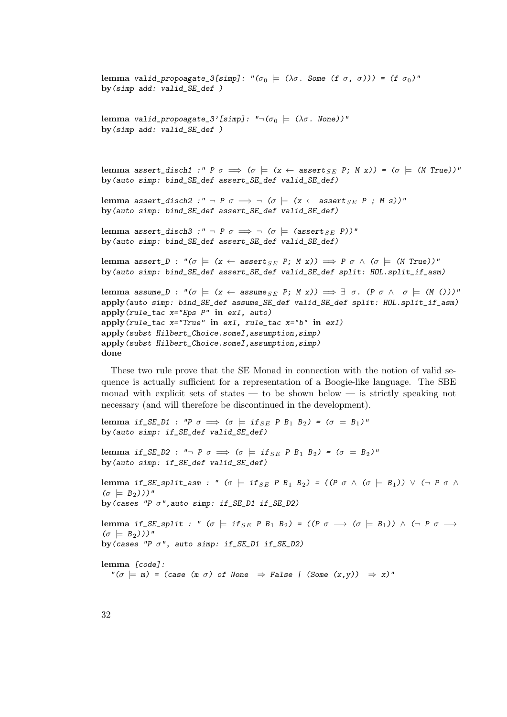```
lemma valid_propoagate_3[simp]: "(σ0 |= (λσ. Some (f σ, σ))) = (f σ0)"
by(simp add: valid_SE_def )
lemma valid_propoagate_3'[simp]: "\neg (\sigma_0 \models (\lambda \sigma \cdot \text{None}))"
by(simp add: valid_SE_def )
lemma assert_disch1 :" P \sigma \implies (\sigma \models (x \leftarrow \text{assert}_{SE} P; M x)) = (\sigma \models (M True))"
by(auto simp: bind_SE_def assert_SE_def valid_SE_def)
lemma assert_disch2 :" \neg P \sigma \implies \neg (\sigma \models (x \leftarrow \text{assert}_{SE} P; M s))"
by(auto simp: bind_SE_def assert_SE_def valid_SE_def)
lemma assert_disch3 :" \neg P \sigma \implies \neg (\sigma \models (assert _{SE} P))"
by(auto simp: bind_SE_def assert_SE_def valid_SE_def)
lemma assert_D : "(\sigma \models (x \leftarrow \text{assert}_{SE} P; M x)) \implies P \sigma \land (\sigma \models (M \text{True}))"
by(auto simp: bind_SE_def assert_SE_def valid_SE_def split: HOL.split_if_asm)
lemma assume_D : "(\sigma \models (x \leftarrow \text{assume}_{SE} P; M x)) \implies \exists \sigma. (P \sigma \land \sigma \models (M)))"
apply(auto simp: bind_SE_def assume_SE_def valid_SE_def split: HOL.split_if_asm)
apply(rule_tac x="Eps P" in exI, auto)
apply(rule_tac x="True" in exI, rule_tac x="b" in exI)
apply(subst Hilbert_Choice.someI,assumption,simp)
apply(subst Hilbert_Choice.someI,assumption,simp)
done
```
These two rule prove that the SE Monad in connection with the notion of valid sequence is actually sufficient for a representation of a Boogie-like language. The SBE monad with explicit sets of states — to be shown below — is strictly speaking not necessary (and will therefore be discontinued in the development).

lemma if\_SE\_D1 : "P  $\sigma \implies (\sigma \models \text{if}_{SE} \text{ } P \text{ } B_1 \text{ } B_2) = (\sigma \models B_1)$ " by(auto simp: if\_SE\_def valid\_SE\_def)

lemma if\_SE\_D2 : " $\neg$  P  $\sigma \implies (\sigma \models \text{if}_{SE} \text{ P } B_1 \text{ B}_2) = (\sigma \models B_2)$ " by(auto simp: if\_SE\_def valid\_SE\_def)

lemma if\_SE\_split\_asm : "  $(\sigma \models \text{if}_{SE} \, P \, B_1 \, B_2) = ((P \, \sigma \wedge (\sigma \models B_1)) \vee (\neg P \, \sigma \wedge B_2))$  $(\sigma \models B_2))$ " by(cases "P  $\sigma$ ", auto simp: if\_SE\_D1 if\_SE\_D2)

lemma if\_SE\_split : "  $(\sigma \models \text{if}_{SE} P B_1 B_2) = ((P \sigma \rightarrow (\sigma \models B_1)) \land (\neg P \sigma \rightarrow$  $(\sigma \models B_2))$ " by (cases "P  $\sigma$ ", auto simp: if\_SE\_D1 if\_SE\_D2)

lemma [code]:

 $"(\sigma \models m) = (\text{case } (m \space \sigma) \space \text{of None } \Rightarrow \text{False } | \text{ (Some } (x, y)) \Rightarrow x)"$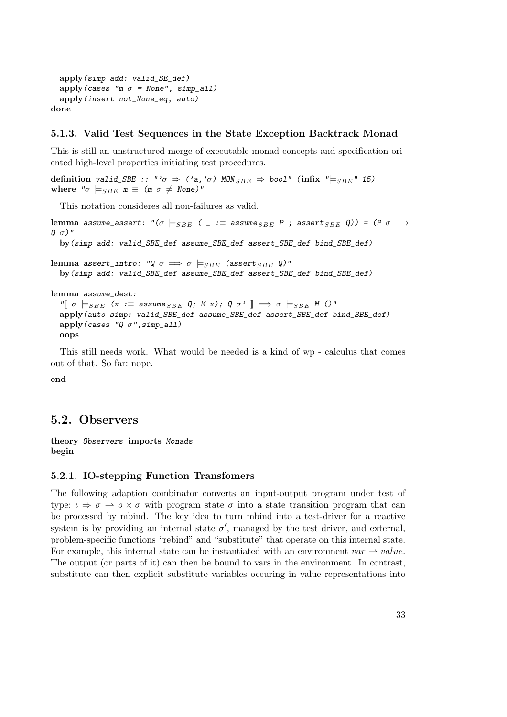```
apply(simp add: valid_SE_def)
 apply(cases "m \sigma = None", simp_all)
 apply(insert not_None_eq, auto)
done
```
#### <span id="page-32-0"></span>5.1.3. Valid Test Sequences in the State Exception Backtrack Monad

This is still an unstructured merge of executable monad concepts and specification oriented high-level properties initiating test procedures.

definition valid\_SBE :: "' $\sigma \Rightarrow$  ('a,' $\sigma$ ) MON  $_{SBE} \Rightarrow$  bool" (infix " $\models_{SBE}$ " 15) where " $\sigma \models_{SBE} m \equiv (m \sigma \neq None)'$ "

This notation consideres all non-failures as valid.

lemma assume\_assert: " $(\sigma \models_{SBE} ($  = := assume  $_{SBE} P$ ; assert  $_{SBE} Q$ ) =  $(P \sigma \rightarrow$  $Q \sigma$ )" by(simp add: valid\_SBE\_def assume\_SBE\_def assert\_SBE\_def bind\_SBE\_def) lemma assert\_intro: " $Q \sigma \implies \sigma \models_{SBE}$  (assert  $_{SBE} Q$ )" by(simp add: valid\_SBE\_def assume\_SBE\_def assert\_SBE\_def bind\_SBE\_def) lemma assume\_dest: " $[ \sigma \models_{SBE} (x := assume_{SBE} Q; M x); Q \sigma' ] \Rightarrow \sigma \models_{SBE} M ()$ " apply(auto simp: valid\_SBE\_def assume\_SBE\_def assert\_SBE\_def bind\_SBE\_def)

```
apply(cases "Q \sigma", simp_all)
```

```
oops
```
This still needs work. What would be needed is a kind of wp - calculus that comes out of that. So far: nope.

end

### <span id="page-32-1"></span>5.2. Observers

theory Observers imports Monads begin

#### <span id="page-32-2"></span>5.2.1. IO-stepping Function Transfomers

The following adaption combinator converts an input-output program under test of type:  $\iota \Rightarrow \sigma \rightarrow o \times \sigma$  with program state  $\sigma$  into a state transition program that can be processed by mbind. The key idea to turn mbind into a test-driver for a reactive system is by providing an internal state  $\sigma'$ , managed by the test driver, and external, problem-specific functions "rebind" and "substitute" that operate on this internal state. For example, this internal state can be instantiated with an environment  $var \rightarrow value$ . The output (or parts of it) can then be bound to vars in the environment. In contrast, substitute can then explicit substitute variables occuring in value representations into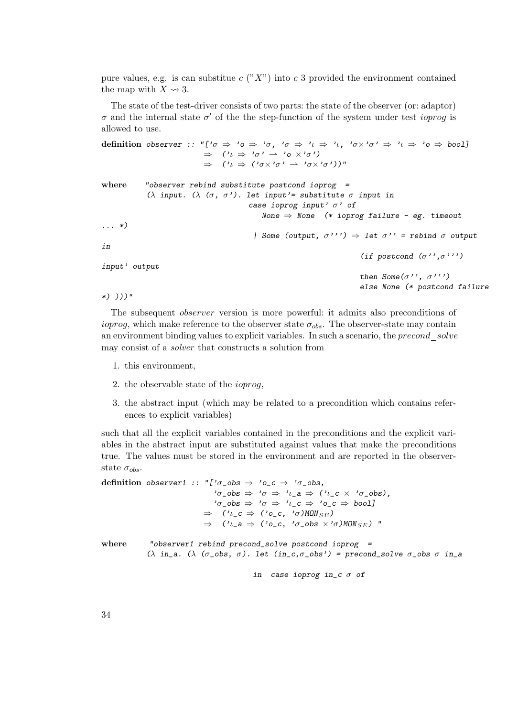pure values, e.g. is can substitue c  $({}^{\circ}X^{\circ})$  into c 3 provided the environment contained the map with  $X \rightsquigarrow 3$ .

The state of the test-driver consists of two parts: the state of the observer (or: adaptor) σ and the internal state  $σ'$  of the the step-function of the system under test *ioprog* is allowed to use.

definition observer :: "[' $\sigma \Rightarrow 'o \Rightarrow 'o$ , ' $\sigma \Rightarrow 'l \Rightarrow 'l$ , ' $\sigma \times 'o' \Rightarrow 'l \Rightarrow 'o \Rightarrow bool$ ]  $\Rightarrow$   $(2i \Rightarrow 2i \sigma \rightarrow \sigma \rightarrow 2i \sigma \rightarrow 2i \sigma \rightarrow 2i \sigma \rightarrow 2i \sigma \rightarrow 2i \sigma \rightarrow 2i \sigma \rightarrow 2i \sigma \rightarrow 2i \sigma \rightarrow 2i \sigma \rightarrow 2i \sigma \rightarrow 2i \sigma \rightarrow 2i \sigma \rightarrow 2i \sigma \rightarrow 2i \sigma \rightarrow 2i \sigma \rightarrow 2i \sigma \rightarrow 2i \sigma \rightarrow 2i \sigma \rightarrow 2i \sigma \rightarrow 2i \sigma \rightarrow 2i \sigma \rightarrow 2i \sigma \rightarrow 2i \sigma \rightarrow 2i \sigma \rightarrow 2i \sigma \rightarrow 2i \sigma \rightarrow 2i \sigma \rightarrow 2i \sigma \rightarrow 2i$  $\Rightarrow$   $(2i \Rightarrow (2i \sigma \times 2i \sigma \rightarrow \sigma \times 2i \sigma \sigma \rightarrow 0i))$ " where "observer rebind substitute postcond ioprog = (λ input. (λ (σ, σ'). let input'= substitute σ input in case ioprog input'  $\sigma'$  of None  $\Rightarrow$  None (\* ioprog failure - eg. timeout ... \*) | Some (output,  $\sigma^{\prime\prime}$ )  $\Rightarrow$  let  $\sigma^{\prime\prime}$  = rebind  $\sigma$  output in (if postcond  $(\sigma'$ ', $\sigma'$ '') input' output then  $Some(\sigma'', \sigma'')$ else None (\* postcond failure

\*) )))"

The subsequent observer version is more powerful: it admits also preconditions of *ioprog*, which make reference to the observer state  $\sigma_{obs}$ . The observer-state may contain an environment binding values to explicit variables. In such a scenario, the precond solve may consist of a solver that constructs a solution from

- 1. this environment,
- 2. the observable state of the ioprog,
- 3. the abstract input (which may be related to a precondition which contains references to explicit variables)

such that all the explicit variables contained in the preconditions and the explicit variables in the abstract input are substituted against values that make the preconditions true. The values must be stored in the environment and are reported in the observerstate  $\sigma_{obs}$ .

```
definition observer1 :: "['\sigma_obs \Rightarrow '\sigma_c \Rightarrow '\sigma_obs,
                                           'σ_obs ⇒ 'σ ⇒ 'ι_a ⇒ ('ι_c × 'σ_obs),
                                           i_{\sigma}\circ b s \Rightarrow i_{\sigma} \Rightarrow i_{\sigma} c \Rightarrow i_{\sigma} c \Rightarrow b o o l\Rightarrow ('\iota_{c} c \Rightarrow ('o_{c} c, '\sigma)MON<sub>SE</sub>)
                                       \Rightarrow ('\iota_{\mathsf{L}}a \Rightarrow ('o_{\mathsf{L}}c, '\sigma_{\mathsf{L}}obs \times'\sigma)MON_{SE}) "
where "observer1 rebind precond_solve postcond ioprog =
                 (\lambda in_a. (\lambda (\sigma_obs, \sigma). let (in_c,\sigma_obs') = precond_solve \sigma_obs \sigma in_a
                                                           in case ioprog in_c \sigma of
```
34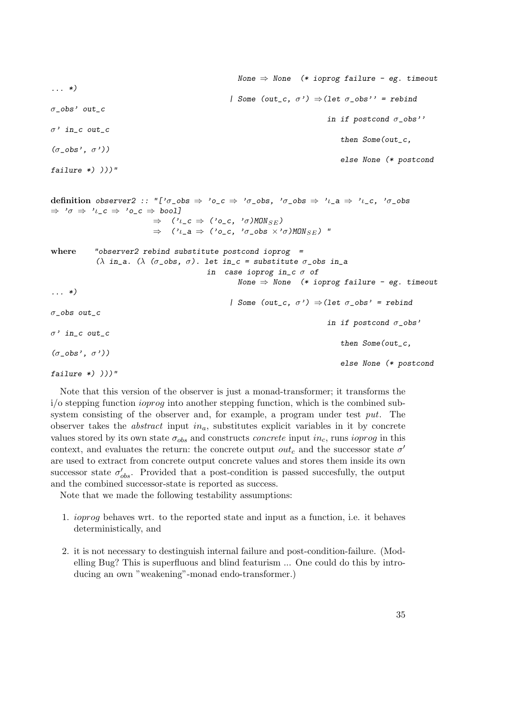None  $\Rightarrow$  None (\* ioprog failure - eg. timeout ... \*) | Some (out\_c,  $\sigma'$ )  $\Rightarrow$  (let  $\sigma$ \_obs'' = rebind  $\sigma_{\text{}}$ obs' out\_c in if postcond  $\sigma_{\text{e}}$ obs''  $\sigma$ ' in\_c out\_c then Some(out\_c,  $(\sigma_{\text{-obs}}', \sigma'))$ else None (\* postcond failure  $*)$   $))$ " definition observer2 :: "[' $\sigma$ \_obs  $\Rightarrow$  ' $\sigma$ \_c  $\Rightarrow$  ' $\sigma$ \_obs, ' $\sigma$ \_obs  $\Rightarrow$  ' $\iota$ \_a  $\Rightarrow$  ' $\iota$ \_c, ' $\sigma$ \_obs  $\Rightarrow '0 \Rightarrow 'l_{-}c \Rightarrow '0_{-}c \Rightarrow bool]$  $\Rightarrow$  (' $\iota_{c}c \Rightarrow$  (' $o_{c}c$ , ' $\sigma$ )MON<sub>SE</sub>)  $\Rightarrow$  (' $\iota_{\mathsf{L}}a \Rightarrow$  (' $o_{\mathsf{L}}c$ , ' $\sigma_{\mathsf{L}}obs \times$ ' $\sigma$ )MON $_{SE}$ ) " where "observer2 rebind substitute postcond ioprog = (λ in\_a. (λ (σ\_obs, σ). let in\_c = substitute σ\_obs in\_a in case ioprog in\_c  $\sigma$  of None  $\Rightarrow$  None (\* ioprog failure - eg. timeout ... \*) | Some (out\_c,  $\sigma$ ')  $\Rightarrow$  (let  $\sigma$ \_obs' = rebind σ\_obs out\_c in if postcond  $\sigma$ \_obs'  $\sigma$ ' in\_c out\_c then Some(out\_c,  $(\sigma$  obs',  $\sigma')$ ) else None (\* postcond failure  $*)$  )))"

Note that this version of the observer is just a monad-transformer; it transforms the  $i$ o stepping function *ioprog* into another stepping function, which is the combined subsystem consisting of the observer and, for example, a program under test put. The observer takes the *abstract* input  $in_a$ , substitutes explicit variables in it by concrete values stored by its own state  $\sigma_{obs}$  and constructs *concrete* input in<sub>c</sub>, runs ioprog in this context, and evaluates the return: the concrete output  $\mathit{out}_c$  and the successor state  $\sigma'$ are used to extract from concrete output concrete values and stores them inside its own successor state  $\sigma'_{obs}$ . Provided that a post-condition is passed succesfully, the output and the combined successor-state is reported as success.

Note that we made the following testability assumptions:

- 1. ioprog behaves wrt. to the reported state and input as a function, i.e. it behaves deterministically, and
- 2. it is not necessary to destinguish internal failure and post-condition-failure. (Modelling Bug? This is superfluous and blind featurism ... One could do this by introducing an own "weakening"-monad endo-transformer.)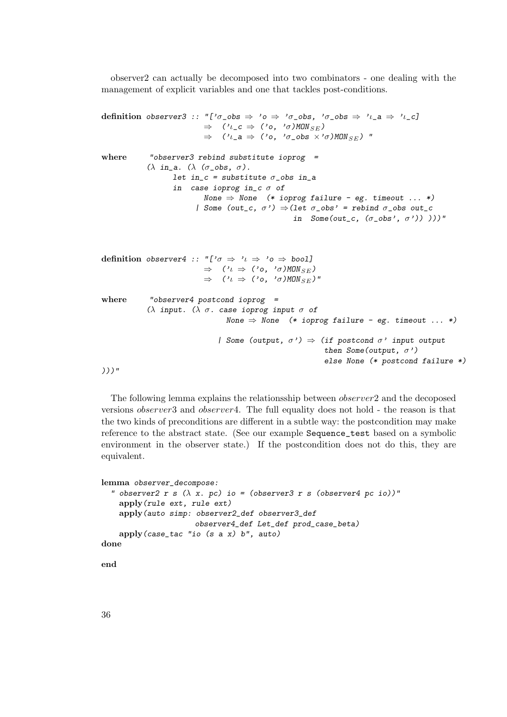observer2 can actually be decomposed into two combinators - one dealing with the management of explicit variables and one that tackles post-conditions.

```
definition observer3 :: "['\sigma_obs \Rightarrow 'o \Rightarrow '\sigma_obs, '\sigma_obs \Rightarrow '\iota_a \Rightarrow '\iota_c]
                                  \Rightarrow ('\iota_{c} c \Rightarrow ('o,'\sigma)MON<sub>SE</sub>)
                                  \Rightarrow ('\iota_{\perp}a \Rightarrow ('o, '\sigma_{\perp}obs \times'\sigma)MON<sub>SE</sub>) "
where "observer3 rebind substitute ioprog =
               (λ in_a. (λ (σ_obs, σ).
                       let in_c = substitute \sigma_obs in_a
                       in case ioprog in_c \sigma of
                                 None \Rightarrow None (* ioprog failure - eg. timeout ... *)
                               | Some (out_c, \sigma') \Rightarrow (let \sigma_obs' = rebind \sigma_obs out_c
                                                                in Some(out_c, (\sigma_{\text{e}}obs', \sigma')))))"
definition observer4 :: "['\sigma \Rightarrow 't \Rightarrow '0 \Rightarrow bool]
                                  \Rightarrow ('\iota \Rightarrow ('\circ, '\sigma)MON<sub>SE</sub>)
                                  \Rightarrow ('\iota \Rightarrow ('\circ, '\sigma)MON<sub>SE</sub>)"
where "observer4 postcond ioprog =
               (λ input. (λ σ. case ioprog input σ of
                                         None \Rightarrow None (* ioprog failure - eg. timeout ... *)
                                       | Some (output, \sigma') \Rightarrow (if postcond \sigma' input output
                                                                          then Some(output, \sigma')
                                                                          else None (* postcond failure *)
)))"
```
The following lemma explains the relationsship between observer2 and the decoposed versions observer3 and observer4. The full equality does not hold - the reason is that the two kinds of preconditions are different in a subtle way: the postcondition may make reference to the abstract state. (See our example Sequence\_test based on a symbolic environment in the observer state.) If the postcondition does not do this, they are equivalent.

```
lemma observer_decompose:
  " observer2 r s (\lambda x. pc) io = (observer3 r s (observer4 pc io))"
    apply(rule ext, rule ext)
    apply(auto simp: observer2_def observer3_def
                     observer4_def Let_def prod_case_beta)
    apply(case_tac "io (s a x) b", auto)
done
```
end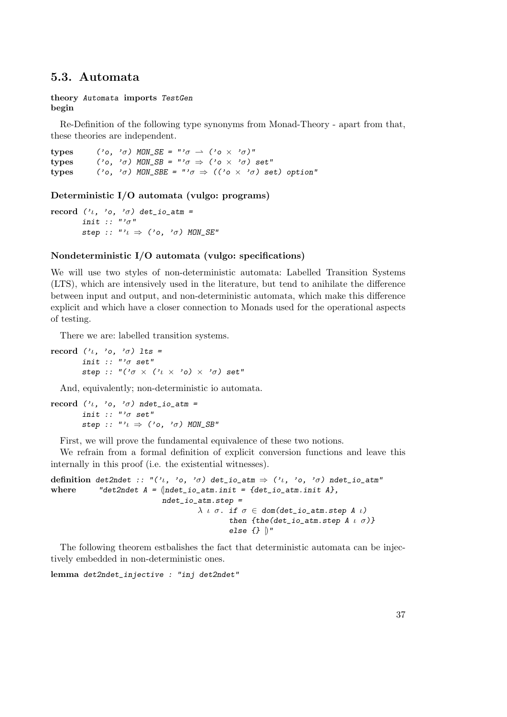# 5.3. Automata

### theory Automata imports TestGen begin

Re-Definition of the following type synonyms from Monad-Theory - apart from that, these theories are independent.

types ('o, ' $\sigma$ ) MON\_SE = "' $\sigma \rightharpoonup$  ('o  $\times$  ' $\sigma$ )" types ('o, ' $\sigma$ ) MON\_SB = "' $\sigma \Rightarrow$  ('o  $\times$  ' $\sigma$ ) set" types ('o, ' $\sigma$ ) MON\_SBE = "' $\sigma \Rightarrow$  (('o  $\times$  ' $\sigma$ ) set) option"

## Deterministic I/O automata (vulgo: programs)

record (' $\iota$ , 'o, ' $\sigma$ ) det\_io\_atm = init ::  $"'\sigma"$ step :: "' $\iota \Rightarrow$  ('o, ' $\sigma$ ) MON\_SE"

# Nondeterministic I/O automata (vulgo: specifications)

We will use two styles of non-deterministic automata: Labelled Transition Systems (LTS), which are intensively used in the literature, but tend to anihilate the difference between input and output, and non-deterministic automata, which make this difference explicit and which have a closer connection to Monads used for the operational aspects of testing.

There we are: labelled transition systems.

record  $('l, 'o, 'o)$  lts = init ::  $"\prime \sigma$  set" step :: " $(^{\prime}\sigma \times (^{\prime}\iota \times ^{\prime} \circ) \times ^{\prime} \sigma)$  set"

And, equivalently; non-deterministic io automata.

```
record ('\iota, 'o, '\sigma) ndet_io_atm =
         init :: "'\sigma set"
         step :: "'\iota \Rightarrow ('o, '\sigma) MON_SB"
```
First, we will prove the fundamental equivalence of these two notions.

We refrain from a formal definition of explicit conversion functions and leave this internally in this proof (i.e. the existential witnesses).

```
definition det2ndet :: "('\iota, 'o, '\sigma) det_io_atm \Rightarrow ('\iota, 'o, '\sigma) ndet_io_atm"
where "det2ndet A = \{ \text{ndet\_io\_atm.init} = \{ \text{det\_io\_atm.init} \ A} \},ndet_io_atm.step =
                                             \lambda \iota \sigma. if \sigma \in dom(det\_io\_atm.step A \iota)then \{the(det\_io\_atm.step A \cup \sigma)\}else \{\} \|"
```
The following theorem estbalishes the fact that deterministic automata can be injectively embedded in non-deterministic ones.

lemma det2ndet\_injective : "inj det2ndet"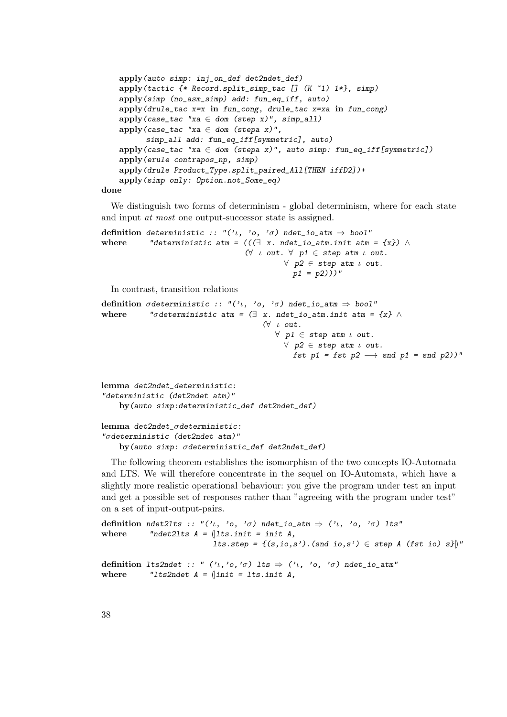```
apply(auto simp: inj_on_def det2ndet_def)
apply(tactic {* Record.split_simp_tac [] (K ~1) 1*}, simp)
apply(simp (no_asm_simp) add: fun_eq_iff, auto)
apply(drule_tac x=x in fun_cong, drule_tac x=xa in fun_cong)
apply(case_tac "xa \in dom (step x)", simp_all)
apply(case_tac "xa \in dom (stepa x)",
      simp_all add: fun_eq_iff[symmetric], auto)
apply(case_tac "xa \in dom (stepa x)", auto simp: fun_eq_iff[symmetric])
apply(erule contrapos_np, simp)
apply(drule Product_Type.split_paired_All[THEN iffD2])+
apply(simp only: Option.not_Some_eq)
```
### done

We distinguish two forms of determinism - global determinism, where for each state and input at most one output-successor state is assigned.

definition deterministic :: "(' $\iota$ , 'o, ' $\sigma$ ) ndet\_io\_atm  $\Rightarrow$  bool" where "deterministic atm =  $((\exists x. \text{ndet\_io\_atm}.init \text{atm = } {x}) \wedge$  $(\forall u \text{ out. } \forall p1 \in \text{step atm } u \text{ out.})$  $\forall$  p2  $\in$  step atm  $\iota$  out.  $p1 = p2)$ )"

In contrast, transition relations

```
definition \sigmadeterministic :: "('l, 'o, '\sigma) ndet_io_atm \Rightarrow bool"
where "\sigmadeterministic atm = (\exists x. \text{ndet\_io\_atm.init atm} = \{x\} \wedge(\forall \iota \text{ out.}\forall p1 \in step atm \iota out.
                                                         \forall p2 \in step atm \iota out.
                                                            fst p1 = fst p2 \rightarrow snd p1 = snd p2))"
```

```
lemma det2ndet_deterministic:
"deterministic (det2ndet atm)"
   by(auto simp:deterministic_def det2ndet_def)
```

```
lemma det2ndet_σdeterministic:
"σdeterministic (det2ndet atm)"
   by(auto simp: σdeterministic_def det2ndet_def)
```
The following theorem establishes the isomorphism of the two concepts IO-Automata and LTS. We will therefore concentrate in the sequel on IO-Automata, which have a slightly more realistic operational behaviour: you give the program under test an input and get a possible set of responses rather than "agreeing with the program under test" on a set of input-output-pairs.

```
definition ndet2lts :: "('\iota, 'o, '\sigma) ndet_io_atm \Rightarrow ('\iota, 'o, '\sigma) lts"
where "ndet21ts A = \langle1ts.init = init A,
                               lts.step = \{(s, i\,0, s') \nvert (s\,0, s') \in \text{step A} \text{ (fst io) s}\}\definition lts2ndet :: " (2i, 2i) lts \Rightarrow (2i, 2i) \sigma) ndet_io_atm"
where \blacksquare lts2ndet A = \{init = Its.init A,
```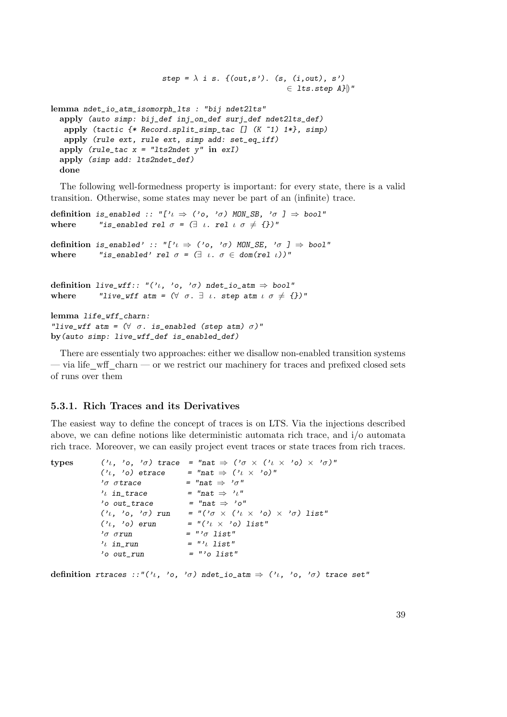```
step = \lambda i s. {(out,s'). (s, (i,out), s')
                                                       \in lts.step A}\parallel"
lemma ndet_io_atm_isomorph_lts : "bij ndet2lts"
 apply (auto simp: bij_def inj_on_def surj_def ndet2lts_def)
   apply (tactic {* Record.split_simp_tac [] (K ~1) 1*}, simp)
  apply (rule ext, rule ext, simp add: set_eq_iff)
 apply (rule_tac x = "lts2ndet y" in exI)
 apply (simp add: lts2ndet_def)
 done
```
The following well-formedness property is important: for every state, there is a valid transition. Otherwise, some states may never be part of an (infinite) trace.

```
definition is_enabled :: "['\iota \Rightarrow ('o, '\sigma) MON_SB, '\sigma ] \Rightarrow bool"
where "is_enabled rel \sigma = (\exists \iota \ldots \text{rel } \iota \sigma \neq \{\})"
definition is_enabled' :: "['\iota \Rightarrow ('o, '\sigma) MON_SE, '\sigma ] \Rightarrow bool"
where "is_enabled' rel \sigma = (\exists \iota \ldots \sigma \in \text{dom}(\text{rel } \iota))"
definition live_wff:: "('\iota, 'o, '\sigma) ndet_io_atm \Rightarrow bool"
where "live_wff atm = (\forall \sigma. \exists \iota. step atm \iota \sigma \neq \{\})"
lemma life_wff_charn:
"live_wff atm = (\forall \sigma \cdot \text{is\_enabled} (\text{step atm}) \sigma)'"
by(auto simp: live_wff_def is_enabled_def)
```
There are essentialy two approaches: either we disallow non-enabled transition systems — via life wff charn — or we restrict our machinery for traces and prefixed closed sets of runs over them

# 5.3.1. Rich Traces and its Derivatives

The easiest way to define the concept of traces is on LTS. Via the injections described above, we can define notions like deterministic automata rich trace, and i/o automata rich trace. Moreover, we can easily project event traces or state traces from rich traces.

types  $(\lambda_1, \lambda_0, \lambda_0)$  trace = "nat  $\Rightarrow (\lambda_0 \times (\lambda_1 \times \lambda_0) \times (\lambda_0 \times \lambda_0))$ "  $('l, 'o)$  etrace = "nat  $\Rightarrow$   $('l \times 'o)$ " 'σ σtrace =  $"nat \Rightarrow 'o"$ ' $\iota$  in\_trace = "nat  $\Rightarrow$  ' $\iota$ "  $'o$  out\_trace = "nat  $\Rightarrow$  'o" (' $\iota$ , 'o, ' $\sigma$ ) run = "(' $\sigma \times$  (' $\iota \times$  'o)  $\times$  ' $\sigma$ ) list" (' $\iota$ , 'o) erun = "(' $\iota$  x 'o) list"  $'σ σrun$  = " $'σ list"$  $i_l$  in\_run = "' $i_l$  list"  $'o$  out\_run =  $''o$  list"

definition rtraces ::"(' $\iota$ , 'o, ' $\sigma$ ) ndet\_io\_atm  $\Rightarrow$  (' $\iota$ , 'o, ' $\sigma$ ) trace set"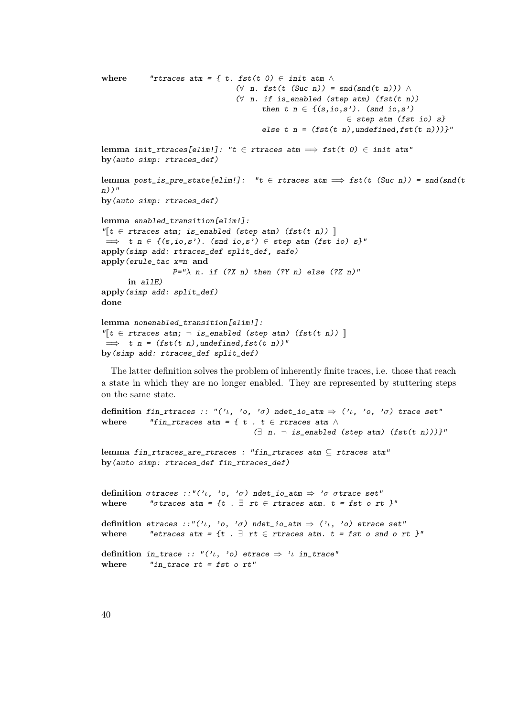```
where "rtraces atm = { t. fst(t 0) \in init atm \wedge(∀ n. fst(t (Suc n)) = snd(snd(t n))) ∧(∀ n. if is\_enabled (step atm) (fst(t n)))then t n \in \{ (s, i_0, s') \text{. (snd } i_0, s') \}∈ step atm (fst io) s}
                                         else t n = (fst(t n), undefined,fst(t n)))"
lemma init_rtraces[elim!]: "t \in rtraces atm \implies fst(t 0) \in init atm"
by(auto simp: rtraces_def)
lemma post_is_pre_state[elim!]: "t \in rtraces atm \implies fst(t (Suc n)) = snd(snd(t
n))"
by(auto simp: rtraces_def)
lemma enabled_transition[elim!]:
\mathbb{I}^{\mathbb{T}}t \in rtraces atm; is_enabled (step atm) (fst(t n)) \mathbb{I}\Rightarrow t n \in {(s,io,s'). (snd io,s') \in step atm (fst io) s}"
apply(simp add: rtraces_def split_def, safe)
apply(erule_tac x=n and
                  P="\lambda n. if (?X n) then (?Y n) else (?Z n)"
      in allE)
apply(simp add: split_def)
done
lemma nonenabled_transition[elim!]:
\mathbb{I}[t \in \text{traces atm}; \neg \text{ is\_enabeled (step atm)} (\text{fst}(t n))\implies t n = (fst(t n),undefined,fst(t n))"
by(simp add: rtraces_def split_def)
```
The latter definition solves the problem of inherently finite traces, i.e. those that reach a state in which they are no longer enabled. They are represented by stuttering steps on the same state.

```
definition fin_rtraces :: "('\iota, 'o, 'o) ndet_io_atm \Rightarrow ('\iota, 'o, 'o) trace set"
where "fin_rtraces atm = { t . t \in rtraces atm \wedge\exists n. \neg is_enabled (step atm) (fst(t n)))}"
lemma fin_rtraces_are_rtraces : "fin_rtraces atm \subseteq rtraces atm"
by(auto simp: rtraces_def fin_rtraces_def)
definition \sigmatraces ::"('\iota, 'o, '\sigma) ndet_io_atm \Rightarrow '\sigma \sigmatrace set"
where "\sigmatraces atm = {t . \exists rt \in rtraces atm. t = fst o rt }"
definition etraces ::"('\iota, 'o, '\sigma) ndet_io_atm \Rightarrow ('\iota, 'o) etrace set"
where "etraces atm = {t . \exists rt \in rtraces atm. t = fst o snd o rt }"
definition in_trace :: "('\iota, 'o) etrace \Rightarrow '\iota in_trace"
where \qquad "in_trace rt = fst o rt"
```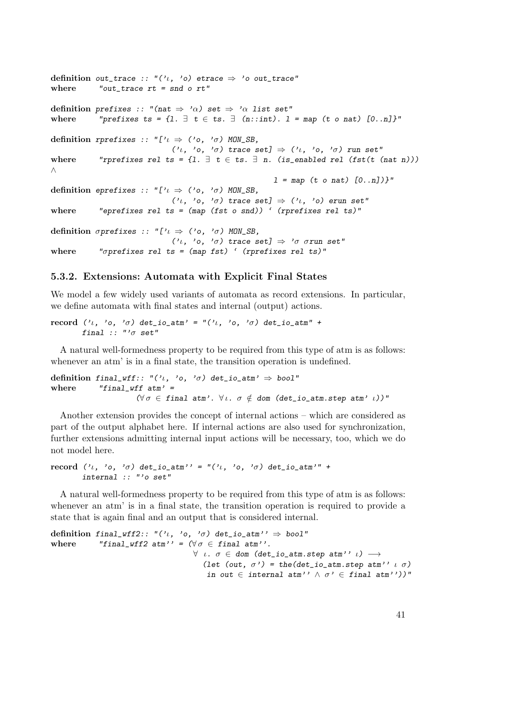```
definition out_trace :: "('\iota, 'o) etrace \Rightarrow 'o out_trace"
where "out\_trace rt = snd o rt"definition prefixes :: "(nat \Rightarrow 'a) set \Rightarrow 'a list set"
where "prefixes ts = {1. \exists t \in ts. \exists (n::int). 1 = map (t o nat) [0..n]}"
definition rprefixes :: "['\iota \Rightarrow ('o, '\sigma) MON_SB,
                                  ('\iota, 'o, '\sigma) trace set] \Rightarrow ('\iota, 'o, '\sigma) run set"
where "rprefixes rel ts = {1. \exists t \in ts. \exists n. (is_enabled rel (fst(t (nat n)))
∧
                                                                1 = map (t on at) [0..n])"
definition eprefixes :: "['\iota \Rightarrow ('o, '\sigma) MON_SB,
                                  ('\iota, 'o, '\sigma) trace set] \Rightarrow ('\iota, 'o) erun set"
where "eprefixes rel ts = (\text{map (fst o sand)}) ' (rprefixes rel ts)"
definition \sigmaprefixes :: "['\iota \Rightarrow ('o, '\sigma) MON_SB,
                                  ('\iota, 'o, '\sigma) trace set] \Rightarrow '\sigma \sigmarun set"
where \blacksquare "\sigmaprefixes rel ts = (map fst) ' (rprefixes rel ts)"
```
# 5.3.2. Extensions: Automata with Explicit Final States

We model a few widely used variants of automata as record extensions. In particular, we define automata with final states and internal (output) actions.

record (' $\iota$ , 'o, ' $\sigma$ ) det\_io\_atm' = "(' $\iota$ , 'o, ' $\sigma$ ) det\_io\_atm" + final ::  $"'\sigma$  set"

A natural well-formedness property to be required from this type of atm is as follows: whenever an atm' is in a final state, the transition operation is undefined.

definition final\_wff:: "(' $\iota$ , 'o, ' $\sigma$ ) det\_io\_atm'  $\Rightarrow$  bool" where  $"final_wff atm' =$  $(\forall \sigma \in \text{final atm'}$ .  $\forall \iota$ .  $\sigma \notin$  dom (det\_io\_atm.step atm'  $\iota$ ))"

Another extension provides the concept of internal actions – which are considered as part of the output alphabet here. If internal actions are also used for synchronization, further extensions admitting internal input actions will be necessary, too, which we do not model here.

record  $(1, 1, 0, 0)$  det\_io\_atm'' = " $(1, 0, 0, 0)$  det\_io\_atm'" + internal :: "'o set"

A natural well-formedness property to be required from this type of atm is as follows: whenever an atm' is in a final state, the transition operation is required to provide a state that is again final and an output that is considered internal.

definition final\_wff2:: "(' $\iota$ , 'o, ' $\sigma$ ) det\_io\_atm''  $\Rightarrow$  bool" where "final\_wff2 atm'' =  $(\forall \sigma \in \text{final atm}'')$ .  $\forall$   $\iota$ .  $\sigma \in$  dom (det\_io\_atm.step atm''  $\iota$ )  $\longrightarrow$ (let (out,  $\sigma'$ ) = the(det\_io\_atm.step atm''  $\iota$   $\sigma$ ) in out  $\in$  internal atm''  $\land \sigma' \in$  final atm''))"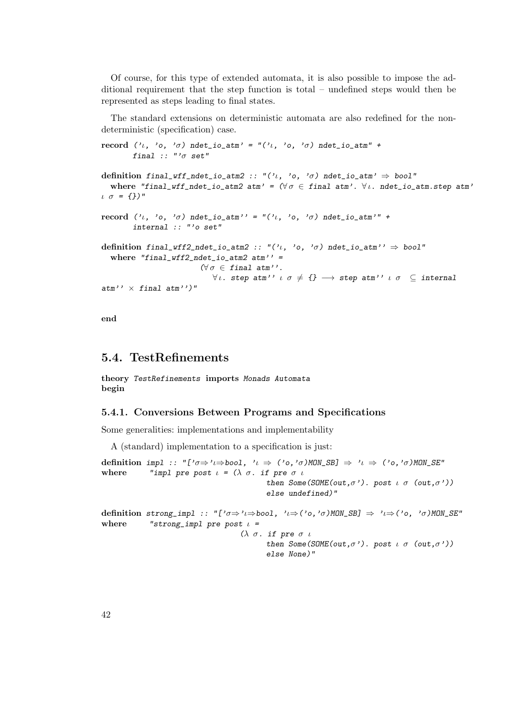Of course, for this type of extended automata, it is also possible to impose the additional requirement that the step function is total – undefined steps would then be represented as steps leading to final states.

The standard extensions on deterministic automata are also redefined for the nondeterministic (specification) case.

```
record ('ι, 'o, 'σ) ndet_io_atm' = "('ι, 'o, 'σ) ndet_io_atm" +
       final :: "'\sigma set"
```

```
definition final_wff_ndet_io_atm2 :: "('\iota, 'o, '\sigma) ndet_io_atm' \Rightarrow bool"
  where "final_wff_ndet_io_atm2 atm' = (\forall \sigma \in \text{final atm'}. \forall \iota. ndet_io_atm.step atm'
\iota \sigma = \{\})"
```

```
record (v_1, 'o, 'o) ndet_io_atm'' = "(v_1, 'o, 'o) ndet_io_atm'" +
       internal :: "'o set"
```

```
definition final_wff2_ndet_io_atm2 :: "('\iota, 'o, 'o) ndet_io_atm'' \Rightarrow bool"
  where "final_wff2_ndet_io_atm2 atm'' =
                                (\forall \sigma \in \text{final atm}''.\forall \iota. step atm'' \iota \sigma \neq \{\} \longrightarrow step atm'' \iota \sigma \subseteq internal
```
end

# 5.4. TestRefinements

 $atm'$   $\times$  final  $atm'$ )"

theory TestRefinements imports Monads Automata begin

# 5.4.1. Conversions Between Programs and Specifications

Some generalities: implementations and implementability

A (standard) implementation to a specification is just:

definition impl :: "[' $\sigma \Rightarrow 'l \Rightarrow$ bool, ' $l \Rightarrow ('o, 'o)$ MON\_SB]  $\Rightarrow 'l \Rightarrow ('o, 'o)$ MON\_SE" where "impl pre post  $\iota = (\lambda \sigma)$ . if pre  $\sigma \iota$ then Some(SOME(out, $\sigma'$ ). post  $\iota \sigma$  (out, $\sigma'$ )) else undefined)" definition strong\_impl :: "[' $\sigma \Rightarrow 'l \Rightarrow$ bool, ' $l \Rightarrow ('o, 'o)$ MON\_SB]  $\Rightarrow 'l \Rightarrow ('o, 'o)$ MON\_SE" where "strong\_impl pre post  $\iota$  = ( $λ σ.$  if pre  $σι$ then Some(SOME(out, $\sigma$ '). post  $\iota$   $\sigma$  (out, $\sigma$ ')) else None)"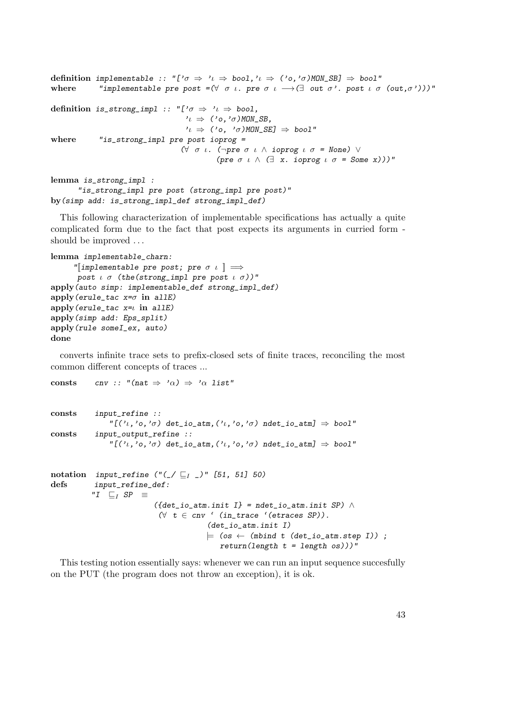```
definition implementable :: "['\sigma \Rightarrow ' \iota \Rightarrow bool,'\iota \Rightarrow ('o, 'o)MON_SB] \Rightarrow bool"
where "implementable pre post =(\forall \sigma \iota \cdot \text{pre } \sigma \iota \rightarrow (\exists \text{ out } \sigma \iota \cdot \text{post } \iota \sigma \text{ (out, } \sigma \iota)) )"
definition is_strong_impl :: "['\sigma \Rightarrow 'l \Rightarrow bool,
                                                v_l \Rightarrow ('o,'σ)MON_SB,
                                                v_l \Rightarrow ('o, 'σ)MON_SE] \Rightarrow bool"
where "is_strong_impl pre post ioprog =
                                              (∀ σ ι. (¬pre σ ι ∧ ioprog ι σ = None) ∨
                                                           (pre \sigma \iota \wedge (\exists x. ioprog \iota \sigma = Some x)))"
lemma is_strong_impl :
```

```
"is_strong_impl pre post (strong_impl pre post)"
by(simp add: is_strong_impl_def strong_impl_def)
```
This following characterization of implementable specifications has actually a quite complicated form due to the fact that post expects its arguments in curried form should be improved . . .

```
lemma implementable_charn:
      "[implementable pre post; pre \sigma \iota ] \Longrightarrowpost \iota \sigma (the(strong_impl pre post \iota \sigma))"
apply(auto simp: implementable_def strong_impl_def)
apply(erule_tac x=\sigma in allE)
apply(crule\_tac x=1 in allE)apply(simp add: Eps_split)
apply(rule someI_ex, auto)
done
```
consts cnv :: "(nat  $\Rightarrow$  ' $\alpha$ )  $\Rightarrow$  ' $\alpha$  list"

converts infinite trace sets to prefix-closed sets of finite traces, reconciling the most common different concepts of traces ...

```
consts input_refine ::
                "[('\iota,'o,'\sigma) det_io_atm,('\iota,'o,'\sigma) ndet_io_atm] \Rightarrow bool"
consts input_output_refine ::
                \mathbb{P}[(\nu_1,\nu_0,\nu_0)] det_io_atm,(\nu_1,\nu_0,\nu_0)] ndet_io_atm] \Rightarrow bool"
notation input_refine ("(_/ \rvert _I ^)" [51, 51] 50)defs input_refine_def:
           "I \sqsubset_I SP \equiv({\{ det\_io\_atm.init I\}} = nder\_io\_atm.init SP) \wedge(∀ t ∈ env ' (in_time ' (etraces SP)).(det_io_atm.init I)
                                           \models (os \leftarrow (mbind t (det_io_atm.step I));
                                              return(length t = length os)))"
```
This testing notion essentially says: whenever we can run an input sequence succesfully on the PUT (the program does not throw an exception), it is ok.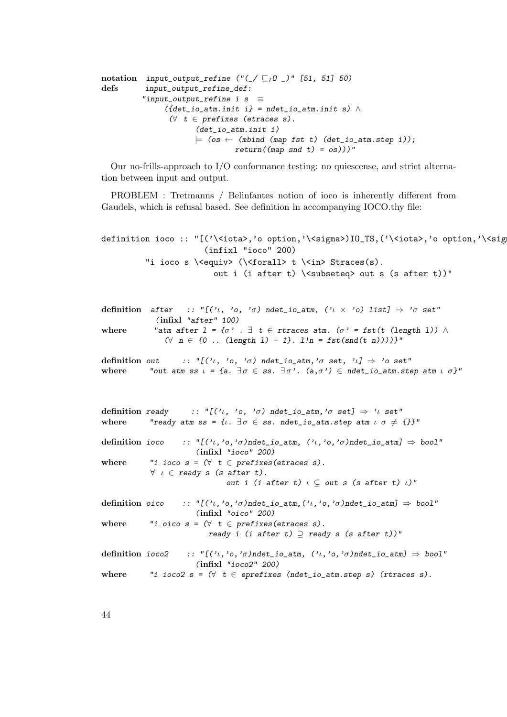```
notation input_output_refine ("(_/ \sqsubseteq_l 0 \_)" [51, 51] 50)
defs input_output_refine_def:
           "input_output_refine i s \equiv({\{ det\_io\_atm.init \ i\}} = \text{ndet\_io\_atm.init \ s) } \wedge(∀ t ∈ prefixes (etraces s).(det_io_atm.init i)
                         \models (os \leftarrow (mbind (map fst t) (det_io_atm.step i));
                                   return((map \; end \; t) = os)))"
```
Our no-frills-approach to I/O conformance testing: no quiescense, and strict alternation between input and output.

PROBLEM : Tretmanns / Belinfantes notion of ioco is inherently different from Gaudels, which is refusal based. See definition in accompanying IOCO.thy file:

```
definition ioco :: "[('\<iota>,'o option,'\<sigma>)IO_TS,('\<iota>,'o option,'\<sig
                      (infixl "ioco" 200)
         "i ioco s \<equiv> (\xi) (\\time{in} t \\timp Straces(s).
                        out i (i after t) \langlesubseteq> out s (s after t))"
```

```
definition after :: "[('ι, 'o, 'σ) ndet_io_atm, ('ι × 'o) list] ⇒ 'σ set"
                                     (infixl "after" 100)
where "atm after l = \{\sigma^j : \exists t \in \text{traces} \text{ atm}. (\sigma^j = \text{fst}(t \text{ (length } 1)) \land \sigma^j = \text{b} \text{ at } \sigma^j \text{ and } \sigma^j \text{ is the same set } \sigma^j \text{ at } \sigma^j \text{ is the same set } \sigma^j \text{ at } \sigma^j \text{ is the same set } \sigma^j \text{ at } \sigma^j \text{ is the same set } \sigma^j \text{ at } \sigma^j \text{ is the same set } \sigma^j \text{ at } \sigma^j \text{ is the same set } \sigma^j \text{ at } \sigma^j \text{( \forall n \in \{0 \dots (length 1) - 1\}. 1!n = \text{fst}(\text{snd}(t n))))
```
definition out :: " $[(\ell_1, \ell_0, \ell_0)$  ndet\_io\_atm, ' $\sigma$  set,  $[\ell] \Rightarrow \ell_0$  set" where "out atm ss  $\iota = {\{a : \exists \sigma \in \mathbf{ss} \colon \exists \sigma'. \ (\mathbf{a}, \sigma') \in \mathbf{ndet\_io\_atm}.\text{step atm} \ \iota \ \sigma\}}$ "

```
definition ready :: "[(i, 'o, 'o) ndet_io_atm,'\sigma set] \Rightarrow 'l set"
where "ready atm ss = {\iota. \exists \sigma \in \mathsf{ss}. ndet_io_atm.step atm \iota \sigma \neq \{\}}"
definition ioco :: "[(\partial_t, \partial_t, \partial_t)]ndet_io_atm, (\partial_t, \partial_t, \partial_t)]ndet_io_atm] \Rightarrow bool"
                            (infixl "ioco" 200)
where "i ioco s = (\forall t \in prefixes(etraces s)).\forall \iota \in ready s (s after t).
                                      out i (i after t) \iota \subseteq out s (s after t) \iota)"
definition oico :: "[(\ell_1, \ell_0, \ell_0)ndet_io_atm,(\ell_1, \ell_0, \ell_0)ndet_io_atm] \Rightarrow bool"
                            (infixl "oico" 200)
where "i oico s = (\forall t \in \text{prefixes}(\text{etraces } s)).
                                ready i (i after t) \supseteq ready s (s after t))"
definition ioco2 :: "[(\ell_1, \ell_0, \ell_0)ndet_io_atm, (\ell_1, \ell_0, \ell_0)ndet_io_atm] \Rightarrow bool"
                            (infixl "ioco2" 200)
where "i ioco2 s = (\forall t \in \text{eprefixes} (ndet\_io\_atm.setp s) (trraces s).
```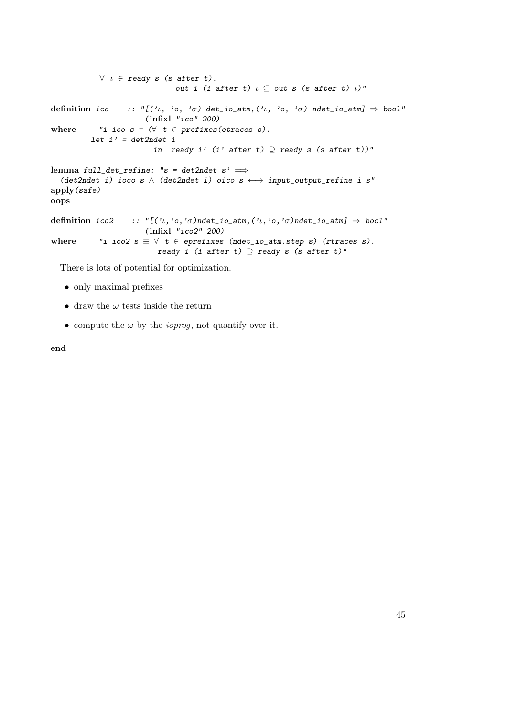$\forall$   $\iota \in$  ready s (s after t). out i (i after t)  $\iota \subseteq$  out s (s after t)  $\iota$ )" definition ico :: " $[(\iota, \iota, \iota, \iota)]$  det\_io\_atm, $(\iota, \iota, \iota)$  ndet\_io\_atm]  $\Rightarrow$  bool" (infixl "ico" 200) where "i ico  $s = (\forall t \in prefixes(etraces s)).$  $let i' = det2ndet i$ in ready i' (i' after t)  $\supseteq$  ready s (s after t))" lemma full\_det\_refine: "s = det2ndet s'  $\implies$ (det2ndet i) ioco s  $\wedge$  (det2ndet i) oico s  $\longleftrightarrow$  input\_output\_refine i s" apply(safe) oops definition ico2 :: " $[(\ell_1, \ell_0, \ell_0)$ ndet\_io\_atm, $(\ell_1, \ell_0, \ell_0)$ ndet\_io\_atm]  $\Rightarrow$  bool" (infixl "ico2" 200) where "i ico2  $s \equiv \forall t \in$  eprefixes (ndet\_io\_atm.step s) (rtraces s). ready i (i after t)  $\supseteq$  ready s (s after t)"

There is lots of potential for optimization.

- only maximal prefixes
- draw the  $\omega$  tests inside the return
- compute the  $\omega$  by the *ioprog*, not quantify over it.

end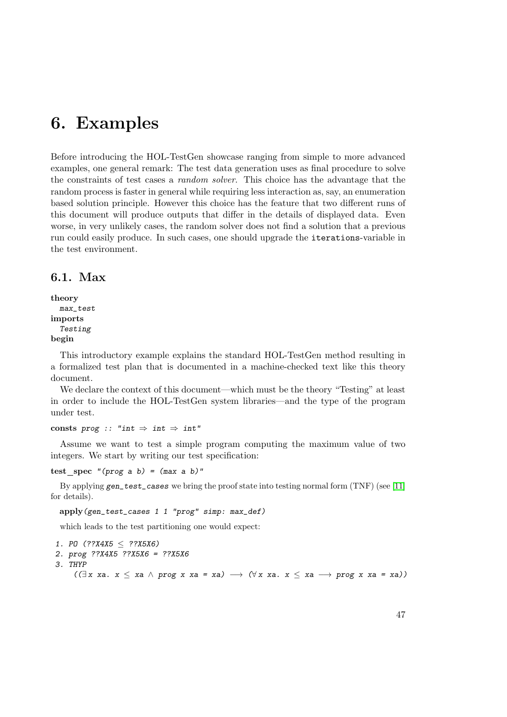# 6. Examples

Before introducing the HOL-TestGen showcase ranging from simple to more advanced examples, one general remark: The test data generation uses as final procedure to solve the constraints of test cases a random solver. This choice has the advantage that the random process is faster in general while requiring less interaction as, say, an enumeration based solution principle. However this choice has the feature that two different runs of this document will produce outputs that differ in the details of displayed data. Even worse, in very unlikely cases, the random solver does not find a solution that a previous run could easily produce. In such cases, one should upgrade the iterations-variable in the test environment.

# 6.1. Max

```
theory
  max_test
imports
  Testing
begin
```
This introductory example explains the standard HOL-TestGen method resulting in a formalized test plan that is documented in a machine-checked text like this theory document.

We declare the context of this document—which must be the theory "Testing" at least in order to include the HOL-TestGen system libraries—and the type of the program under test.

consts prog :: "int  $\Rightarrow$  int  $\Rightarrow$  int"

Assume we want to test a simple program computing the maximum value of two integers. We start by writing our test specification:

test spec "(prog a b) =  $(max a b)$ "

By applying gen\_test\_cases we bring the proof state into testing normal form (TNF) (see [\[11\]](#page-114-0) for details).

```
apply(gen_test_cases 1 1 "prog" simp: max_def)
```
which leads to the test partitioning one would expect:

```
1. PO (??X4X5 \leq ??X5X6)2. prog ??X4X5 ??X5X6 = ??X5X6
3. THYP
       ((\exists x \ x \land x \leq x \land p \text{rog } x \text{ xa } = x \text{a}) \rightarrow (\forall x \ x \text{a}. x \leq x \text{a} \rightarrow p \text{rog } x \text{ xa } = x \text{a}))
```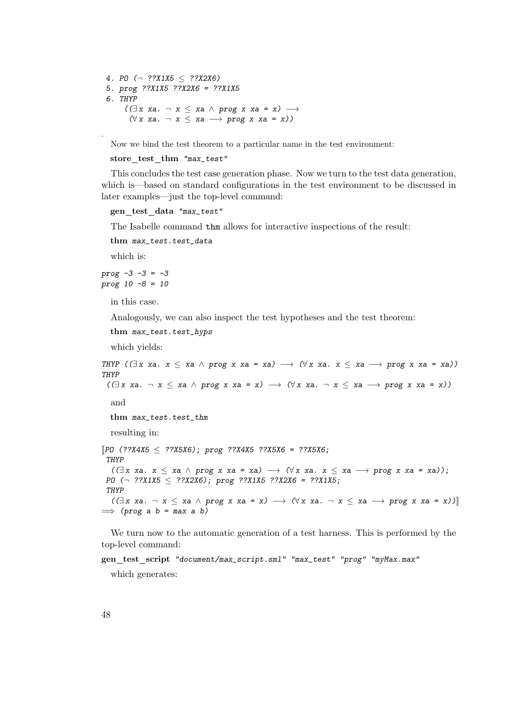4. PO  $(\neg$  ??X1X5  $\leq$  ??X2X6) 5. prog ??X1X5 ??X2X6 = ??X1X5 6. THYP  $((\exists x \; xa. \; \neg \; x \leq xa \; \wedge \; prog \; x \; xa = x) \rightarrow$  $(\forall x \ xa. \neg x \leq xa \rightarrow prog \ x \ xa = x))$ 

Now we bind the test theorem to a particular name in the test environment:

store test thm "max\_test"

This concludes the test case generation phase. Now we turn to the test data generation, which is—based on standard configurations in the test environment to be discussed in later examples—just the top-level command:

```
gen test data "max_test"
```
The Isabelle command thm allows for interactive inspections of the result:

```
thm max_test.test_data
```
which is:

.

```
prog -3 -3 = -3
prog 10 -8 = 10
```
in this case.

Analogously, we can also inspect the test hypotheses and the test theorem:

thm max\_test.test\_hyps

which yields:

```
THYP ((\exists x \ xa. \ x \leq xa \land prog x \ xa = xa) \rightarrow (\forall x \ xa. \ x \leq xa \rightarrow prog x \ xa = xa))
THYP
  ((\exists x \ xa. \neg x \leq xa \land prog x \ xa = x) \rightarrow (\forall x \ xa. \neg x \leq xa \rightarrow prog x \ xa = x))and
    thm max_test.test_thm
    resulting in:
[PO (??X4X5 \le ??X5X6); prog ??X4X5 ??X5X6 = ??X5X6;THYP
    ((\exists x \ xa. \ x \leq xa \land prog \ x \ xa = xa) \rightarrow (\forall x \ xa. \ x \leq xa \rightarrow prog \ x \ xa = xa));PO (¬ ??X1X5 ≤ ??X2X6); prog ??X1X5 ??X2X6 = ??X1X5;
 THYP
    ((\exists x \ x \land \neg x \leq x \land \neg p \lor x \ x \land \neg x \leq x \land \neg x \leq x \land \neg x \leq x \land \neg p \lor x \ x \land \neg x \leq x \land \neg x \leq x \land \neg x \leq x \land \neg x \leq x \land \neg x \leq x \land \neg x \leq x \land \neg x \leq x \land \neg x \leq x \land \neg x \leq x \land \neg x \leq x \land \neg x \leq x \land \neg x \leq x \land \neg x \leq x \land \neg x \leq x \land \neg x \leq x \land \neg x \leq x \land \neg x \leq x \land \neg x\implies (prog a b = max a b)
```
We turn now to the automatic generation of a test harness. This is performed by the top-level command:

gen test script "document/max\_script.sml" "max\_test" "prog" "myMax.max" which generates: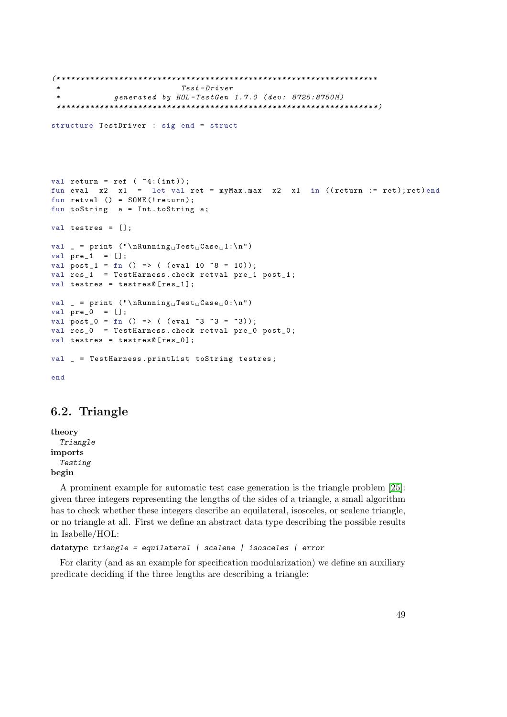```
(* ******************************************************************
                            Test - Driver* generated by HOL - TestGen 1.7.0 ( dev : 8725:8750 M )
 ****************************************************************** *)
structure TestDriver : sig end = struct
val return = ref ( *4:(int));
fun eval x2 x1 = let val ret = myMax.max x2 x1 in ((return := ret); ret) end
fun retval () = SOLNE(!return);fun toString a = Int . toString a ;
val testres = [];
val _ = print ("\nRunning<sub>U</sub>Test<sub>U</sub>Case<sub>U</sub>1:\n"val pre_1 = [];
val post_1 = fn () => ( (eval 10 \tilde{8} = 10));
val res_1 = TestHarness.check retval pre_1 post_1;
val testres = testres@[res_1];
val _ = print ("\nRunning<sub>U</sub>Test<sub>U</sub>Case<sub>U</sub>0:\n"val pre_0 = [];
val post_0 = fn () => ( (eval ~3 ~3 = ~3));
val res_0 = TestHarness . check retval pre_0 post_0 ;
val testres = testres@[res_0];
val _ = TestHarness.printList toString testres;
end
```
# 6.2. Triangle

theory Triangle imports Testing begin

A prominent example for automatic test case generation is the triangle problem [\[25\]](#page-116-0): given three integers representing the lengths of the sides of a triangle, a small algorithm has to check whether these integers describe an equilateral, isosceles, or scalene triangle, or no triangle at all. First we define an abstract data type describing the possible results in Isabelle/HOL:

```
datatype triangle = equilateral | scalene | isosceles | error
```
For clarity (and as an example for specification modularization) we define an auxiliary predicate deciding if the three lengths are describing a triangle: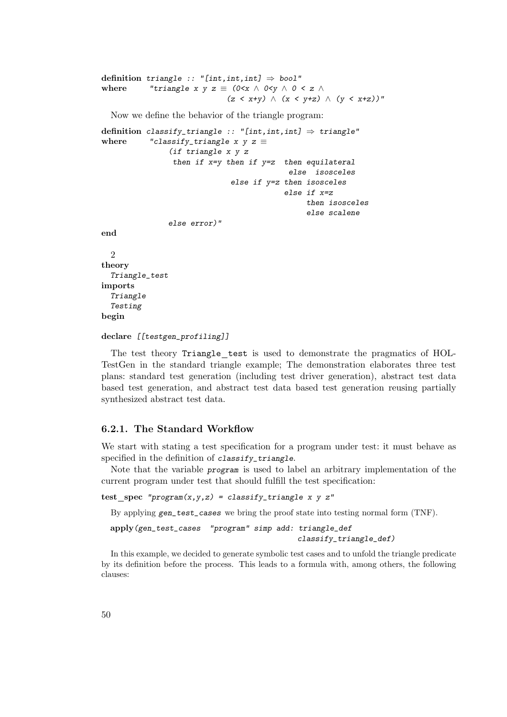```
definition triangle :: "[int,int,int] \Rightarrow bool"
where "triangle x y z \equiv (0 < x \wedge 0 < y \wedge 0 < z \wedge(z < x+y) ∧ (x < y+z) ∧ (y < x+z))"
```
Now we define the behavior of the triangle program:

```
definition classify_triangle :: "[int,int,int] \Rightarrow triangle"
where "classify_triangle x y z \equiv(if triangle x y z
                then if x=y then if y=z then equilateral
                                            else isosceles
                              else if y=z then isosceles
                                           else if x=z
                                                then isosceles
                                                else scalene
               else error)"
end
  2
theory
  Triangle_test
imports
  Triangle
  Testing
```
declare [[testgen\_profiling]]

begin

The test theory Triangle test is used to demonstrate the pragmatics of HOL-TestGen in the standard triangle example; The demonstration elaborates three test plans: standard test generation (including test driver generation), abstract test data based test generation, and abstract test data based test generation reusing partially synthesized abstract test data.

# 6.2.1. The Standard Workflow

We start with stating a test specification for a program under test: it must behave as specified in the definition of classify\_triangle.

Note that the variable program is used to label an arbitrary implementation of the current program under test that should fulfill the test specification:

 $test\_spec$  "program $(x,y,z)$  = classify\_triangle x y z"

By applying gen\_test\_cases we bring the proof state into testing normal form (TNF).

```
apply(gen_test_cases "program" simp add: triangle_def
                                          classify_triangle_def)
```
In this example, we decided to generate symbolic test cases and to unfold the triangle predicate by its definition before the process. This leads to a formula with, among others, the following clauses: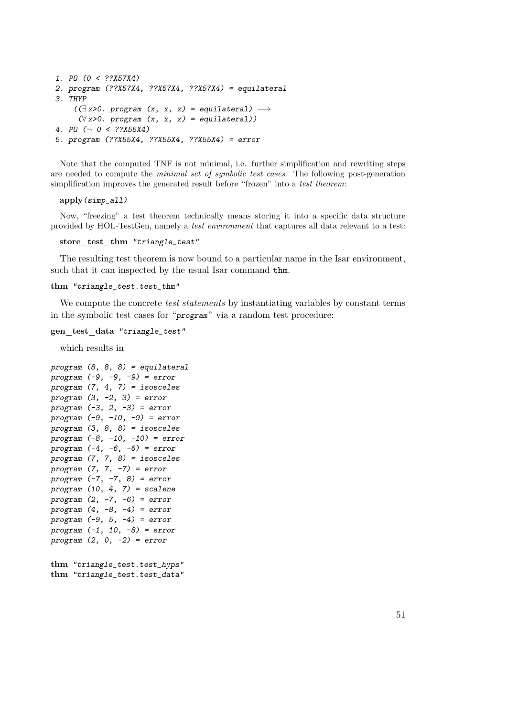```
1. PO (0 < ??X57X4)
2. program (??X57X4, ??X57X4, ??X57X4) = equilateral
3. THYP
     ((\exists x>0. \text{ program } (x, x, x) = \text{equilateral}) \rightarrow(\forall x>0. program (x, x, x) = equilateral))
4. PO ( \neg \space 0 \space < \space ??X55X4)5. program (??X55X4, ??X55X4, ??X55X4) = error
```
Note that the computed TNF is not minimal, i.e. further simplification and rewriting steps are needed to compute the minimal set of symbolic test cases. The following post-generation simplification improves the generated result before "frozen" into a test theorem:

apply(simp\_all)

Now, "freezing" a test theorem technically means storing it into a specific data structure provided by HOL-TestGen, namely a test environment that captures all data relevant to a test:

```
store test thm "triangle_test"
```
The resulting test theorem is now bound to a particular name in the Isar environment, such that it can inspected by the usual Isar command thm.

```
thm "triangle_test.test_thm"
```
We compute the concrete *test statements* by instantiating variables by constant terms in the symbolic test cases for "program" via a random test procedure:

```
gen test data "triangle_test"
```
which results in

```
program (8, 8, 8) = equilateral
program (-9, -9, -9) = error
program (7, 4, 7) = isosceles
program (3, -2, 3) = error
program (-3, 2, -3) = error
program (-9, -10, -9) = error
program (3, 8, 8) = isosceles
program (-8, -10, -10) = error
program (-4, -6, -6) = error
program (7, 7, 8) = isosceles
program (7, 7, -7) = error
program (-7, -7, 8) = error
program (10, 4, 7) = scalene
program (2, -7, -6) = error
program (4, -8, -4) = error
program (-9, 5, -4) = error
program (-1, 10, -8) = error
program (2, 0, -2) = error
```

```
thm "triangle_test.test_hyps"
thm "triangle_test.test_data"
```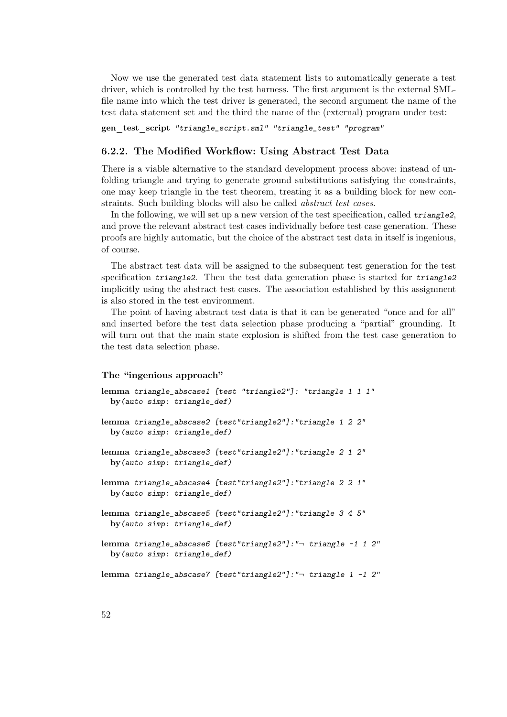Now we use the generated test data statement lists to automatically generate a test driver, which is controlled by the test harness. The first argument is the external SMLfile name into which the test driver is generated, the second argument the name of the test data statement set and the third the name of the (external) program under test:

gen test script "triangle\_script.sml" "triangle\_test" "program"

# 6.2.2. The Modified Workflow: Using Abstract Test Data

There is a viable alternative to the standard development process above: instead of unfolding triangle and trying to generate ground substitutions satisfying the constraints, one may keep triangle in the test theorem, treating it as a building block for new constraints. Such building blocks will also be called abstract test cases.

In the following, we will set up a new version of the test specification, called triangle2, and prove the relevant abstract test cases individually before test case generation. These proofs are highly automatic, but the choice of the abstract test data in itself is ingenious, of course.

The abstract test data will be assigned to the subsequent test generation for the test specification triangle2. Then the test data generation phase is started for triangle2 implicitly using the abstract test cases. The association established by this assignment is also stored in the test environment.

The point of having abstract test data is that it can be generated "once and for all" and inserted before the test data selection phase producing a "partial" grounding. It will turn out that the main state explosion is shifted from the test case generation to the test data selection phase.

#### The "ingenious approach"

```
lemma triangle_abscase1 [test "triangle2"]: "triangle 1 1 1"
 by(auto simp: triangle_def)
lemma triangle_abscase2 [test"triangle2"]:"triangle 1 2 2"
 by(auto simp: triangle_def)
lemma triangle_abscase3 [test"triangle2"]:"triangle 2 1 2"
 by(auto simp: triangle_def)
lemma triangle_abscase4 [test"triangle2"]:"triangle 2 2 1"
 by(auto simp: triangle_def)
lemma triangle_abscase5 [test"triangle2"]:"triangle 3 4 5"
 by(auto simp: triangle_def)
lemma triangle_abscase6 [test"triangle2"]:"¬ triangle -1 1 2"
 by(auto simp: triangle_def)
lemma triangle_abscase7 [test"triangle2"]:"¬ triangle 1 -1 2"
```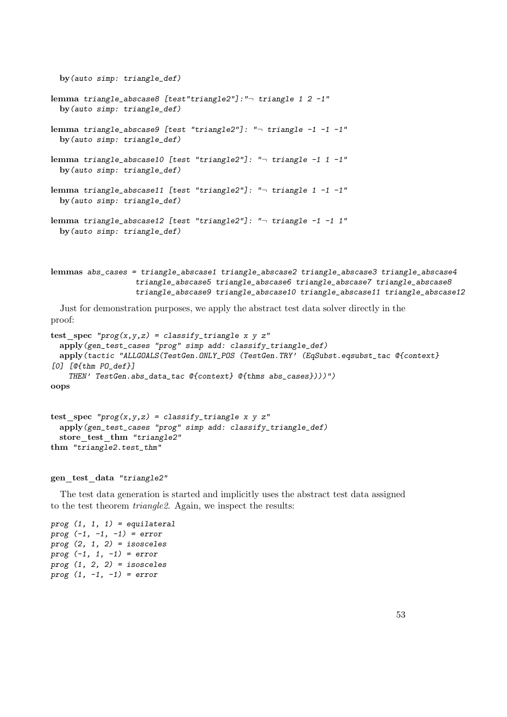```
by(auto simp: triangle_def)
lemma triangle_abscase8 [test"triangle2"]:"¬ triangle 1 2 -1"
 by(auto simp: triangle_def)
lemma triangle_abscase9 [test "triangle2"]: "¬ triangle -1 -1 -1"
 by(auto simp: triangle_def)
lemma triangle_abscase10 [test "triangle2"]: "¬ triangle -1 1 -1"
 by(auto simp: triangle_def)
lemma triangle_abscase11 [test "triangle2"]: "¬ triangle 1 -1 -1"
 by(auto simp: triangle_def)
lemma triangle_abscase12 [test "triangle2"]: "¬ triangle -1 -1 1"
 by(auto simp: triangle_def)
```

```
lemmas abs_cases = triangle_abscase1 triangle_abscase2 triangle_abscase3 triangle_abscase4
                   triangle_abscase5 triangle_abscase6 triangle_abscase7 triangle_abscase8
                   triangle_abscase9 triangle_abscase10 triangle_abscase11 triangle_abscase12
```
Just for demonstration purposes, we apply the abstract test data solver directly in the proof:

```
test_spec "prog(x,y,z) = classify\_triangle x y z"apply(gen_test_cases "prog" simp add: classify_triangle_def)
 apply(tactic "ALLGOALS(TestGen.ONLY_POS (TestGen.TRY' (EqSubst.eqsubst_tac @{context}
[0] [@{thm PO_def}]
   THEN' TestGen.abs_data_tac @{context} @{thms abs_cases})))")
oops
```

```
test spec "prog(x,y,z) = classify\_triangle x y z"apply(gen_test_cases "prog" simp add: classify_triangle_def)
 store test thm "triangle2"
thm "triangle2.test_thm"
```
## gen\_test\_data "triangle2"

The test data generation is started and implicitly uses the abstract test data assigned to the test theorem triangle2. Again, we inspect the results:

```
prog (1, 1, 1) = equilateral
prog (-1, -1, -1) = errorprog (2, 1, 2) = isoscelesprog (-1, 1, -1) = error
prog (1, 2, 2) = isoscelesprog (1, -1, -1) = error
```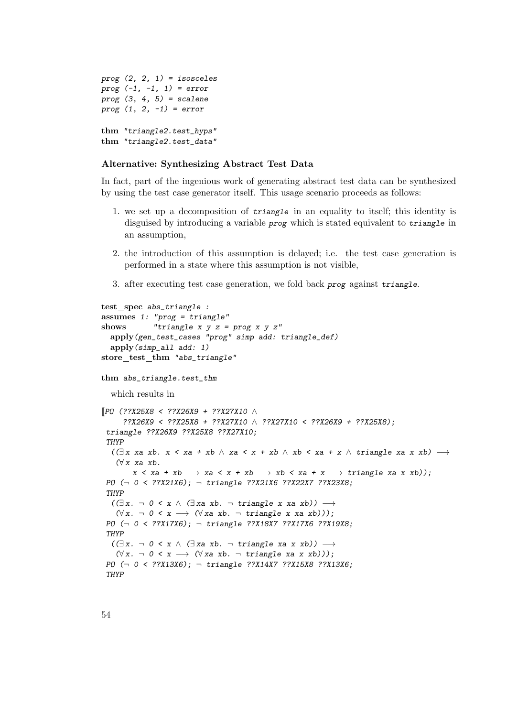```
prog (2, 2, 1) = isosceles
prog (-1, -1, 1) = error
prog (3, 4, 5) = scalene
prog (1, 2, -1) = error
thm "triangle2.test_hyps"
thm "triangle2.test_data"
```
# Alternative: Synthesizing Abstract Test Data

In fact, part of the ingenious work of generating abstract test data can be synthesized by using the test case generator itself. This usage scenario proceeds as follows:

- 1. we set up a decomposition of triangle in an equality to itself; this identity is disguised by introducing a variable *prog* which is stated equivalent to *triangle* in an assumption,
- 2. the introduction of this assumption is delayed; i.e. the test case generation is performed in a state where this assumption is not visible,
- 3. after executing test case generation, we fold back prog against triangle.

```
test spec abs_triangle :
assumes 1: "prog = triangle"shows "triangle x \ y \ z = \text{prog } x \ y \ z"
  apply(gen_test_cases "prog" simp add: triangle_def)
  apply(simp_all add: 1)
store_test_thm "abs_triangle"
thm abs_triangle.test_thm
  which results in
[[PO (??X25X8 < ??X26X9 + ??X27X10 ∧
      ??X26X9 < ??X25X8 + ??X27X10 ∧ ??X27X10 < ??X26X9 + ??X25X8);
 triangle ??X26X9 ??X25X8 ??X27X10;
 THYP
  ((\exists x \ xa \ xb. \ x < xa + xb ∧ xa < x + xb ∧ xb < xa + x ∧ triangle xa x xb) →(\forall x \; xa \; xb.x < xa + xb \rightarrow xa < x + xb \rightarrow xb < xa + x \rightarrow triangle xa x x b);
 PO (¬ 0 < ??X21X6); ¬ triangle ??X21X6 ??X22X7 ??X23X8;
 THYP
  ((\exists x. \neg \theta \le x \land (\exists xa \ x b. \neg \ triangle x \ x a \ x b)) \rightarrow(\forall x. \neg \theta \leq x \rightarrow (\forall x \text{ a } xb. \neg \text{ triangle } x \text{ xa } xb));
 PO (¬ 0 < ??X17X6); ¬ triangle ??X18X7 ??X17X6 ??X19X8;
 THYP
  ((\exists x. \neg \theta \le x \land (\exists xa \ xb. \neg \ triangle xa \ x \ xb)) \rightarrow(\forall x. \neg \theta \leq x \rightarrow (\forall x \text{ a } xb. \neg \text{ triangle } xa \text{ x } xb))));
 PO (¬ 0 < ??X13X6); ¬ triangle ??X14X7 ??X15X8 ??X13X6;THYP
```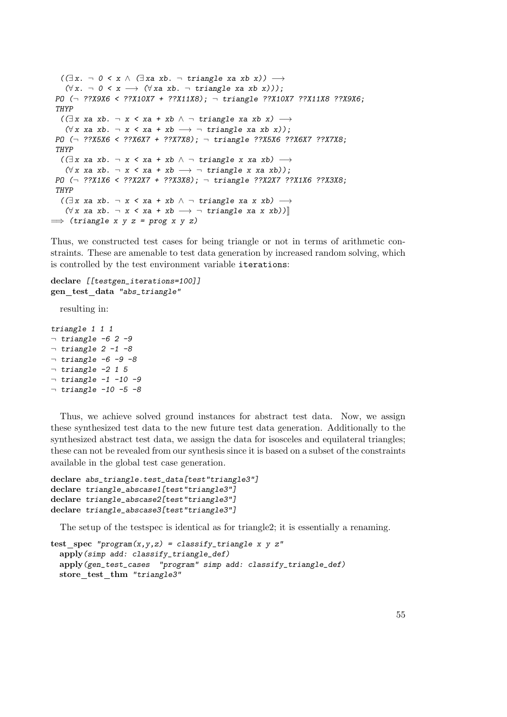```
((\exists x. \neg \theta \le x \land (\exists xa \ x b. \neg \ triangle x a \ x b \ x)) \rightarrow(\forall x. \neg \theta \leq x \rightarrow (\forall x \text{ a } xb. \neg \text{ triangle } xa \text{ xb } x))));
 PO (\neg ??X9X6 < ??X10X7 + ??X11X8); \neg triangle ??X10X7 ??X11X8 ??X9X6;
 THYP
   ((\exists x \ xa \ xb. \neg x \land xa + xb \land \neg triangle xa xb x) \rightarrow(\forall x \ xa \ xb. \ \neg \ x \ \& \ xa \ + \ xb \ \longrightarrow \ \neg \ triangle \ xa \ xb \ x));
 PO (¬ ??X5X6 < ??X6X7 + ??X7X8); ¬ triangle ??X5X6 ??X6X7 ??X7X8;
 THYP
   ((\exists x \ xa \ xb. \neg x \land xa + xb \land \neg triangle x \ xa \ xb) \rightarrow(\forall x \text{ xa } xb. \neg x \leq xa + xb \rightarrow \neg \text{ triangle } x \text{ xa } xb));
 PO (¬ ??X1X6 < ??X2X7 + ??X3X8); ¬ triangle ??X2X7 ??X1X6 ??X3X8;
 THYP
   ((\exists x \; xa \; xb. \; \neg \; x \; < xa + xb \; \wedge \; \neg \; triangle \; xa \; x \; xb) \; \longrightarrow(\forall x \ xa \ xb. \ \neg \ x \ \& \ xa \ + \ xb \ \longrightarrow \ \neg \ triangle \ xa \ x \ x b))\implies (triangle x y z = prog x y z)
```
Thus, we constructed test cases for being triangle or not in terms of arithmetic constraints. These are amenable to test data generation by increased random solving, which is controlled by the test environment variable iterations:

#### declare [[testgen\_iterations=100]] gen\_test\_data "abs\_triangle"

resulting in:

triangle 1 1 1  $\neg$  triangle -6 2 -9  $\neg$  triangle 2 -1 -8  $\neg$  triangle -6 -9 -8  $\neg$  triangle -2 1 5  $\neg$  triangle  $-1$  -10 -9  $\neg$  triangle -10 -5 -8

Thus, we achieve solved ground instances for abstract test data. Now, we assign these synthesized test data to the new future test data generation. Additionally to the synthesized abstract test data, we assign the data for isosceles and equilateral triangles; these can not be revealed from our synthesis since it is based on a subset of the constraints available in the global test case generation.

```
declare abs_triangle.test_data[test"triangle3"]
declare triangle_abscase1[test"triangle3"]
declare triangle_abscase2[test"triangle3"]
declare triangle_abscase3[test"triangle3"]
```
The setup of the testspec is identical as for triangle2; it is essentially a renaming.

```
test\_spec "program(x,y,z) = classify_triangle x y z"
 apply(simp add: classify_triangle_def)
 apply(gen_test_cases "program" simp add: classify_triangle_def)
 store test thm "triangle3"
```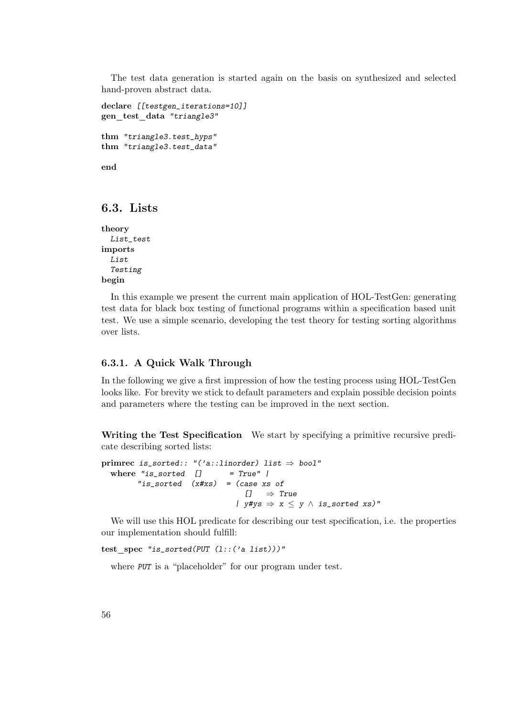The test data generation is started again on the basis on synthesized and selected hand-proven abstract data.

```
declare [[testgen_iterations=10]]
gen_test_data "triangle3"
thm "triangle3.test_hyps"
thm "triangle3.test_data"
end
```
# 6.3. Lists

theory List\_test imports List Testing begin

In this example we present the current main application of HOL-TestGen: generating test data for black box testing of functional programs within a specification based unit test. We use a simple scenario, developing the test theory for testing sorting algorithms over lists.

# 6.3.1. A Quick Walk Through

In the following we give a first impression of how the testing process using HOL-TestGen looks like. For brevity we stick to default parameters and explain possible decision points and parameters where the testing can be improved in the next section.

Writing the Test Specification We start by specifying a primitive recursive predicate describing sorted lists:

```
primrec is_sorted:: "('a::linorder) list \Rightarrow bool"
  where "is\_sorted [] = True" |"is_sorted (x#xs) = (case xs of
                                     [] \Rightarrow True| y \# y s \Rightarrow x \leq y \land is\_sorted xs"
```
We will use this HOL predicate for describing our test specification, i.e. the properties our implementation should fulfill:

```
test spec "is_sorted(PUT (l::('a list)))"
```
where PUT is a "placeholder" for our program under test.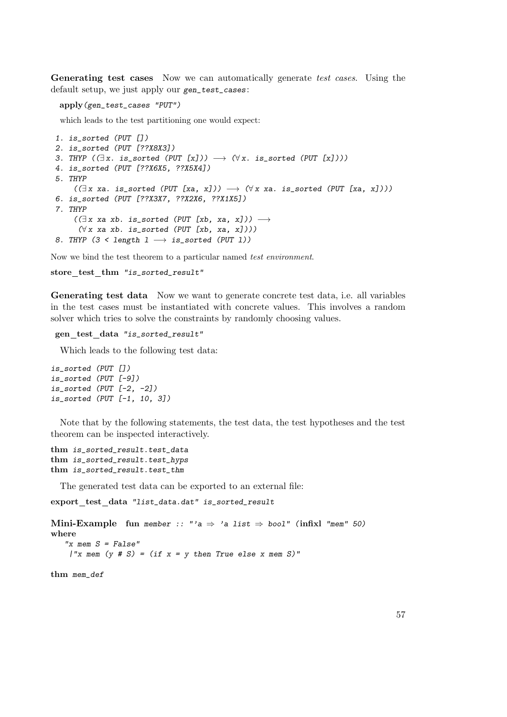Generating test cases Now we can automatically generate test cases. Using the default setup, we just apply our gen\_test\_cases:

apply(gen\_test\_cases "PUT")

which leads to the test partitioning one would expect:

```
1. is_sorted (PUT [])
2. is_sorted (PUT [??X8X3])
3. THYP (\exists x. \text{ is } \text{sorted } (PUT [x])) \longrightarrow (\forall x. \text{ is } \text{sorted } (PUT [x]))4. is_sorted (PUT [??X6X5, ??X5X4])
5. THYP
     ((\exists x \text{ xa. is\_sorted } (PUT [xa, x])) \rightarrow (\forall x \text{ xa. is\_sorted } (PUT [xa, x]))6. is_sorted (PUT [??X3X7, ??X2X6, ??X1X5])
7. THYP
     ((\exists x \ xa \ xb. \ is_{sorted} (PUT [xb, xa, x])) \rightarrow(\forall x \; xa \; xb. \; is\_sorted \; (PUT \; [xb, \; xa, \; x]))8. THYP (3 < length 1 \longrightarrow is_sorted (PUT 1))
```
Now we bind the test theorem to a particular named test environment.

store\_test\_thm "is\_sorted\_result"

Generating test data Now we want to generate concrete test data, i.e. all variables in the test cases must be instantiated with concrete values. This involves a random solver which tries to solve the constraints by randomly choosing values.

```
gen_test_data "is_sorted_result"
```
Which leads to the following test data:

is\_sorted (PUT []) is\_sorted (PUT [-9]) is\_sorted (PUT [-2, -2]) is\_sorted (PUT [-1, 10, 3])

Note that by the following statements, the test data, the test hypotheses and the test theorem can be inspected interactively.

```
thm is_sorted_result.test_data
thm is_sorted_result.test_hyps
thm is_sorted_result.test_thm
```
The generated test data can be exported to an external file:

export test data "list\_data.dat" is\_sorted\_result

```
Mini-Example fun member :: "'a \Rightarrow 'a list \Rightarrow bool" (infixl "mem" 50)
where
   "x mem S = False"
    |''x mem (y # S) = (if x = y then True else x mem S)"
```
thm mem\_def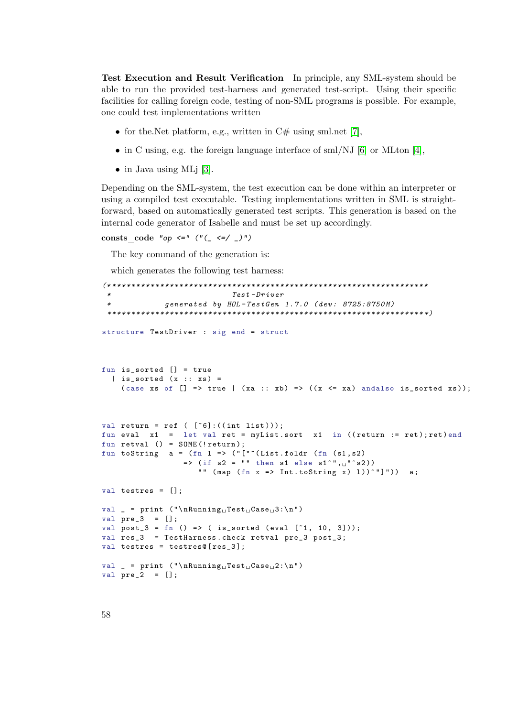Test Execution and Result Verification In principle, any SML-system should be able to run the provided test-harness and generated test-script. Using their specific facilities for calling foreign code, testing of non-SML programs is possible. For example, one could test implementations written

- for the. Net platform, e.g., written in  $C#$  using sml.net [\[7\]](#page-114-1),
- in C using, e.g. the foreign language interface of sml/NJ  $[6]$  or MLton  $[4]$ ,
- in Java using MLj [\[3\]](#page-114-4).

Depending on the SML-system, the test execution can be done within an interpreter or using a compiled test executable. Testing implementations written in SML is straightforward, based on automatically generated test scripts. This generation is based on the internal code generator of Isabelle and must be set up accordingly.

consts code "op  $\leq$ " ("(\_  $\leq$  /\_)")

The key command of the generation is:

which generates the following test harness:

```
(* ******************************************************************
                                Test - Drivergenerated by HOL-TestGen 1.7.0 (dev: 8725:8750M)
 ****************************************************************** *)
structure TestDriver : sig end = struct
fun is_sorted [] = true
  \vert is_sorted (x :: xs) =(case xs of [] \Rightarrow true | (xa :: xb) => ((x <= xa) andalso is_sorted xs));
val return = ref (\lceil 5 \rceil : ((int list)));
fun eval x1 = let val ret = myList.sort x1 in ((return := ret); ret) end
fun retval () = SOL(E("return));
fun toString a = (fn 1 \Rightarrow ("["^(List.floatdr (fn (s1, s2))\Rightarrow (if s2 = "" then s1 else s1^", u"^s2))
                       "" (\text{map } (\text{fn } x \Rightarrow \text{Int.toString } x) 1))^{\sim}"]")) a;
val testres = [];
val _ = print ("\nRunning<sub>U</sub>Test<sub>U</sub>Case<sub>U</sub>3:\n"val pre 3 = []:
val post_3 = fn () => ( is_sorted (eval [^{n}1, 10, 3]));
val res_3 = TestHarness.check retval pre_3 post_3;
val testres = testres@[res_3];
val _ = print ("\\nRunning<sub>||</sub>Test<sub>||</sub>Case<sub>||</sub>2:\n'val pre_2 = [];
```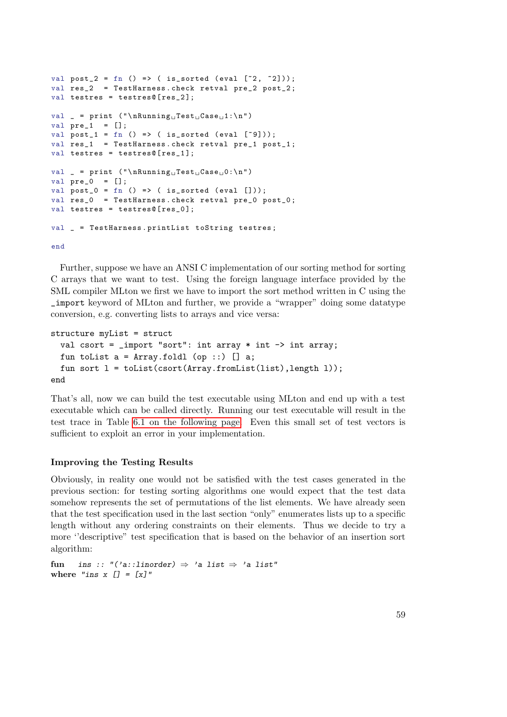```
val post_2 = fn () => ( is_sorted (eval [^{z}2, ^{z}2]));
val res_2 = TestHarness . check retval pre_2 post_2 ;
val testres = testres@[res_2];
val _ = print ("\nRunning<sub>U</sub>Test<sub>U</sub>Case<sub>U</sub>1:\n"val pre_1 = [];
val post_1 = fn () => ( is_sorted (eval [^{^{\sim}9]));
val res_1 = TestHarness.check retval pre_1 post_1;
val testres = testres@[res_1];val _ = print (" \nRunning \nTest \nCase \n0:\n^n)val pre_0 = [];
val post_0 = fn () => ( is_sorted (eval []));
val res_0 = TestHarness . check retval pre_0 post_0 ;
val testres = testres@[res_0];
val _ = TestHarness . printList toString testres ;
```
end

Further, suppose we have an ANSI C implementation of our sorting method for sorting C arrays that we want to test. Using the foreign language interface provided by the SML compiler MLton we first we have to import the sort method written in C using the \_import keyword of MLton and further, we provide a "wrapper" doing some datatype conversion, e.g. converting lists to arrays and vice versa:

```
structure myList = struct
  val csort = _import "sort": int array * int \rightarrow int array;
 fun toList a = Array.foldl (op ::) [] a;fun sort l = toList(csort(Array.fromList(list),length l));
end
```
That's all, now we can build the test executable using MLton and end up with a test executable which can be called directly. Running our test executable will result in the test trace in Table [6.1 on the following page.](#page-59-0) Even this small set of test vectors is sufficient to exploit an error in your implementation.

# Improving the Testing Results

Obviously, in reality one would not be satisfied with the test cases generated in the previous section: for testing sorting algorithms one would expect that the test data somehow represents the set of permutations of the list elements. We have already seen that the test specification used in the last section "only" enumerates lists up to a specific length without any ordering constraints on their elements. Thus we decide to try a more ''descriptive" test specification that is based on the behavior of an insertion sort algorithm:

```
fun ins :: "('a::linorder) \Rightarrow 'a list \Rightarrow 'a list"
where "ins x [] = [x]"
```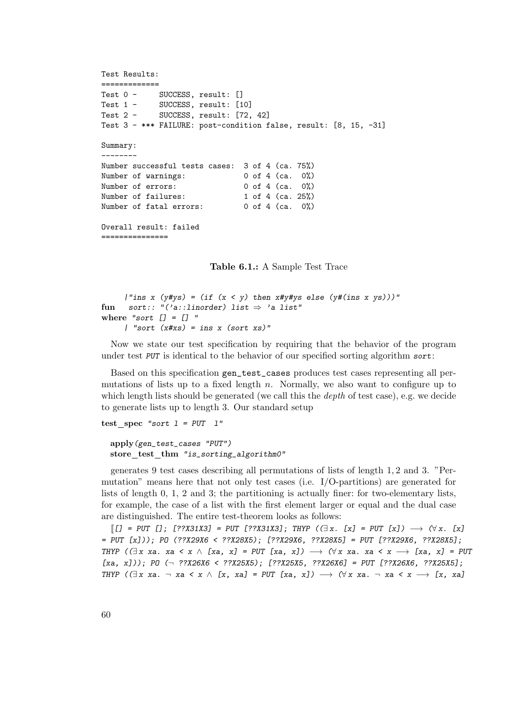```
Test Results:
=============
Test 0 - SUCCESS, result: []
Test 1 - SUCCESS, result: [10]
Test 2 - SUCCESS, result: [72, 42]
Test 3 - *** FAILURE: post-condition false, result: [8, 15, -31]
Summary:
--------
Number successful tests cases: 3 of 4 (ca. 75%)
Number of warnings: 0 of 4 (ca. 0%)
Number of errors: 0 of 4 (ca. 0%)
Number of failures: 1 of 4 (ca. 25%)
Number of fatal errors: 0 of 4 (ca. 0%)
Overall result: failed
===============
```
<span id="page-59-0"></span>Table 6.1.: A Sample Test Trace

```
|"ins x (y\#ys) = (if (x < y) then x\#y\#ys else (y\#(ins x ys)))"fun sort:: "('a::linorder) list \Rightarrow 'a list"
where "sort [] = [] "
     | "sort (x \# xs) = ins x (sort xs)"
```
Now we state our test specification by requiring that the behavior of the program under test PUT is identical to the behavior of our specified sorting algorithm sort:

Based on this specification gen\_test\_cases produces test cases representing all permutations of lists up to a fixed length  $n$ . Normally, we also want to configure up to which length lists should be generated (we call this the *depth* of test case), e.g. we decide to generate lists up to length 3. Our standard setup

```
test spec "sort l = PUT \ l"
```

```
apply(gen_test_cases "PUT")
store test thm "is_sorting_algorithm0"
```
generates 9 test cases describing all permutations of lists of length 1, 2 and 3. "Permutation" means here that not only test cases (i.e. I/O-partitions) are generated for lists of length 0, 1, 2 and 3; the partitioning is actually finer: for two-elementary lists, for example, the case of a list with the first element larger or equal and the dual case are distinguished. The entire test-theorem looks as follows:

 $[[[] = PUT[]; [??X31X3] = PUT [??X31X3]; THEN (∃x. [x] = PUT [x]) \longrightarrow (∀x. [x]$ = PUT [x])); PO (??X29X6 < ??X28X5); [??X29X6, ??X28X5] = PUT [??X29X6, ??X28X5]; THYP ( $(\exists x \ xa. xa \le x \land [xa, x] = PUT [xa, x]) \rightarrow (\forall x \ xa. xa \le x \rightarrow [xa, x] = PUT$  $[xa, x])$ ; PO  $(\neg ??X26X6 < ??X25X5)$ ;  $[??X25X5, ??X26X6] = PUT$   $[??X26X6, ??X25X5]$ ; THYP ( $\exists x$  xa. ¬ xa < x  $\land$  [x, xa] = PUT [xa, x])  $\longrightarrow$   $(\forall x$  xa. ¬ xa < x  $\longrightarrow$  [x, xa]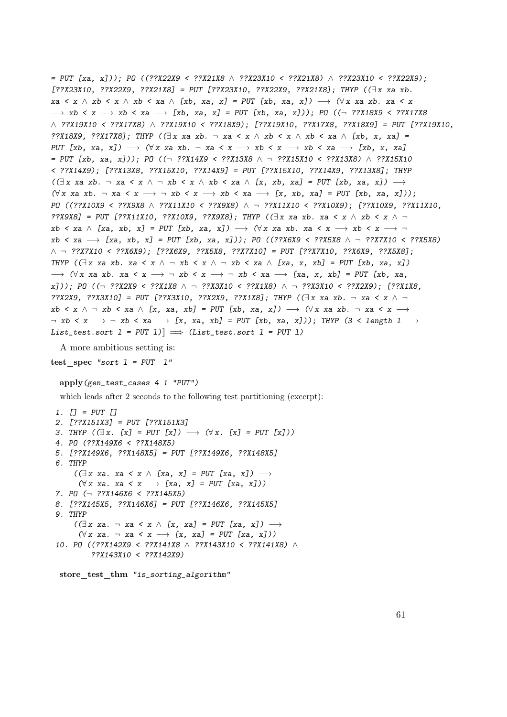```
= PUT [xa, x])); PO ((??X22X9 < ??X21X8 ∧ ??X23X10 < ??X21X8) ∧ ??X23X10 < ??X22X9);
[??X23X10, ??X22X9, ??X21X8] = PUT [??X23X10, ??X22X9, ??X21X8]; THYP ((\exists x \ xa \ xb.)xa < x ∧ xb < x ∧ xb < xa ∧ [xb, xa, x] = PUT [xb, xa, x]) \longrightarrow (\forall x \ xa \ xb). xa < x
\rightarrow xb < x \rightarrow xb < xa \rightarrow [xb, xa, x] = PUT [xb, xa, x])); PO ((\rightarrow ??X18X9 < ??X17X8
∧ ??X19X10 < ??X17X8) ∧ ??X19X10 < ??X18X9); [??X19X10, ??X17X8, ??X18X9] = PUT [??X19X10,
??X18X9, ??X17X8]; THYP ((\exists x \ xa \ xb. \neg xa \ \& \ \wedge \ xb \ \& \ \wedge \ xb \ \& \ \wedge \ [xb. \ x, \ xa] =PUT [xb, xa, x] \rightarrow (\forall x \ xa \ xb. \neg xa < x \rightarrow xb < x \rightarrow xb < xa \rightarrow [xb, x, xa]= PUT [xb, xa, x]); PO ((¬ ??X14X9 < ??X13X8 ∧ ¬ ??X15X10 < ??X13X8) ∧ ??X15X10
< ??X14X9); [??X13X8, ??X15X10, ??X14X9] = PUT [??X15X10, ??X14X9, ??X13X8]; THYP
((\exists x \ xa \ xb. \neg xa \land x \land \neg xb \land xb \land xb \land xa \land [x, xb, xa] = PUT [xb, xa, x]) \rightarrow(\forall x \ xa \ xb. \ \neg \ xa \ \leq x \ \rightarrow \ \neg \ xb \ \leq x \ \rightarrow \ xb \ \leq xa \ \rightarrow \ [x, \ xb, \ xa] = PUT \ [xb, \ xa, \ x]);
PO ((??X10X9 < ??X9X8 ∧ ??X11X10 < ??X9X8) ∧ ¬ ??X11X10 < ??X10X9); [??X10X9, ??X11X10,
??X9X8] = PUT [??X11X10, ??X10X9, ??X9X8]; THYP ((\exists x \ xa \ xb. \ xa \ < x \ \land \ xb \ < x \ \land \ \negxb \le xa \land [xa, xb, x] = PUT [xb, xa, x]) \longrightarrow (\forall x \; xa \; xb. \; xa \le x \longrightarrow xb \le x \longrightarrow \negxb < xa \rightarrow [xa, xb, x] = PUT [xb, xa, x])); PO ((??X6X9 < ??X5X8 \land \neg ??X7X10 < ??X5X8)
∧ ¬ ??X7X10 < ??X6X9); [??X6X9, ??X5X8, ??X7X10] = PUT [??X7X10, ??X6X9, ??X5X8];
THYP ((\exists x \ xa \ xb. \ xa < x \ \land \ \neg \ xb < x \ \land \ \neg \ xb < xa \ \land \ [xa, \ x, \ xb] = PUT \ [xb, \ xa, \ x])\rightarrow (\forall x \ xa \ xb. \ xa \ < x \rightarrow \neg \ xb \ < x \rightarrow \neg \ xb \ < xa \rightarrow [xa, x, xb] = PUT [xb, xa,x])); PO ((¬ ??X2X9 < ??X1X8 ∧ ¬ ??X3X10 < ??X1X8) ∧ ¬ ??X3X10 < ??X2X9); [??X1X8,
??X2X9, ??X3X10] = PUT [??X3X10, ??X2X9, ??X1X8]; THYP ((\exists x \ x \ a \ x \ b. \neg \ xa \ \ x \ \land \ \negxb < x \land \neg xb < xa \land [x, xa, xb] = PUT [xb, xa, x]) \longrightarrow (\forall x xa xb. \neg xa < x \rightarrow\neg xb < x \rightarrow \neg xb < xa \rightarrow [x, xa, xb] = PUT [xb, xa, x])); THYP (3 < length 1 \rightarrowList_test.sort l = PUT l]] \implies (List_test.sort l = PUT l)
```
A more ambitious setting is:

test\_spec "sort  $l = PUT$   $l$ "

#### apply(gen\_test\_cases 4 1 "PUT")

which leads after 2 seconds to the following test partitioning (excerpt):

```
1. [] = PUT []
2. [??X151X3] = PUT [??X151X3]
3. THYP (\exists x. [x] = PUT [x]) \longrightarrow (\forall x. [x] = PUT [x]))4. PO (??X149X6 < ??X148X5)
5. [??X149X6, ??X148X5] = PUT [??X149X6, ??X148X5]
6. THYP
     ((\exists x \ xa. \ xa \ \ x \ \land \ [xa, \ x] = PUT \ [xa, \ x]) \longrightarrow(\forall x \ xa. \ xa \ \ x \rightarrow [xa, x] = PUT [xa, x]))7. PO (¬ ??X146X6 < ??X145X5)
8. [??X145X5, ??X146X6] = PUT [??X146X6, ??X145X5]
9. THYP
     ((\exists x \ xa. \neg xa \land x \land [x, xa] = PUT [xa, x]) \rightarrow(\forall x \ xa. \neg xa \iff x \rightarrow [x, xa] = PUT [xa, x])10. PO ((??X142X9 < ??X141X8 ∧ ??X143X10 < ??X141X8) ∧
          ??X143X10 < ??X142X9)
```
store test thm "is\_sorting\_algorithm"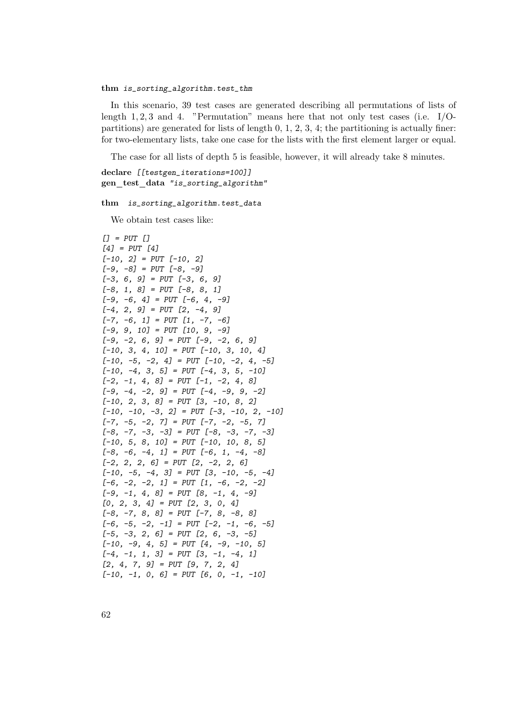### thm is\_sorting\_algorithm.test\_thm

In this scenario, 39 test cases are generated describing all permutations of lists of length 1, 2, 3 and 4. "Permutation" means here that not only test cases (i.e.  $I/O$ partitions) are generated for lists of length 0, 1, 2, 3, 4; the partitioning is actually finer: for two-elementary lists, take one case for the lists with the first element larger or equal.

The case for all lists of depth 5 is feasible, however, it will already take 8 minutes.

```
declare [[testgen_iterations=100]]
gen test data "is_sorting_algorithm"
```
thm is\_sorting\_algorithm.test\_data

We obtain test cases like:

```
[] = PUT [][4] = PUT [4][-10, 2] = PUT [-10, 2][-9, -8] = PUT [-8, -9][-3, 6, 9] = PUT [-3, 6, 9][-8, 1, 8] = PUT [-8, 8, 1][-9, -6, 4] = PUT [-6, 4, -9][-4, 2, 9] = PUT [2, -4, 9][-7, -6, 1] = PUT [1, -7, -6][-9, 9, 10] = PUT [10, 9, -9][-9, -2, 6, 9] = PUT [-9, -2, 6, 9][-10, 3, 4, 10] = PUT [-10, 3, 10, 4][-10, -5, -2, 4] = PUT [-10, -2, 4, -5][-10, -4, 3, 5] = PUT [-4, 3, 5, -10][-2, -1, 4, 8] = PUT [-1, -2, 4, 8][-9, -4, -2, 9] = PUT [-4, -9, 9, -2][-10, 2, 3, 8] = PUT [3, -10, 8, 2][-10, -10, -3, 2] = PUT [-3, -10, 2, -10][-7, -5, -2, 7] = PUT [-7, -2, -5, 7][-8, -7, -3, -3] = PUT [-8, -3, -7, -3][-10, 5, 8, 10] = PUT [-10, 10, 8, 5][-8, -6, -4, 1] = PUT [-6, 1, -4, -8][-2, 2, 2, 6] = PUT [2, -2, 2, 6][-10, -5, -4, 3] = PUT [3, -10, -5, -4][-6, -2, -2, 1] = PUT [1, -6, -2, -2][-9, -1, 4, 8] = PUT [8, -1, 4, -9][0, 2, 3, 4] = PUT [2, 3, 0, 4][-8, -7, 8, 8] = PUT [-7, 8, -8, 8][-6, -5, -2, -1] = PUT [-2, -1, -6, -5][-5, -3, 2, 6] = PUT [2, 6, -3, -5][-10, -9, 4, 5] = PUT [4, -9, -10, 5][-4, -1, 1, 3] = PUT [3, -1, -4, 1][2, 4, 7, 9] = PUT [9, 7, 2, 4][-10, -1, 0, 6] = PUT [6, 0, -1, -10]
```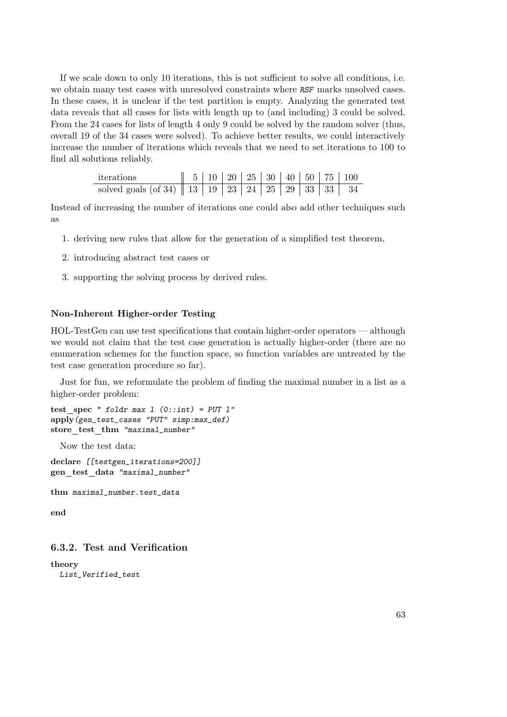If we scale down to only 10 iterations, this is not sufficient to solve all conditions, i.e. we obtain many test cases with unresolved constraints where RSF marks unsolved cases. In these cases, it is unclear if the test partition is empty. Analyzing the generated test data reveals that all cases for lists with length up to (and including) 3 could be solved. From the 24 cases for lists of length 4 only 9 could be solved by the random solver (thus, overall 19 of the 34 cases were solved). To achieve better results, we could interactively increase the number of iterations which reveals that we need to set iterations to 100 to find all solutions reliably.

| iterations                                                                                                                                                    |  |  |  |  | $\parallel$ 5   10   20   25   30   40   50   75   100 |
|---------------------------------------------------------------------------------------------------------------------------------------------------------------|--|--|--|--|--------------------------------------------------------|
| solved goals (of 34)    13   19   $\overline{23}$   $\overline{24}$   $\overline{25}$   $\overline{29}$   $\overline{33}$   $\overline{33}$   $\overline{34}$ |  |  |  |  |                                                        |

Instead of increasing the number of iterations one could also add other techniques such as

- 1. deriving new rules that allow for the generation of a simplified test theorem,
- 2. introducing abstract test cases or
- 3. supporting the solving process by derived rules.

## Non-Inherent Higher-order Testing

HOL-TestGen can use test specifications that contain higher-order operators — although we would not claim that the test case generation is actually higher-order (there are no enumeration schemes for the function space, so function variables are untreated by the test case generation procedure so far).

Just for fun, we reformulate the problem of finding the maximal number in a list as a higher-order problem:

```
test spec " foldr max 1 (0::int) = PUT 1"apply(gen_test_cases "PUT" simp:max_def)
store_test_thm "maximal_number"
```
Now the test data:

declare [[testgen\_iterations=200]] gen test data "maximal\_number"

thm maximal\_number.test\_data

end

# 6.3.2. Test and Verification

theory List\_Verified\_test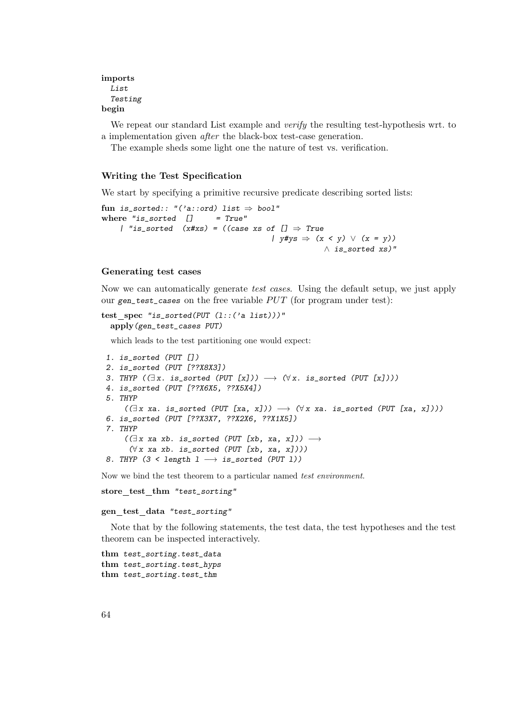# imports List Testing begin

We repeat our standard List example and *verify* the resulting test-hypothesis wrt. to a implementation given after the black-box test-case generation.

The example sheds some light one the nature of test vs. verification.

# Writing the Test Specification

We start by specifying a primitive recursive predicate describing sorted lists:

```
fun is_sorted:: "('a::ord) list \Rightarrow bool"
where "is\_sorted [] = True"
     | "is_sorted (x#xs) = ((case xs of [] \Rightarrow True\left| \right\rangle y#ys \Rightarrow (x \le y) \vee (x = y)\wedge is_sorted xs)"
```
#### Generating test cases

Now we can automatically generate test cases. Using the default setup, we just apply our gen\_test\_cases on the free variable  $PUT$  (for program under test):

```
test spec "is sorted(PUT (l::('a list)))"
 apply(gen_test_cases PUT)
```
which leads to the test partitioning one would expect:

```
1. is_sorted (PUT [])
2. is_sorted (PUT [??X8X3])
3. THYP (\exists x. \text{ is } \text{sorted } (\text{PUT } [x])) \longrightarrow (\forall x. \text{ is } \text{sorted } (\text{PUT } [x]))4. is_sorted (PUT [??X6X5, ??X5X4])
5. THYP
      ((\exists x \text{ xa. is_{sorted}} (PUT [xa, x])) \rightarrow (\forall x \text{ xa. is_{sorted}} (PUT [xa, x])) )6. is_sorted (PUT [??X3X7, ??X2X6, ??X1X5])
7. THYP
      ((\exists x \text{ xa } xb. \text{ is\_sorted } (PUT [xb, xa, x])) \rightarrow(\forall x \text{ xa } xb. \text{ is } sorted \text{ (PUT } [xb, xa, x]))8. THYP (3 < length 1 \longrightarrow is_sorted (PUT 1))
```
Now we bind the test theorem to a particular named test environment.

```
store test thm "test_sorting"
```
#### gen test data "test\_sorting"

Note that by the following statements, the test data, the test hypotheses and the test theorem can be inspected interactively.

```
thm test_sorting.test_data
thm test_sorting.test_hyps
thm test_sorting.test_thm
```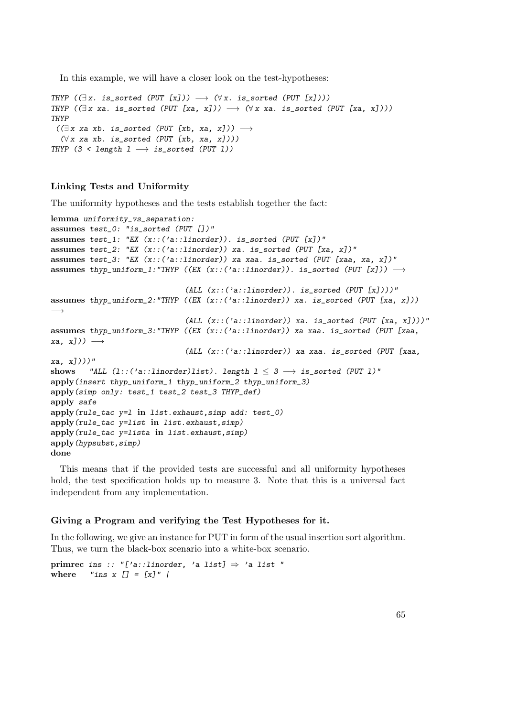In this example, we will have a closer look on the test-hypotheses:

```
THYP (\exists x. \text{ is sorted } (PUT [x])) \rightarrow (\forall x. \text{ is sorted } (PUT [x]))THYP ((\exists x \ xa. \ is\_sorted (PUT [xa, x])) \rightarrow (\forall x \ xa. \ is\_sorted (PUT [xa, x])))
THYP
 ((\exists x \ xa \ xb. \ is_{sorted} (PUT [xb, xa, x])) \rightarrow(\forall x \; xa \; xb. \; is\_sorted \; (PUT \; [xb, \; xa, \; x]))THYP (3 < length 1 \longrightarrow is_sorted (PUT 1))
```
# Linking Tests and Uniformity

The uniformity hypotheses and the tests establish together the fact:

```
lemma uniformity_vs_separation:
assumes test_0: "is_sorted (PUT [])"
assumes test_1: "EX (x::('a::linorder)). is_sorted (PUT [x])"
assumes test_2: "EX (x::(a::linorder)) xa. is_sorted (PUT [xa, x])"
assumes test_3: "EX (x::('a::linorder)) xa xaa. is_sorted (PUT [xaa, xa, x])"
assumes thyp_uniform_1:"THYP ((EX (x::('a::linorder)). is_sorted (PUT [x])) \longrightarrow(ALL (x::('a::linorder)). is_sorted (PUT [x])))"
assumes thyp_uniform_2:"THYP ((EX (x::('a::linorder)) xa. is_sorted (PUT [xa, x]))
−→
                               (ALL (x::('a::linorder)) xa. is_sorted (PUT [xa, x])))"
assumes thyp_uniform_3:"THYP ((EX (x::('a::linorder)) xa xaa. is_sorted (PUT [xaa,
xa, x])) \longrightarrow(ALL (x::('a::linorder)) xa xaa. is_sorted (PUT [xaa,
xa, x])))"
shows "ALL (1:(?a::linear)list). length 1 \leq 3 \rightarrow is sorted (PUT 1)"
apply(insert thyp_uniform_1 thyp_uniform_2 thyp_uniform_3)
apply(simp only: test_1 test_2 test_3 THYP_def)
apply safe
apply(rule_tac y=l in list.exhaust,simp add: test_0)
apply(rule_tac y=list in list.exhaust,simp)
apply(rule_tac y=lista in list.exhaust,simp)
apply(hypsubst,simp)
done
```
This means that if the provided tests are successful and all uniformity hypotheses hold, the test specification holds up to measure 3. Note that this is a universal fact independent from any implementation.

# Giving a Program and verifying the Test Hypotheses for it.

In the following, we give an instance for PUT in form of the usual insertion sort algorithm. Thus, we turn the black-box scenario into a white-box scenario.

```
primrec ins :: "['a::linorder, 'a list] \Rightarrow 'a list "
where "ins x [] = [x]" |
```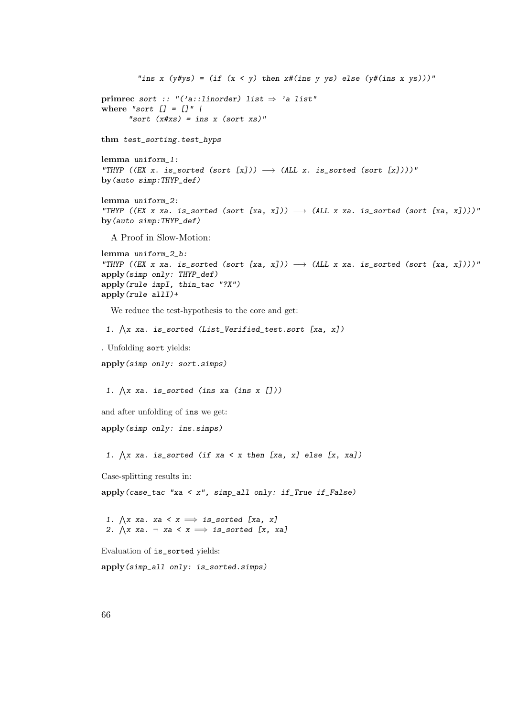```
"ins x (y\#ys) = (if (x < y) then x\#(ins y ys) else (y\#(ins x ys)))"primrec sort :: "('a::linorder) list \Rightarrow 'a list"
where "sort [] = []" |
       "sort (x \# xs) = ins x (sort xs)"
thm test_sorting.test_hyps
lemma uniform_1:
"THYP ((EX x. is_sorted (sort [x])) \longrightarrow (ALL x. is_sorted (sort [x])))"
by(auto simp:THYP_def)
lemma uniform_2:
"THYP ((EX x xa. is_sorted (sort [xa, x])) \rightarrow (ALL x xa. is_sorted (sort [xa, x])))"
by(auto simp:THYP_def)
  A Proof in Slow-Motion:
lemma uniform_2_b:
"THYP ((EX x xa. is_sorted (sort [xa, x])) \rightarrow (ALL x xa. is_sorted (sort [xa, x])))"
apply(simp only: THYP_def)
apply(rule impI, thin_tac "?X")
apply(rule allI)+
  We reduce the test-hypothesis to the core and get:
 1. \bigwedge x xa. is_sorted (List_Verified_test.sort [xa, x])
. Unfolding sort yields:
apply(simp only: sort.simps)
 1. \bigwedge x xa. is_sorted (ins xa (ins x []))
and after unfolding of ins we get:
apply(simp only: ins.simps)
 1. \bigwedge x xa. is_sorted (if xa < x then [xa, x] else [x, xa])
Case-splitting results in:
apply(case_tac "xa < x", simp_all only: if_True if_False)
 1. \bigwedge x xa. xa < x \implies is_sorted [xa, x]
 2. \bigwedge x xa. \neg xa < x \implies is_sorted [x, xa]
Evaluation of is_sorted yields:
apply(simp_all only: is_sorted.simps)
```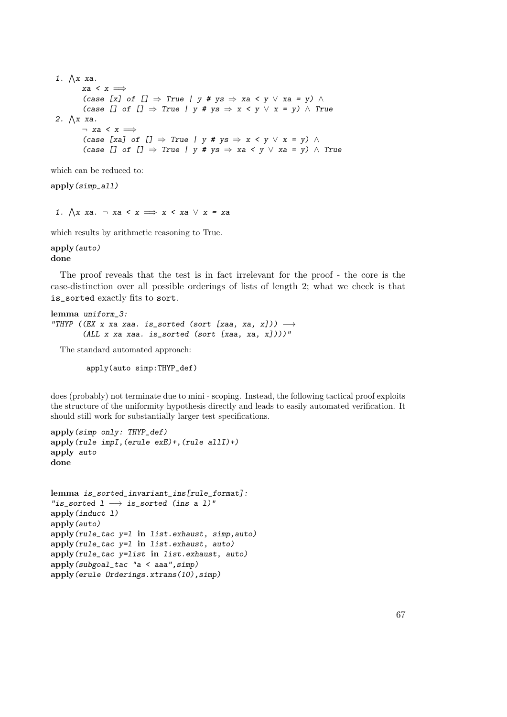1.  $\bigwedge x$  xa. xa <  $x \implies$ (case [x] of  $[] \Rightarrow True \mid y # ys \Rightarrow xa < y \lor xa = y) \land$ (case [] of []  $\Rightarrow$  True | y # ys  $\Rightarrow$  x < y  $\vee$  x = y)  $\wedge$  True 2.  $\bigwedge x$  xa.  $\neg$  xa < x  $\Longrightarrow$ (case [xa] of []  $\Rightarrow$  True | y # ys  $\Rightarrow$  x < y  $\vee$  x = y)  $\wedge$ (case [] of []  $\Rightarrow$  True | y # ys  $\Rightarrow$  xa < y  $\vee$  xa = y)  $\wedge$  True

which can be reduced to:

apply(simp\_all)

1.  $\bigwedge x$  xa. ¬ xa < x  $\implies x$  < xa  $\vee$  x = xa

which results by arithmetic reasoning to True.

apply(auto) done

The proof reveals that the test is in fact irrelevant for the proof - the core is the case-distinction over all possible orderings of lists of length 2; what we check is that is\_sorted exactly fits to sort.

```
lemma uniform_3:
"THYP ((EX x xa xaa. is_sorted (sort [xaa, xa, x])) \longrightarrow(ALL x xa xaa. is_sorted (sort [xaa, xa, x])))"
```
The standard automated approach:

apply(auto simp:THYP\_def)

does (probably) not terminate due to mini - scoping. Instead, the following tactical proof exploits the structure of the uniformity hypothesis directly and leads to easily automated verification. It should still work for substantially larger test specifications.

```
apply(simp only: THYP_def)
apply(rule impI,(erule exE)+,(rule allI)+)
apply auto
done
```

```
lemma is_sorted_invariant_ins[rule_format]:
"is_sorted 1 \longrightarrow is_sorted (ins a 1)"
apply(induct l)
apply(auto)
apply(rule_tac y=l in list.exhaust, simp,auto)
apply(rule_tac y=l in list.exhaust, auto)
apply(rule_tac y=list in list.exhaust, auto)
apply(subgoal_tac "a < aaa",simp)
apply(erule Orderings.xtrans(10),simp)
```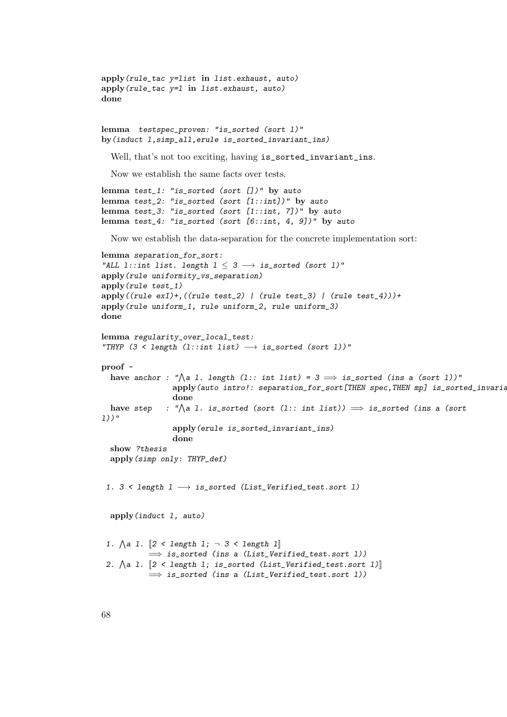```
apply(rule_tac y=list in list.exhaust, auto)
apply(rule_tac y=l in list.exhaust, auto)
done
lemma testspec_proven: "is_sorted (sort l)"
by(induct l,simp_all,erule is_sorted_invariant_ins)
  Well, that's not too exciting, having is_sorted_invariant_ins.
  Now we establish the same facts over tests.
lemma test_1: "is_sorted (sort [])" by auto
lemma test_2: "is_sorted (sort [1::int])" by auto
lemma test_3: "is_sorted (sort [1::int, 7])" by auto
lemma test_4: "is_sorted (sort [6::int, 4, 9])" by auto
  Now we establish the data-separation for the concrete implementation sort:
lemma separation_for_sort:
"ALL l::int list. length 1 \leq 3 \rightarrow is_sorted (sort 1)"
apply(rule uniformity_vs_separation)
apply(rule test_1)
apply((rule exI)+,((rule test_2) | (rule test_3) | (rule test_4)))+
apply(rule uniform_1, rule uniform_2, rule uniform_3)
done
lemma regularity_over_local_test:
"THYP (3 < length (l::int list) \longrightarrow is_sorted (sort l))"
proof -
  have anchor : "\bigwedgea l. length (l:: int list) = 3 \implies is_sorted (ins a (sort l))"
                 apply(auto intro!: separation_for_sort[THEN spec,THEN mp] is_sorted_invariant
                 done
  have step
              : "\wedgea l. is_sorted (sort (l:: int list)) \implies is_sorted (ins a (sort
l))"
                 apply(erule is_sorted_invariant_ins)
                 done
  show ?thesis
  apply(simp only: THYP_def)
 1. 3 < length 1 \longrightarrow is_sorted (List_Verified_test.sort 1)
  apply(induct l, auto)
 1. \bigwedge a 1. \big[\begin{smallmatrix} 2 < & \text{length} & 1 \\ 1 & & \text{otherwise} \end{smallmatrix}\big]\implies is_sorted (ins a (List_Verified_test.sort 1))
 2. \Lambdaa 1. [2 \lt length 1; is_sorted (List_Verified_test.sort 1)]
           \implies is_sorted (ins a (List_Verified_test.sort 1))
```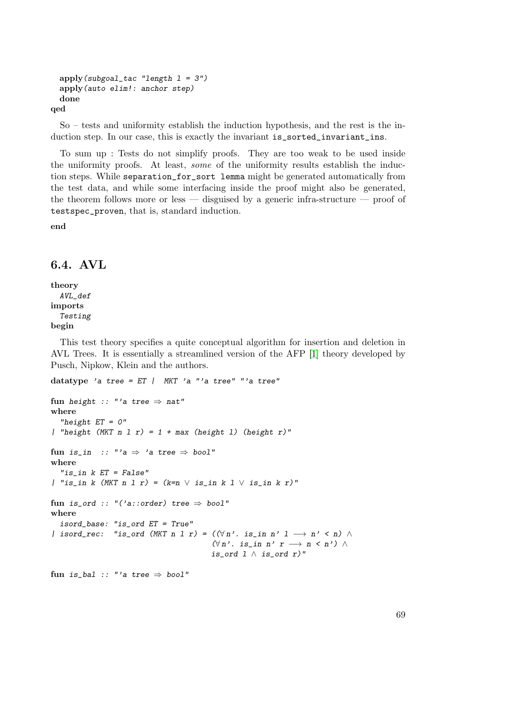```
apply(subgoal_tac "length l = 3")
 apply(auto elim!: anchor step)
 done
qed
```
So – tests and uniformity establish the induction hypothesis, and the rest is the induction step. In our case, this is exactly the invariant is\_sorted\_invariant\_ins.

To sum up : Tests do not simplify proofs. They are too weak to be used inside the uniformity proofs. At least, some of the uniformity results establish the induction steps. While separation\_for\_sort lemma might be generated automatically from the test data, and while some interfacing inside the proof might also be generated, the theorem follows more or less — disguised by a generic infra-structure — proof of testspec\_proven, that is, standard induction.

end

# 6.4. AVL

theory AVL\_def imports Testing begin

This test theory specifies a quite conceptual algorithm for insertion and deletion in AVL Trees. It is essentially a streamlined version of the AFP [\[1\]](#page-114-5) theory developed by Pusch, Nipkow, Klein and the authors.

```
datatype 'a tree = ET | MKT 'a "'a tree" "'a tree"
fun height :: "'a tree \Rightarrow nat"
where
  "height ET = 0"
| "height (MKT n 1 r) = 1 + max (height 1) (height r)"
fun is_in :: "'a \Rightarrow 'a tree \Rightarrow bool"
where
  "is_in k ET = False"| "is_in k (MKT n 1 r) = (k=n \vee is_in k 1 \vee is_in k r)"
fun is_ord :: "('a::order) tree \Rightarrow bool"
where
  isord_base: "is_ord ET = True"
| isord_rec: "is_ord (MKT n l r) = ((\forall n'. is_in n' l \rightarrow n' < n) \land(\forall n'. is_in n' r \rightarrow n < n') \wedgeis_ord 1 \wedge is_ord r)"
fun is_bal :: "'a tree \Rightarrow bool"
```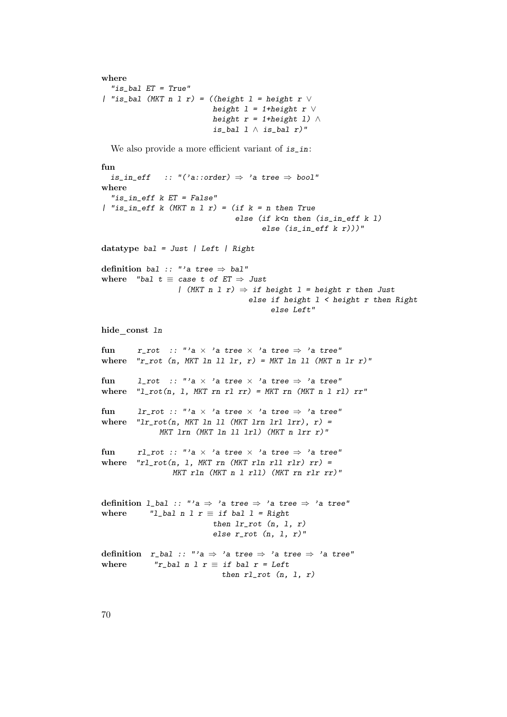```
where
  "is_bal ET = True"
| "is_bal (MKT n l r) = ((height l = height r \veeheight 1 = 1 + height r \veeheight r = 1 + \text{height } 1) ∧
                            is_bal 1 \wedge is_bal r)"
```
We also provide a more efficient variant of  $is\_in$ :

```
fun
  is_in_eff :: "('a::order) \Rightarrow 'a tree \Rightarrow bool"
where
  "is_in_eff k ET = False"
| "is_in_eff k (MKT n 1 r) = (if k = n then Trueelse (if k<n then (is_in_eff k 1)
                                          else (is_in_eff k r)))"
datatype bal = Just | Left | Right
definition bal :: "'a tree \Rightarrow bal"
where "bal t \equiv case t of ET \Rightarrow Just
                    | (MKT n 1 r) \Rightarrow if height 1 = height r then Just
                                      else if height 1 < height r then Right
                                            else Left"
hide const ln
fun r_rot :: "'a \times 'a tree \times 'a tree \Rightarrow 'a tree"
where "r\_rot (n, MKT ln ll lr, r) = MKT ln ll (MKT n lr r)"
fun l_rot :: "'a \times 'a tree \times 'a tree \Rightarrow 'a tree"
where "l\_rot(n, l, MKT \, rn \, rl \, rr) = MKT \, rn \, (MKT \, n \, l \, rl) \, rr"fun lr_rot :: "'a \times 'a tree \times 'a tree \Rightarrow 'a tree"
where "lr\_rot(n, MKT \ln 11 (MKT \ln 1r1 \ln r); r) =
               MKT lrn (MKT ln ll lrl) (MKT n lrr r)"
fun rl_rot :: "'a \times 'a tree \times 'a tree \Rightarrow 'a tree"
where "r1\_rot(n, 1, MKT rn (MKT rln r11 r1r) rr) =MKT rln (MKT n l rll) (MKT rn rlr rr)"
definition l_bal :: "'a \Rightarrow 'a tree \Rightarrow 'a tree \Rightarrow 'a tree"
where "l_bal n l r \equiv if bal l = Right
                             then lr\_rot (n, 1, r)else r\_rot (n, 1, r)"
definition r_bal :: "'a \Rightarrow 'a tree \Rightarrow 'a tree \Rightarrow 'a tree"
where ''r\_bal n 1 r \equiv if bal r = Leftthen r1-rot (n, 1, r)
```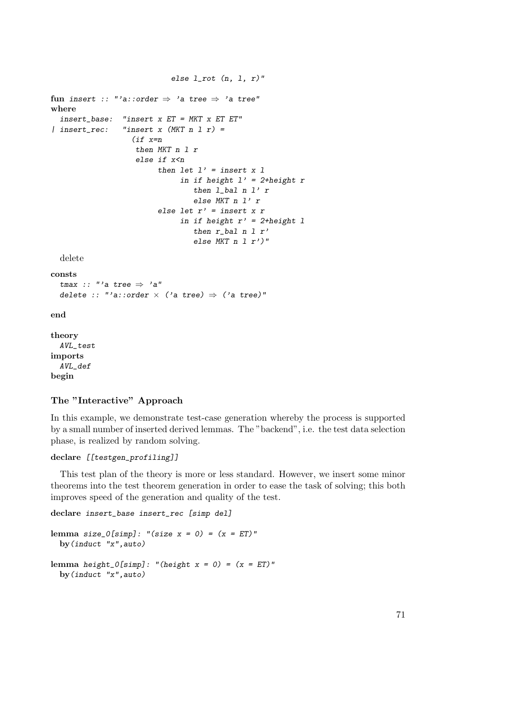```
else l\_rot (n, l, r)"
fun insert :: "'a::order \Rightarrow 'a tree \Rightarrow 'a tree"
where
  insert_base: "insert x ET = MKT x ET ET"
| insert_rec: "insert x (MKT n 1 r) =(if x=n
                     then MKT n l r
                      else if x<n
                           then let l' = insert x 1
                                 in if height l' = 2 + height r
                                     then l_bal n l' r
                                     else MKT n l' r
                           else let r' = insert x r
                                 in if height r' = 2 + height 1then r<sub>-</sub>bal n l r'else MKT n \mid l \mid r')"
  delete
consts
  tmax :: "'a tree \Rightarrow 'a"
  delete :: "'a::order \times ('a tree) \Rightarrow ('a tree)"
end
theory
  AVL_test
imports
```
AVL\_def begin

# The "Interactive" Approach

In this example, we demonstrate test-case generation whereby the process is supported by a small number of inserted derived lemmas. The "backend", i.e. the test data selection phase, is realized by random solving.

# declare [[testgen\_profiling]]

This test plan of the theory is more or less standard. However, we insert some minor theorems into the test theorem generation in order to ease the task of solving; this both improves speed of the generation and quality of the test.

declare insert\_base insert\_rec [simp del]

```
lemma size_0[simp]: "(size x = 0) = (x = ET)"
 by(induct "x",auto)
lemma height_0[simp]: "(height x = 0) = (x = ET)"
 by(induct "x",auto)
```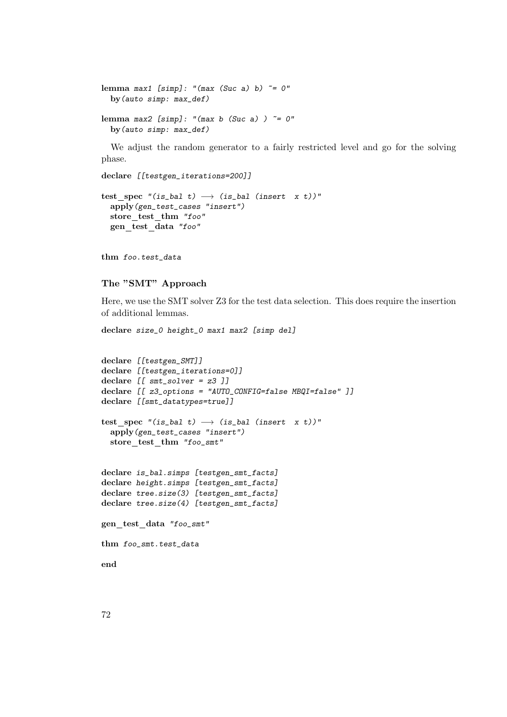lemma max1 [simp]: "(max (Suc a) b)  $\tilde{e}$  = 0" by(auto simp: max\_def) lemma max2 [simp]: "(max b (Suc a))  $\tilde{e}$  = 0" by(auto simp: max\_def)

We adjust the random generator to a fairly restricted level and go for the solving phase.

declare [[testgen\_iterations=200]]

```
test_spec "(is_bal t) \longrightarrow (is_bal (insert x t))"
  apply(gen_test_cases "insert")
  store_test_thm "foo"
  gen test data "foo"
```
thm foo.test\_data

# The "SMT" Approach

Here, we use the SMT solver Z3 for the test data selection. This does require the insertion of additional lemmas.

declare size\_0 height\_0 max1 max2 [simp del]

```
declare [[testgen_SMT]]
declare [[testgen_iterations=0]]
declare [[ smt<sub>solver</sub> = z3 ]]
declare [[ z3_options = "AUTO_CONFIG=false MBQI=false" ]]
declare [[smt_datatypes=true]]
test_spec "(is_bal t) \longrightarrow (is_bal (insert x t))"
  apply(gen_test_cases "insert")
  store_test_thm "foo_smt"
declare is_bal.simps [testgen_smt_facts]
declare height.simps [testgen_smt_facts]
declare tree.size(3) [testgen_smt_facts]
declare tree.size(4) [testgen_smt_facts]
gen_test_data "foo_smt"
thm foo_smt.test_data
end
```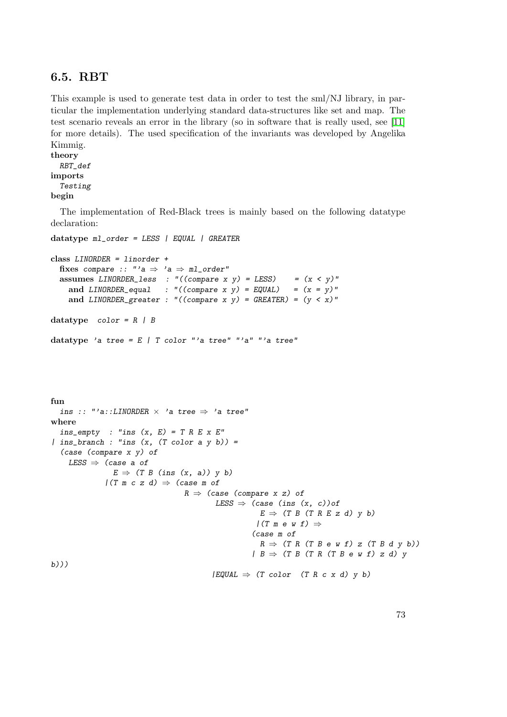# 6.5. RBT

This example is used to generate test data in order to test the sml/NJ library, in particular the implementation underlying standard data-structures like set and map. The test scenario reveals an error in the library (so in software that is really used, see [\[11\]](#page-114-0) for more details). The used specification of the invariants was developed by Angelika Kimmig.

```
theory
 RBT_def
imports
  Testing
begin
```
The implementation of Red-Black trees is mainly based on the following datatype declaration:

```
datatype ml_order = LESS | EQUAL | GREATER
class LINORDER = linorder +
  fixes compare :: "'a \Rightarrow 'a \Rightarrow ml_order"
  assumes LINORDER_less : "((compare x y) = LESS) = (x < y)"
    and LINORDER\_equal : "((compare x y) = EQUAL) = (x = y)"
    and LINORDER_greater : "((compare x y) = GREATER) = (y < x)"
datatype color = R / Bdatatype 'a tree = E / T color "'a tree" "'a" "'a tree"
fun
  ins :: "'a::LINORDER \times 'a tree \Rightarrow 'a tree"
where
  ins\_empty : "ins (x, E) = T R E x E"| ins_branch : "ins (x, (T \text{ color a } y b)) =
  (case (compare x y) of
    LESS \Rightarrow (case a of
                 E \Rightarrow (T \ B \ (ins \ (x, a)) \ y \ b)/(T \text{ m } c \text{ z } d) \Rightarrow (case \text{ m } ofR \Rightarrow (case (compare x z) of
                                              LESS \Rightarrow (case (ins (x, c)) of
                                                          E \Rightarrow (T B (T R E z d) y b)
                                                         /(T \t m \t e \t w \t f) \Rightarrow(case m of
                                                          R \Rightarrow (T \ R \ (T \ B \ e \ w \ f) \ z \ (T \ B \ d \ y \ b))| B \Rightarrow (T B (T R (T B e w f) z d) yb)))
                                             |EQUAL \Rightarrow (T \text{ color} (T R c x d) y b)|
```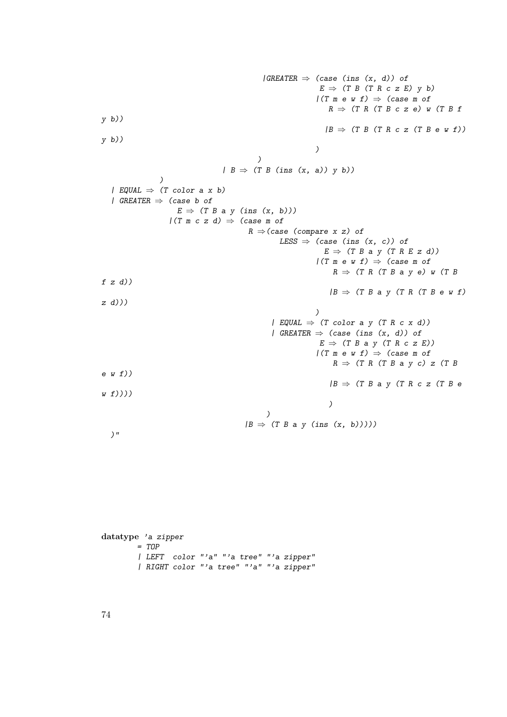$|GREATER \Rightarrow (case (ins (x, d)) of$  $E \Rightarrow$  (T B (T R c z E) y b)  $/(T \t m \t e \t w \t f) \Rightarrow$  (case m of  $R \Rightarrow$  (T R (T B c z e) w (T B f y b))  $|B \Rightarrow (T B (T R c z (T B e w f)))$ y b)) ) )  $| B \Rightarrow (T B (ins (x, a)) y b))$ ) | EQUAL  $\Rightarrow$  (T color a x b) | GREATER  $\Rightarrow$  (case b of  $E \Rightarrow (T B a y (ins (x, b)))$  $/(T \t{m} c z d) \Rightarrow$  (case m of  $R \Rightarrow$  (case (compare x z) of LESS  $\Rightarrow$  (case (ins  $(x, c)$ ) of  $E \Rightarrow (T B a y (T R E z d))$  $/(T \t m \t e \t w \t f) \Rightarrow$  (case m of  $R \Rightarrow$  (T R (T B a y e) w (T B  $f z d$ )  $|B \Rightarrow$  (T B a y (T R (T B e w f) z d))) ) | EQUAL  $\Rightarrow$  (T color a y (T R c x d)) | GREATER  $\Rightarrow$  (case (ins  $(x, d)$ ) of  $E \Rightarrow (T B a y (T R c z E))$  $/(T \t m \t e \t w \t f) \Rightarrow$  (case m of  $R \Rightarrow$  (T R (T B a y c) z (T B e w f))  $|B \Rightarrow$  (T B a y (T R c z (T B e  $w(f))$ ) ) )  $|B \Rightarrow (T B a y (ins (x, b))))$  $)$ "

```
datatype 'a zipper
        = TOP
        | LEFT color "'a" "'a tree" "'a zipper"
        | RIGHT color "'a tree" "'a" "'a zipper"
```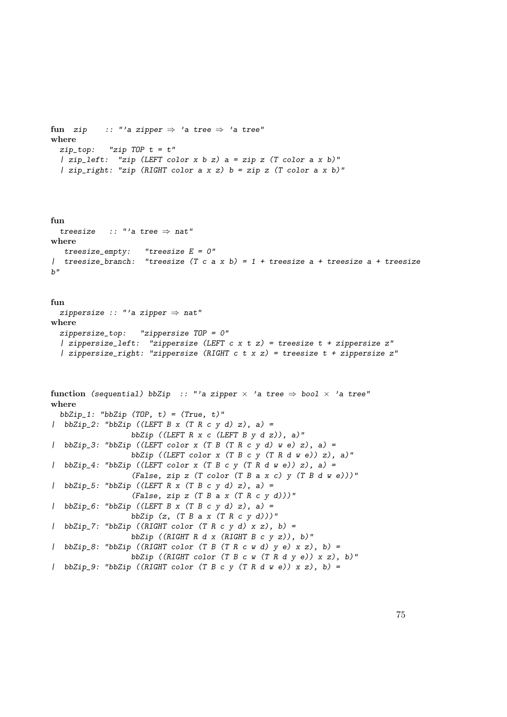```
fun zip :: "'a zipper \Rightarrow 'a tree \Rightarrow 'a tree"
where
 zip\_top: "zip TOP t = t"
  | zip_left: "zip (LEFT color x b z) a = zip z (T color a x b)"
  | zip_right: "zip (RIGHT color a x z) b = zip z (T color a x b)"
```

```
fun
 treesize :: "'a tree \Rightarrow nat"
where
  treesize_empty: "treesize E = 0"
| treesize_branch: "treesize (T c a x b) = 1 + treesize a + treesize a + treesize
h''
```

```
fun
 zippersize :: "'a zipper \Rightarrow nat"
where
 zippersize_top: "zippersize TOP = 0"
  | zippersize_left: "zippersize (LEFT c x t z) = treesize t + zippersize z"
  | zippersize_right: "zippersize (RIGHT c t x z) = treesize t + zippersize z"
```

```
function (sequential) bbZip :: "'a zipper \times 'a tree \Rightarrow bool \times 'a tree"
where
 bbZip_1: "bbZip (TOP, t) = (True, t)"\lvert bbZip_2: "bbZip ((LEFT B x (T R c y d) z), a) =
                  bbZip ((LEFT R x c (LEFT B y d z)), a)"
| bbZip_3: "bbZip ((LEFT color x (T B (T R c y d) w e) z), a) =
                  bbZip ((LEFT color x (T B c y (T R d w e)) z), a)"
| bbZip_4: "bbZip ((LEFT color x (T B c y (T R d w e)) z), a) =
                  (False, zip z (T color (T B a x c) y (T B d w e)))"
\lvert bbZip_5: "bbZip ((LEFT R x (T B c y d) z), a) =
                  (False, zip z (T B a x (T R c y d)))"
| bbZip_6: "bbZip ((LEFT B x (T B c y d) z), a) =
                  bbZip (z, (T B a x (T R c y d)))"
| bbZip_7: "bbZip ((RIGHT color (T R c y d) x z), b) =
                  bbZip ((RIGHT R d x (RIGHT B c y z)), b)"
| bbZip_8: "bbZip ((RIGHT color (T B (T R c w d) y e) x z), b) =
                  bbZip ((RIGHT color (T B c w (T R d v e)) x z), b)"
| bbZip_9: "bbZip ((RIGHT color (T B c y (T R d w e)) x z), b) =
```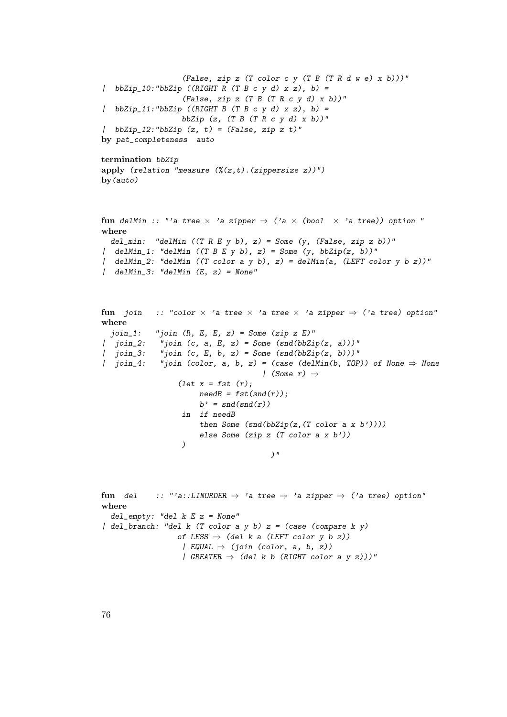```
(False, zip z (T color c y (T B (T R d w e) x b)))"
| bbZip_10:"bbZip ((RIGHT R (T B c y d) x z), b) =
                   (False, zip z (T B (T R c y d) x b))"
| bbZip_11:"bbZip ((RIGHT B (T B c y d) x z), b) =
                   bbZip (z, (T B (T R c y d) x b))"
| bbZip_12:"bbZip (z, t) = (False, zip z t)"
by pat_completeness auto
termination bbZip
apply (relation "measure (\frac{y}{z},t). (zippersize z))")
by(auto)
fun delMin :: "'a tree \times 'a zipper \Rightarrow ('a \times (bool \times 'a tree)) option "
where
 del_min: "delMin ((T \ R \ E \ y \ b), z) = Some (y, (False, zip z b))"
| delMin_1: "delMin ((T \ B \ E \ y \ b), z) = Some (y, bbZip(z, b))"
| delMin_2: "delMin ((T color a y b), z) = delMin(a, (LEFT color y b z))"
\int delMin_3: "delMin (E, z) = None"
```

```
fun join :: "color \times 'a tree \times 'a tree \times 'a zipper \Rightarrow ('a tree) option"
where
  join_1: "join (R, E, E, z) = Some (zip z E)"| join_2: "join (c, a, E, z) = Some (snd(bbZip(z, a)))"
| join_3: "join (c, E, b, z) = Some (snd(bbZip(z, b)))"
| join_4: "join (color, a, b, z) = (case (delMin(b, TOP)) of None \Rightarrow None
                                        | (Some r) \Rightarrow(\text{let } x = \text{fst } (r));needB = fst(snd(r));b' = \text{snd}(\text{snd}(r))in if needB
                         then Some (snd(bbZip(z, (T color a x b'))))
```

```
else Some (zip z (T color a x b'))
```

```
)"
```
)

```
fun del :: "'a::LINORDER \Rightarrow 'a tree \Rightarrow 'a zipper \Rightarrow ('a tree) option"
where
  del_empty: "del k E z = None"
\int del_branch: "del k (T color a y b) z = (case (compare k y)of LESS \Rightarrow (del k a (LEFT color y b z))
                     | EQUAL \Rightarrow (join (color, a, b, z))
                     | GREATER \Rightarrow (del k b (RIGHT color a y z)))"
```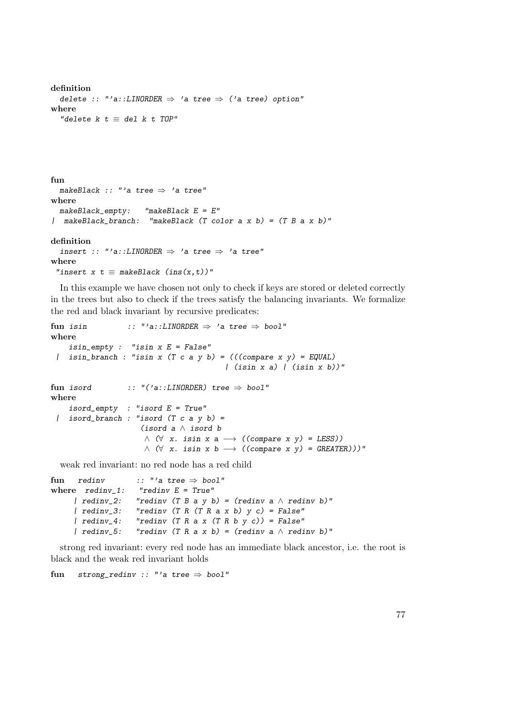```
definition
  delete :: "'a::LINORDER \Rightarrow 'a tree \Rightarrow ('a tree) option"
where
  "delete k t \equiv del k t TOP"
```

```
fun
  makeBlack :: "'a tree \Rightarrow 'a tree"
where
  makeBlack<sub>empty</sub>: "makeBlack E = E''| makeBlack_branch: "makeBlack (T color a x b) = (T B a x b)"
definition
  insert :: "'a::LINORDER \Rightarrow 'a tree \Rightarrow 'a tree"
where
 "insert x t \equiv makeBlack (ins(x,t))"
```
In this example we have chosen not only to check if keys are stored or deleted correctly in the trees but also to check if the trees satisfy the balancing invariants. We formalize the red and black invariant by recursive predicates:

```
fun isin :: "'a::LINDER \Rightarrow 'a tree \Rightarrow bool"where
     isin_empty : "isin x E = False"
 | isin_branch : "isin x (T c a y b) = (((compare x y) = EQUAL)
                                                   \int (isin x a) / (isin x b))''fun isord :: "('a::LINORDER) tree \Rightarrow bool"where
     isord\_empty : "isord E = True"
 | isord_branch : "isord (T c a y b) =(isord a ∧ isord b
                           \wedge (\forall x. \text{isin } x \text{ a } \longrightarrow ((\text{compare } x \text{ y}) = \text{LESS}))\wedge (\forall x. \text{isin } x \text{ } b \longrightarrow ((compare x \text{ } y) = \text{GREATER})))"
```
weak red invariant: no red node has a red child

```
fun redinv :: "'a tree \Rightarrow bool"
where \text{redinv}_1: "redinv E = \text{True}"
      | redinv_2: "redinv (T B a y b) = (redinv a \wedge redinv b)"
      | redinv_3: "redinv (T R (T R a x b) y c) = False"| redinv_4: "redinv (T R a x (T R b y c)) = False"<br>| redinv_5: "redinv (T R a x b) = (redinv a \wedge redi
                        "redinv (T R a x b) = (redinv a \wedge redinv b)"
```
strong red invariant: every red node has an immediate black ancestor, i.e. the root is black and the weak red invariant holds

fun strong\_redinv :: "'a tree  $\Rightarrow$  bool"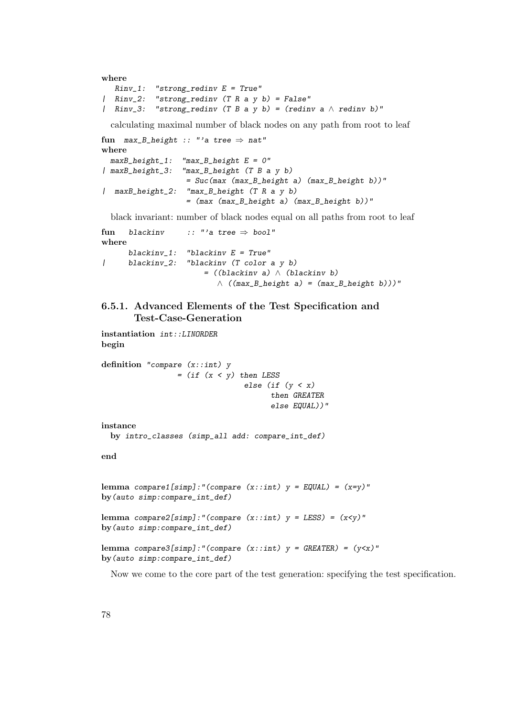```
where
  Rinv_1: "strong_redinv E = True"
| Rinv_2: "strong_redinv (T R a y b) = False"
| Rinv_3: "strong_redinv (T B a y b) = (redinv a \land redinv b)"
```
calculating maximal number of black nodes on any path from root to leaf

```
fun max_B_height :: "'a tree \Rightarrow nat"
where
 maxB_{\text{height}}1: "max_B_height E = 0"
| maxB_height_3: "max_B_height (T B a y b)
                    = Suc(max (max_B_height a) (max_B_height b))"
| maxB_height_2: "max_B_height (T R a y b)
                    = (max (max_B_height a) (max_B_height b))"
```
black invariant: number of black nodes equal on all paths from root to leaf

fun blackinv :: "'a tree  $\Rightarrow$  bool" where blackinv\_1: "blackinv  $E = True$ " | blackinv\_2: "blackinv (T color a y b) = ((blackinv a) ∧ (blackinv b)  $\wedge$  ((max\_B\_height a) = (max\_B\_height b)))"

## 6.5.1. Advanced Elements of the Test Specification and Test-Case-Generation

```
instantiation int::LINORDER
begin
```
definition "compare (x::int) y  $=$  (if  $(x < y)$  then LESS else (if (y < x) then GREATER else EQUAL))"

instance

```
by intro_classes (simp_all add: compare_int_def)
```
end

```
lemma compare1[simp]:"(compare (x:int) y = EQUAL) = (x=y)"
by(auto simp:compare_int_def)
```
lemma compare2[simp]:"(compare  $(x::int)$  y = LESS) =  $(x < y)$ " by(auto simp:compare\_int\_def)

```
lemma compare3[simp]:"(compare (x::int) y = GREATER) = (y<x)"
by(auto simp:compare_int_def)
```
Now we come to the core part of the test generation: specifying the test specification.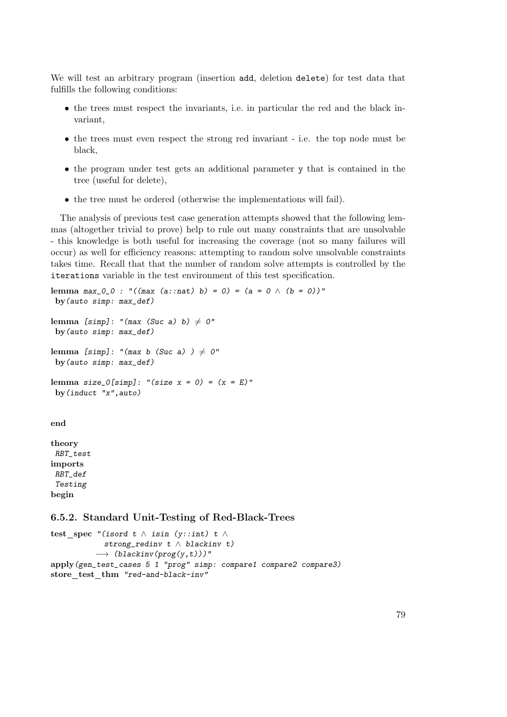We will test an arbitrary program (insertion add, deletion delete) for test data that fulfills the following conditions:

- the trees must respect the invariants, i.e. in particular the red and the black invariant,
- the trees must even respect the strong red invariant i.e. the top node must be black,
- the program under test gets an additional parameter y that is contained in the tree (useful for delete),
- the tree must be ordered (otherwise the implementations will fail).

The analysis of previous test case generation attempts showed that the following lemmas (altogether trivial to prove) help to rule out many constraints that are unsolvable - this knowledge is both useful for increasing the coverage (not so many failures will occur) as well for efficiency reasons: attempting to random solve unsolvable constraints takes time. Recall that that the number of random solve attempts is controlled by the iterations variable in the test environment of this test specification.

```
lemma max_0_0 : "((max (a:nat) b) = 0) = (a = 0 \land (b = 0))"by(auto simp: max_def)
lemma [simp]: "(max (Suc a) b) \neq 0"
by(auto simp: max_def)
lemma [simp]: "(max b (Suc a) ) \neq 0"
by(auto simp: max_def)
lemma size_0[simp]: "(size x = 0) = (x = E)"
by(induct "x",auto)
end
```
theory RBT\_test imports RBT\_def Testing begin

#### 6.5.2. Standard Unit-Testing of Red-Black-Trees

```
test_spec "(isord t \wedge isin (y::int) t \wedgestrong_redinv t \land blackinv t)
           \rightarrow (blackinv(prog(y,t)))"
apply(gen_test_cases 5 1 "prog" simp: compare1 compare2 compare3)
store test thm "red-and-black-inv"
```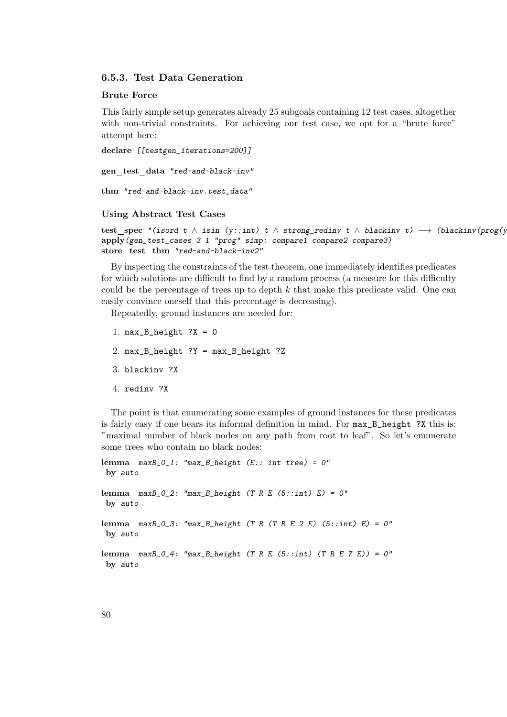## 6.5.3. Test Data Generation

#### Brute Force

This fairly simple setup generates already 25 subgoals containing 12 test cases, altogether with non-trivial constraints. For achieving our test case, we opt for a "brute force" attempt here:

```
declare [[testgen_iterations=200]]
```
gen test data "red-and-black-inv"

```
thm "red-and-black-inv.test_data"
```
#### Using Abstract Test Cases

test spec "(isord t  $\land$  isin (y::int) t  $\land$  strong\_redinv t  $\land$  blackinv t)  $\longrightarrow$  (blackinv(prog(y apply(gen\_test\_cases 3 1 "prog" simp: compare1 compare2 compare3) store test thm "red-and-black-inv2"

By inspecting the constraints of the test theorem, one immediately identifies predicates for which solutions are difficult to find by a random process (a measure for this difficulty could be the percentage of trees up to depth  $k$  that make this predicate valid. One can easily convince oneself that this percentage is decreasing).

Repeatedly, ground instances are needed for:

1. max B height  $?X = 0$ 2. max\_B\_height ?Y = max\_B\_height ?Z 3. blackinv ?X 4. redinv ?X

The point is that enumerating some examples of ground instances for these predicates is fairly easy if one bears its informal definition in mind. For  $max_B$  height ?X this is: "maximal number of black nodes on any path from root to leaf". So let's enumerate some trees who contain no black nodes:

```
lemma maxB_0_1: "max_B_height (E:: int tree) = 0"
by auto
lemma maxB_0_2: "max_B_height (T R E (5::int) E) = 0"
by auto
lemma maxB_0_3: "max_B_height (T R (T R E 2 E) (5::int) E) = 0"
by auto
lemma maxB_0_4: "max_B_height (T R E (5::int) (T R E 7 E)) = 0"
by auto
```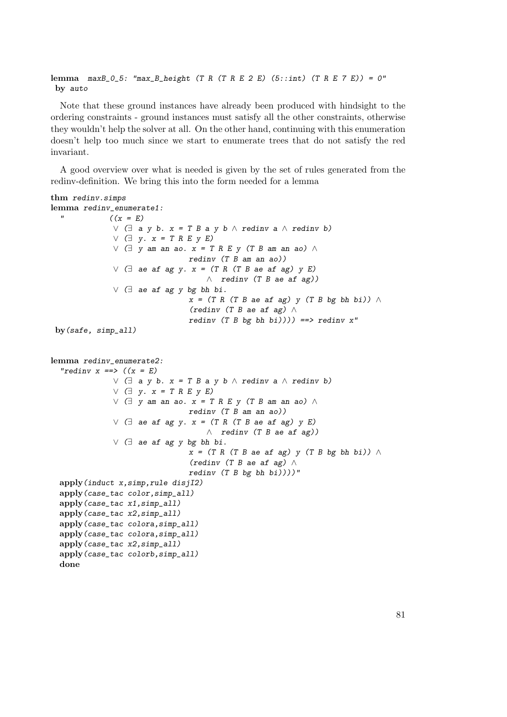lemma  $maxB_0_5$ : " $max_B_{height}$  (T R (T R E 2 E) (5::int) (T R E 7 E)) = 0" by auto

Note that these ground instances have already been produced with hindsight to the ordering constraints - ground instances must satisfy all the other constraints, otherwise they wouldn't help the solver at all. On the other hand, continuing with this enumeration doesn't help too much since we start to enumerate trees that do not satisfy the red invariant.

A good overview over what is needed is given by the set of rules generated from the redinv-definition. We bring this into the form needed for a lemma

#### thm redinv.simps

```
lemma redinv_enumerate1:
  " ((x = E))∨ (∃ a y b. x = T B a y b ∧ redinv a ∧ redinv b)
              \vee \Box y. x = T R E y E∨ (∃ y am an ao. x = T R E y (T B am an ao) ∧redinv (T B am an ao))
             ∨ (∃ ae af ag y. x = (T R (T B ae af ag) y E)
                                   \wedge redinv (T B ae af ag))
             ∨ (∃ ae af ag y bg bh bi.
                               x = (T R (T B ae af ag) y (T B bg bh bi)) \wedge(redinv (T B ae af ag) ∧
                               redinv (T B bg bh bi)))) ==> redinv x''by(safe, simp_all)
lemma redinv_enumerate2:
  "rediny x ==>(x = E)∨ (∃ a y b. x = T B a y b ∧ redinv a ∧ redinv b)
             \vee (\exists y. x = T R E y E)∨ \exists y am an ao. x = T R E y (T B am an ao) ∧redinv (T B am an ao))
             ∨ (∃ ae af ag y. x = (T R (T B ae af ag) y E)
                                   \wedge redinv (T B ae af ag))
             ∨ (∃ ae af ag y bg bh bi.
                               x = (T R (T B ae af ag) y (T B bg bh bi))(redinv (T B ae af ag) ∧
                               redinv (T B bg bh bi)))''apply(induct x,simp,rule disjI2)
 apply(case_tac color,simp_all)
 apply(case_tac x1,simp_all)
 apply(case_tac x2,simp_all)
 apply(case_tac colora,simp_all)
 apply(case_tac colora,simp_all)
 apply(case_tac x2,simp_all)
 apply(case_tac colorb,simp_all)
 done
```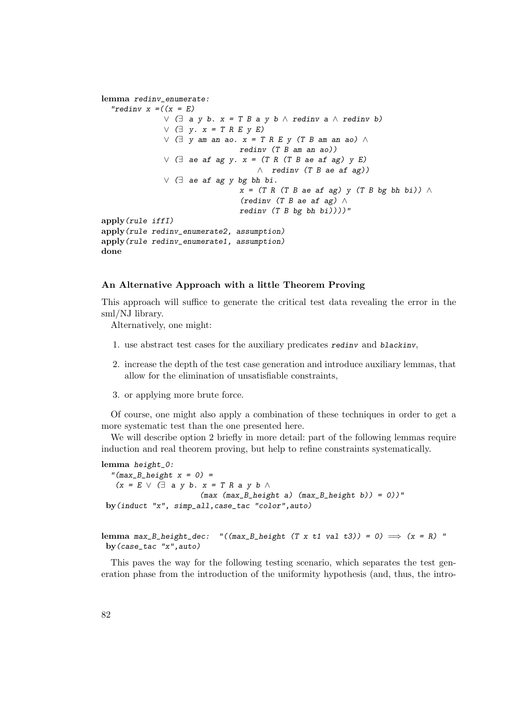```
lemma redinv_enumerate:
  "redinv x = ((x = E)∨ (∃ a y b. x = T B a y b ∧ redinv a ∧ redinv b)
              ∨ (∃ y. x = T R E y E)∨ \Box y am an ao. x = T R E y (T B am an ao) ∧redinv (T B am an ao))
              ∨ \exists ae af ag y. x = (T R (T B ae af ag) y E)
                                    \wedge redinv (T B ae af ag))
              ∨ (∃ ae af ag y bg bh bi.
                               x = (T R (T B ae af ag) y (T B bg bh bi)) \wedge(redinv (T B ae af ag) \wedgeredinv (T B bg bh bi)))''apply(rule iffI)
apply(rule redinv_enumerate2, assumption)
apply(rule redinv_enumerate1, assumption)
done
```
#### An Alternative Approach with a little Theorem Proving

This approach will suffice to generate the critical test data revealing the error in the sml/NJ library.

Alternatively, one might:

- 1. use abstract test cases for the auxiliary predicates redinv and blackinv,
- 2. increase the depth of the test case generation and introduce auxiliary lemmas, that allow for the elimination of unsatisfiable constraints,
- 3. or applying more brute force.

Of course, one might also apply a combination of these techniques in order to get a more systematic test than the one presented here.

We will describe option 2 briefly in more detail: part of the following lemmas require induction and real theorem proving, but help to refine constraints systematically.

```
lemma height_0:
```

```
"(max_{B_{\text{neight}}} x = 0) =
  (x = E \vee \Box a y b. x = T R a y b \wedge(max (max_B_{height} a) (max_B_{height} b)) = 0)"
by(induct "x", simp_all,case_tac "color",auto)
```

```
lemma max_B_height_dec: "((max_B_height (T x t1 val t3)) = 0) \implies (x = R) "
by(case_tac "x",auto)
```
This paves the way for the following testing scenario, which separates the test generation phase from the introduction of the uniformity hypothesis (and, thus, the intro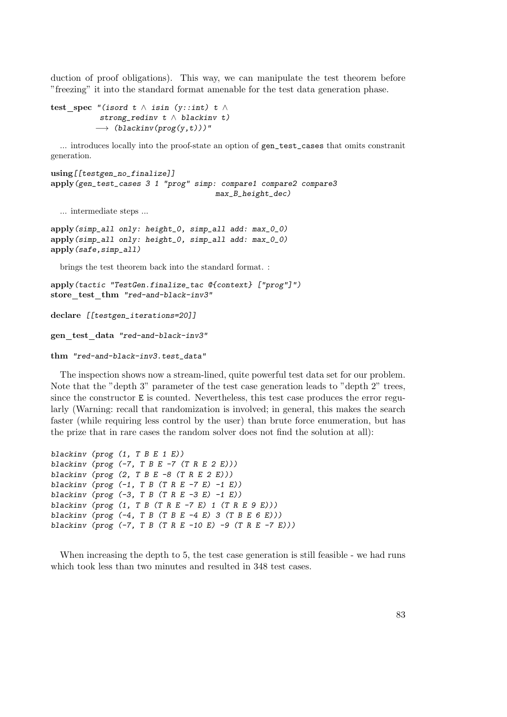duction of proof obligations). This way, we can manipulate the test theorem before "freezing" it into the standard format amenable for the test data generation phase.

```
test spec "(isord t \wedge isin (y::int) t \wedgestrong_redinv t \land blackinv t)
            \rightarrow (blackinv(prog(y,t)))"
```
... introduces locally into the proof-state an option of gen\_test\_cases that omits constranit generation.

```
using[[testgen_no_finalize]]
apply(gen_test_cases 3 1 "prog" simp: compare1 compare2 compare3
                                     max_B_height_dec)
```
... intermediate steps ...

```
apply(simp_all only: height_0, simp_all add: max_0_0)
apply(simp_all only: height_0, simp_all add: max_0_0)
apply(safe,simp_all)
```
brings the test theorem back into the standard format. :

```
apply(tactic "TestGen.finalize_tac @{context} ["prog"]")
store test thm "red-and-black-inv3"
```

```
declare [[testgen_iterations=20]]
```
gen\_test\_data "red-and-black-inv3"

```
thm "red-and-black-inv3.test_data"
```
The inspection shows now a stream-lined, quite powerful test data set for our problem. Note that the "depth 3" parameter of the test case generation leads to "depth 2" trees, since the constructor E is counted. Nevertheless, this test case produces the error regularly (Warning: recall that randomization is involved; in general, this makes the search faster (while requiring less control by the user) than brute force enumeration, but has the prize that in rare cases the random solver does not find the solution at all):

```
blackiny (prog (1, T B E 1 E))
blackinv (prog (-7, T B E -7 (T R E 2 E)))blackinv (prog (2, T B E -8 (T R E 2 E)))
blackinv (prog (-1, T B (T R E -7 E) -1 E))
blackinv (prog (-3, T B (T R E -3 E) -1 E))
blackinv (prog (1, T B (T R E - 7 E) 1 (T R E 9 E)))blackinv (prog (-4, T B (T B E -4 E) 3 (T B E 6 E)))blackinv (prog (-7, T B (T R E -10 E) -9 (T R E -7 E)))
```
When increasing the depth to 5, the test case generation is still feasible - we had runs which took less than two minutes and resulted in 348 test cases.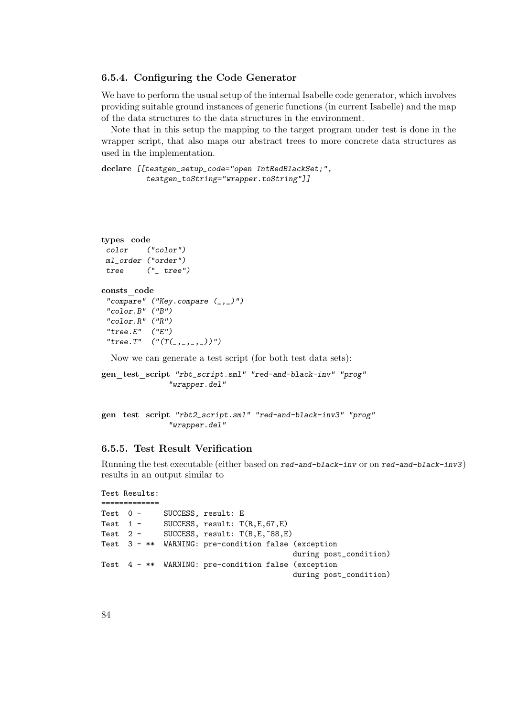#### 6.5.4. Configuring the Code Generator

We have to perform the usual setup of the internal Isabelle code generator, which involves providing suitable ground instances of generic functions (in current Isabelle) and the map of the data structures to the data structures in the environment.

Note that in this setup the mapping to the target program under test is done in the wrapper script, that also maps our abstract trees to more concrete data structures as used in the implementation.

```
declare [[testgen_setup_code="open IntRedBlackSet;",
         testgen_toString="wrapper.toString"]]
```

```
types code
 color ("color")
ml_order ("order")
tree ("_ tree")
consts code
 "compare" ("Key.compile (_, _{})")"color.B" ("B")
 "color.R" ("R")
 "tree.E" ("E")"tree.T" ("T(, , ))")Now we can generate a test script (for both test data sets):
```
gen test script "rbt\_script.sml" "red-and-black-inv" "prog" "wrapper.del"

```
gen test script "rbt2_script.sml" "red-and-black-inv3" "prog"
               "wrapper.del"
```
#### 6.5.5. Test Result Verification

Running the test executable (either based on red-and-black-inv or on red-and-black-inv3) results in an output similar to

```
Test Results:
=============
Test 0 - SUCCESS, result: E
Test 1 - SUCCESS, result: T(R,E,67,E)
Test 2 - SUCCESS, result: T(B,E,~88,E)
Test 3 - ** WARNING: pre-condition false (exception
                                        during post_condition)
Test 4 - ** WARNING: pre-condition false (exception
                                        during post_condition)
```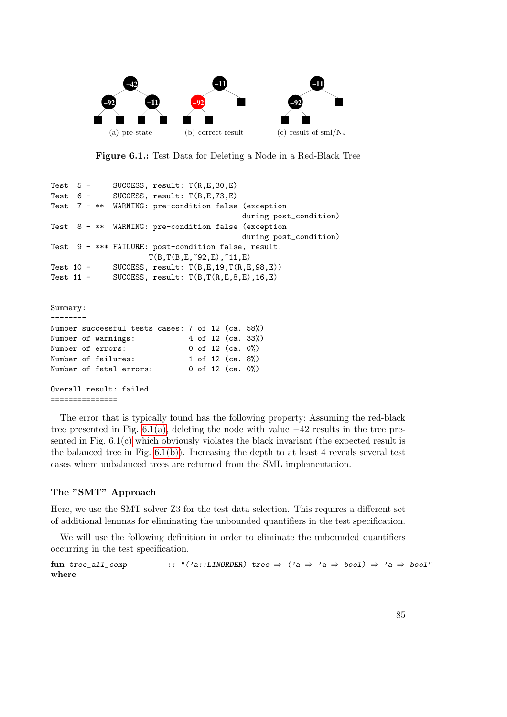<span id="page-84-2"></span><span id="page-84-1"></span><span id="page-84-0"></span>

Figure 6.1.: Test Data for Deleting a Node in a Red-Black Tree

```
Test 5 - SUCCESS, result: T(R,E,30,E)
Test 6 - SUCCESS, result: T(B,E,73,E)
Test 7 - ** WARNING: pre-condition false (exception
                                        during post_condition)
Test 8 - ** WARNING: pre-condition false (exception
                                        during post_condition)
Test 9 - *** FAILURE: post-condition false, result:
                    T(B,T(B,E,~92,E),~11,E)
Test 10 - SUCCESS, result: T(B,E,19,T(R,E,98,E))Test 11 - SUCCESS, result: T(B, T(R, E, 8, E), 16, E)Summary:
--------
Number successful tests cases: 7 of 12 (ca. 58%)
Number of warnings: 4 of 12 (ca. 33%)
Number of errors: 0 of 12 (ca. 0%)
Number of failures: 1 of 12 (ca. 8%)
```
Number of fatal errors: 0 of 12 (ca. 0%)

```
Overall result: failed
===============
```
The error that is typically found has the following property: Assuming the red-black tree presented in Fig.  $6.1(a)$ , deleting the node with value  $-42$  results in the tree presented in Fig.  $6.1(c)$  which obviously violates the black invariant (the expected result is the balanced tree in Fig.  $6.1(b)$ ). Increasing the depth to at least 4 reveals several test cases where unbalanced trees are returned from the SML implementation.

#### The "SMT" Approach

Here, we use the SMT solver Z3 for the test data selection. This requires a different set of additional lemmas for eliminating the unbounded quantifiers in the test specification.

We will use the following definition in order to eliminate the unbounded quantifiers occurring in the test specification.

fun tree\_all\_comp :: "('a::LINORDER) tree  $\Rightarrow$  ('a  $\Rightarrow$  'a  $\Rightarrow$  bool)  $\Rightarrow$  'a  $\Rightarrow$  bool" where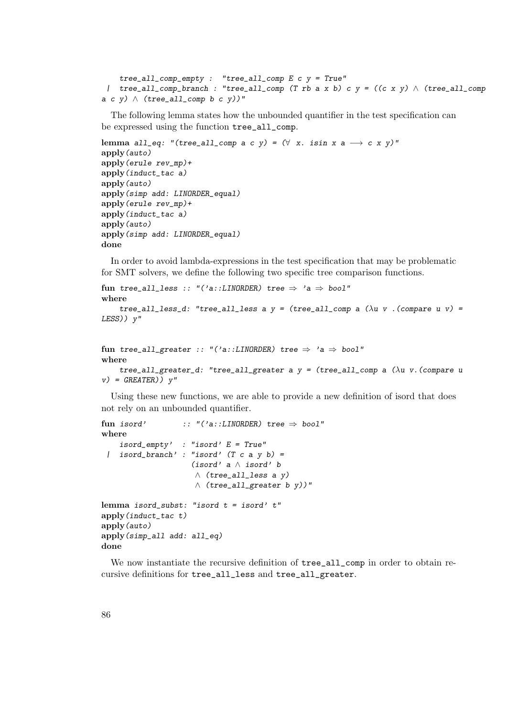```
tree\_all\_comp\_empty : 'tree\_all\_comp E c y = True"| tree_all_comp_branch : "tree_all_comp (T rb a x b) c y = ((c \times y) \land (tree\_all\_compa c y) \wedge (tree_all_comp b c y))"
```
The following lemma states how the unbounded quantifier in the test specification can be expressed using the function tree\_all\_comp.

```
lemma all_eq: "(tree_all_comp a c y) = (\forall x. \text{isin } x \land \rightarrow c \lor y)"
apply(auto)
apply(erule rev_mp)+
apply(induct_tac a)
apply(auto)
apply(simp add: LINORDER equal)
apply(erule rev_mp)+
apply(induct_tac a)
apply(auto)
apply(simp add: LINORDER_equal)
done
```
In order to avoid lambda-expressions in the test specification that may be problematic for SMT solvers, we define the following two specific tree comparison functions.

```
fun tree_all_less :: "('a::LINORDER) tree \Rightarrow 'a \Rightarrow bool"
where
     tree_all_less_d: "tree_all_less a y = (tree_aall\_comp \ a \ (\lambda u \ v \ . (compare \ u \ v) =LESS)) y"
```

```
fun tree_all_greater :: "('a::LINORDER) tree \Rightarrow 'a \Rightarrow bool"
where
    tree_all_greater_d: "tree_all_greater a y = (tree_all_comp a (\lambda u v. (compare u
v) = GREATER)) v''
```
Using these new functions, we are able to provide a new definition of isord that does not rely on an unbounded quantifier.

```
fun isord' :: "('a::LINORDER) tree \Rightarrow bool"
where
    isord\_empty' : "isord' E = True"
 | isord_branch' : "isord' (T c a y b) =(isord' a ∧ isord' b
                    ∧ (tree_all_less a y)
                    ∧ (tree_all_greater b y))"
lemma isord_subst: "isord t = isord' t"
apply(induct_tac t)
apply(auto)
apply(simp_all add: all_eq)
done
```
We now instantiate the recursive definition of  $tree_1all\_comp$  in order to obtain recursive definitions for tree\_all\_less and tree\_all\_greater.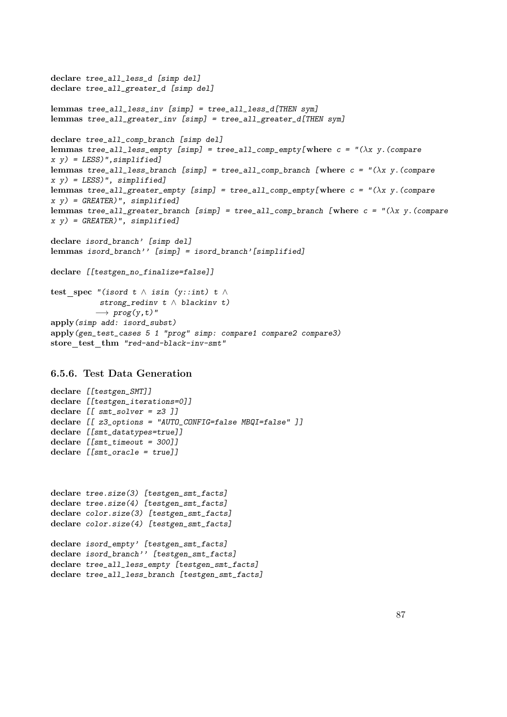```
declare tree_all_less_d [simp del]
declare tree_all_greater_d [simp del]
lemmas tree_all_less_inv [simp] = tree_all_less_d[THEN sym]
lemmas tree_all_greater_inv [simp] = tree_all_greater_d[THEN sym]
declare tree_all_comp_branch [simp del]
lemmas tree_all_less_empty [simp] = tree_all_comp_empty[where c = "(\lambda x y. (comparex \ y) = LESS)", simplified]
lemmas tree_all_less_branch [simp] = tree_all_comp_branch [where c = "(\lambda x y. (compare
x y) = LESS)", simplified]
lemmas tree_all_greater_empty [simp] = tree_all_comp_empty[where c = "(\lambda x y. (comparex \ y = GREATER)", simplified]
lemmas tree_all_greater_branch [simp] = tree_all_comp_branch [where c = "(\lambda x y. (comparex y) = GREATER)", simplified]
declare isord_branch' [simp del]
lemmas isord_branch'' [simp] = isord_branch'[simplified]
declare [[testgen_no_finalize=false]]
test_spec "(isord t \wedge isin (y::int) t \wedgestrong_redinv t \wedge blackinv t)
          \rightarrow prog(y,t)"
apply(simp add: isord_subst)
apply(gen_test_cases 5 1 "prog" simp: compare1 compare2 compare3)
```
store test thm "red-and-black-inv-smt"

## 6.5.6. Test Data Generation

```
declare [[testgen_SMT]]
declare [[testgen_iterations=0]]
declare [[ smt_solver = z3 ]]
declare [[ z3_options = "AUTO_CONFIG=false MBQI=false" ]]
declare [[smt_datatypes=true]]
declare [[smt_timeout = 300]]
declare [[smt_oracle = true]]
```

```
declare tree.size(3) [testgen_smt_facts]
declare tree.size(4) [testgen_smt_facts]
declare color.size(3) [testgen_smt_facts]
declare color.size(4) [testgen_smt_facts]
```

```
declare isord_empty' [testgen_smt_facts]
declare isord_branch'' [testgen_smt_facts]
declare tree_all_less_empty [testgen_smt_facts]
declare tree_all_less_branch [testgen_smt_facts]
```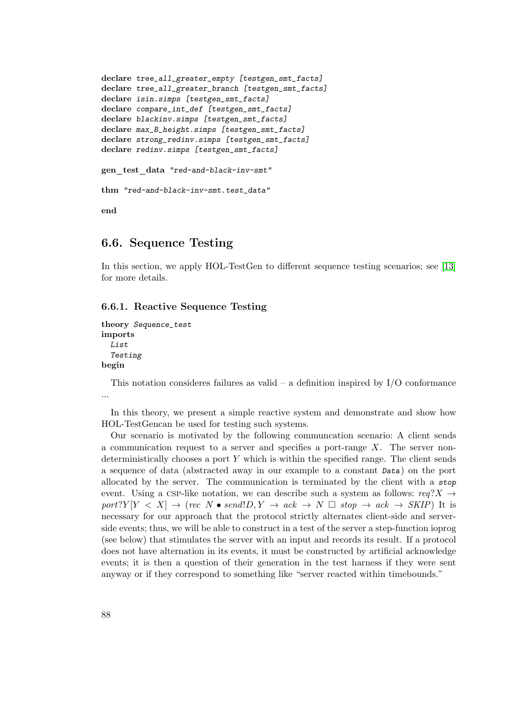```
declare tree_all_greater_empty [testgen_smt_facts]
declare tree_all_greater_branch [testgen_smt_facts]
declare isin.simps [testgen_smt_facts]
declare compare_int_def [testgen_smt_facts]
declare blackinv.simps [testgen_smt_facts]
declare max_B_height.simps [testgen_smt_facts]
declare strong_redinv.simps [testgen_smt_facts]
declare redinv.simps [testgen_smt_facts]
gen test data "red-and-black-inv-smt"
thm "red-and-black-inv-smt.test_data"
end
```
# 6.6. Sequence Testing

In this section, we apply HOL-TestGen to different sequence testing scenarios; see [\[13\]](#page-114-1) for more details.

#### 6.6.1. Reactive Sequence Testing

```
theory Sequence_test
imports
  List
  Testing
begin
```
This notation consideres failures as valid – a definition inspired by  $I/O$  conformance ...

In this theory, we present a simple reactive system and demonstrate and show how HOL-TestGencan be used for testing such systems.

Our scenario is motivated by the following communcation scenario: A client sends a communication request to a server and specifies a port-range  $X$ . The server nondeterministically chooses a port  $Y$  which is within the specified range. The client sends a sequence of data (abstracted away in our example to a constant Data) on the port allocated by the server. The communication is terminated by the client with a stop event. Using a CSP-like notation, we can describe such a system as follows:  $req?X \rightarrow$  $port?Y [Y < X] \rightarrow (rec N \bullet send!D, Y \rightarrow act \rightarrow N \square stop \rightarrow act \rightarrow SKIP)$  It is necessary for our approach that the protocol strictly alternates client-side and serverside events; thus, we will be able to construct in a test of the server a step-function ioprog (see below) that stimulates the server with an input and records its result. If a protocol does not have alternation in its events, it must be constructed by artificial acknowledge events; it is then a question of their generation in the test harness if they were sent anyway or if they correspond to something like "server reacted within timebounds."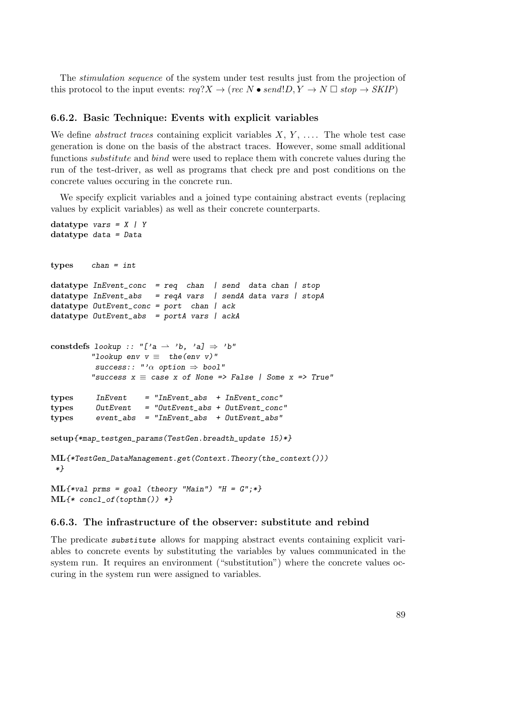The stimulation sequence of the system under test results just from the projection of this protocol to the input events:  $req?X \rightarrow (rec N \bullet send!D, Y \rightarrow N \Box stop \rightarrow SKIP)$ 

## 6.6.2. Basic Technique: Events with explicit variables

We define *abstract traces* containing explicit variables  $X, Y, \ldots$ . The whole test case generation is done on the basis of the abstract traces. However, some small additional functions *substitute* and *bind* were used to replace them with concrete values during the run of the test-driver, as well as programs that check pre and post conditions on the concrete values occuring in the concrete run.

We specify explicit variables and a joined type containing abstract events (replacing values by explicit variables) as well as their concrete counterparts.

```
datatype vars = X / Ydatatype data = Data
types chan = int
datatype InEvent\_conc = req chan | send data chan | stop
datatype InEvent_abs = reqA vars | sendA data vars | stopA
datatype OutEvent_conc = port chan | ack
datatype OutEvent_abs = portA vars | ackA
constdefs lookup :: "['a \rightarrow 'b, 'a] \Rightarrow 'b"
         "lookup env v \equiv the(env v)"
          success: "'\alpha option \Rightarrow bool""success x \equiv case x of None => False | Some x \equiv True"
types InEvent = "InEvent_abs + InEvent_conc"
types OutEvent = "OutEvent_abs + OutEvent_conc"
types event_abs = "InEvent_abs + OutEvent_abs"
setup{*map_testgen_params(TestGen.breadth_update 15)*}
ML{*TestGen_DataManagement.get(Context.Theory(the_context()))
*}
ML{*val prms = goal (theory "Main") "H = G";*}
\text{ML}\{\text{*} \text{ concl_of}(\text{topthm}() \text{)} * \}
```
#### 6.6.3. The infrastructure of the observer: substitute and rebind

The predicate substitute allows for mapping abstract events containing explicit variables to concrete events by substituting the variables by values communicated in the system run. It requires an environment ("substitution") where the concrete values occuring in the system run were assigned to variables.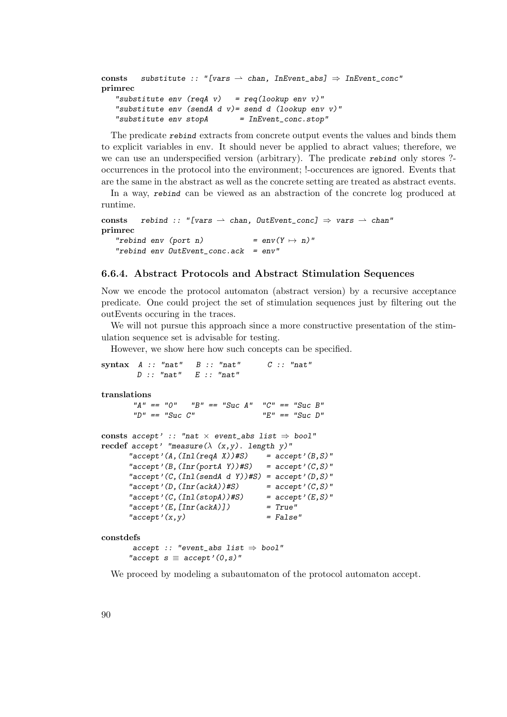```
consts substitute :: "[vars \rightarrow chan, InEvent_abs] \Rightarrow InEvent_conc"
primrec
   "substitute env (\text{reqA } v) = \text{req}(lookup env v)"
   "substitute env (sendA d v) = send d (lookup env v)"
   "substitute env stopA = InEvent-conc.stop"
```
The predicate rebind extracts from concrete output events the values and binds them to explicit variables in env. It should never be applied to abract values; therefore, we we can use an underspecified version (arbitrary). The predicate rebind only stores ?occurrences in the protocol into the environment; !-occurences are ignored. Events that are the same in the abstract as well as the concrete setting are treated as abstract events.

In a way, rebind can be viewed as an abstraction of the concrete log produced at runtime.

```
consts rebind :: "[vars \rightarrow chan, OutEvent_conc] \Rightarrow vars \rightarrow chan"
primrec
   "rebind env (port n) = env(Y \mapsto n)"
   "rebind env OutEvent\_conc.ack = env"
```
## 6.6.4. Abstract Protocols and Abstract Stimulation Sequences

Now we encode the protocol automaton (abstract version) by a recursive acceptance predicate. One could project the set of stimulation sequences just by filtering out the outEvents occuring in the traces.

We will not pursue this approach since a more constructive presentation of the stimulation sequence set is advisable for testing.

However, we show here how such concepts can be specified.

```
syntax A :: "nat" B :: "nat" C :: "nat"D :: "nat" E :: "nat"
translations
      "A" == "0" "B" == "Suc A" "C" == "Suc B""D" == "Suc C" "E" == "Suc D"consts accept' :: "nat \times event_abs list \Rightarrow bool"
recdef accept' "measure(\lambda (x,y). length y)"
     "accept'(A,(Inl(reqA X))#S) = accept'(B,S)"
     "accept'(B,(Inr(portA Y))#S) = accept'(C,S)"
     "accept'(C,(Inl(sendA d Y))#S) = accept'(D, S)"
     "accept'(D, (Inr(ackA))#S) = accept'(C, S)""accept'(C,(Inl(stopA))#S) = accept'(E,S)""accept'(E, [Inr(ackA)]") = True""accept'(x,y) = False"
constdefs
      accept :: "event\_abs list \Rightarrow bool""accept s \equiv accept'(0, s)"
```
We proceed by modeling a subautomaton of the protocol automaton accept.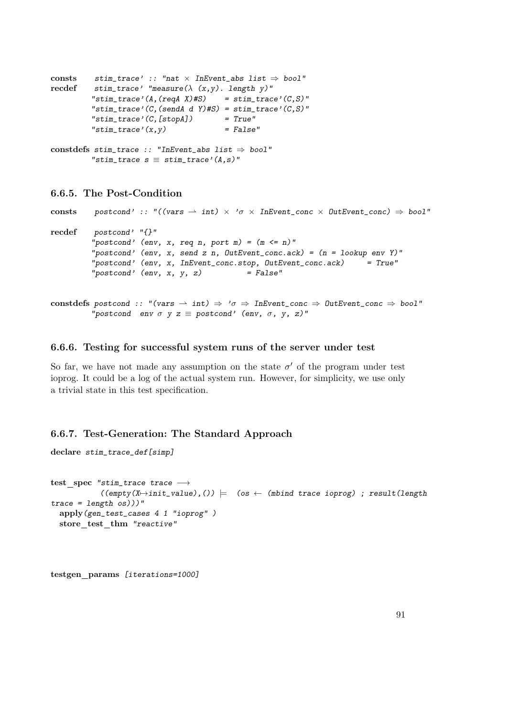```
consts stim_trace' :: "nat \times InEvent_abs list \Rightarrow bool"
recdef stim_trace' "measure(\lambda (x,y). length y)"
         "stim_trace'(A,(reqA X)#S) = stim_trace'(C,S)"
         "stim_trace'(C,(sendA d Y)#S) = stim_trace'(C,S)"
         "stim\_trace' (C, [stopA]) = True"
         "stim\_trace'(x,y) = False"
constdefs stim_trace :: "InEvent_abs list \Rightarrow bool"
         "stim_trace s \equiv stim_trace'(A,s)"
```
### 6.6.5. The Post-Condition

```
consts postcond' :: "((vars \rightarrow int) \times 'o \times InEvent\_conc \times OutEvent\_conc) \Rightarrow bool"recdef postcond' "{}"
         "postcond' (env, x, req n, port m) = (m \le n)"
         "postcond' (env, x, send z n, OutEvent_conc.ack) = (n = lookup env Y)"
         "postcond' (env, x, InEvent_conc.stop, OutEvent_conc.ack) = True"
         "postcond' (env, x, y, z) = False"
```

```
constdefs postcond :: "(vars \rightarrow int) \Rightarrow '\sigma \Rightarrow InEvent_conc \Rightarrow OutEvent_conc \Rightarrow bool"
             "postcond env \sigma y z \equiv postcond' (env, \sigma, y, z)"
```

```
6.6.6. Testing for successful system runs of the server under test
```
So far, we have not made any assumption on the state  $\sigma'$  of the program under test ioprog. It could be a log of the actual system run. However, for simplicity, we use only a trivial state in this test specification.

## 6.6.7. Test-Generation: The Standard Approach

```
declare stim_trace_def[simp]
```

```
test_spec "stim_trace trace \longrightarrow((empty(X \rightarrow init_value),()) \models (os \leftarrow (mbind trace ioprog) ; result(lengthtrace = length cos))"
  apply(gen_test_cases 4 1 "ioprog" )
  store test thm "reactive"
```

```
testgen params [iterations=1000]
```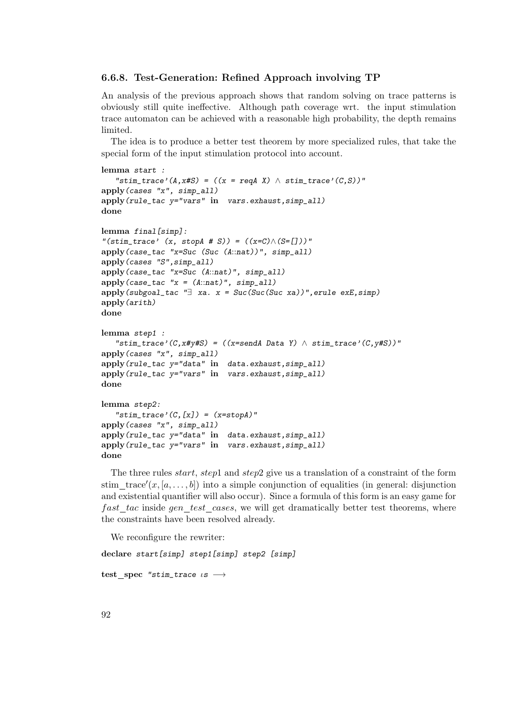#### 6.6.8. Test-Generation: Refined Approach involving TP

An analysis of the previous approach shows that random solving on trace patterns is obviously still quite ineffective. Although path coverage wrt. the input stimulation trace automaton can be achieved with a reasonable high probability, the depth remains limited.

The idea is to produce a better test theorem by more specialized rules, that take the special form of the input stimulation protocol into account.

```
lemma start :
   "stim_trace'(A,x#S) = ((x = reqA X) \wedge stim\_trace'(C,S))"
apply(cases "x", simp_all)
apply(rule_tac y="vars" in vars.exhaust,simp_all)
done
lemma final[simp]:
"(stim_trace' (x, stopA # S)) = ((x=C) \wedge (S=[1]))"
apply(case_tac "x=Suc (Suc (A::nat))", simp_all)
apply(cases "S",simp_all)
apply(case_tac "x=Suc (A::nat)", simp_all)
apply(case_tac "x = (A::nat)", simp_all)
apply(subgoal\_tac "]= xa. x = Succ(Suc(Suc xa))", erule exE, simp)apply(arith)
done
lemma step1 :
   "stim_trace'(C,x#y#S) = ((x=sendA Data Y) \land stim_trace'(C,y#S))"
apply(cases "x", simp_all)
apply(rule_tac y="data" in data.exhaust,simp_all)
apply(rule_tac y="vars" in vars.exhaust,simp_all)
done
lemma step2:
   "stim_trace'(C,[x]) = (x=stopA)"
apply(cases "x", simp_all)
apply(rule_tac y="data" in data.exhaust,simp_all)
apply(rule_tac y="vars" in vars.exhaust,simp_all)
done
```
The three rules *start, step1* and *step2* give us a translation of a constraint of the form stim\_trace' $(x, [a, \ldots, b])$  into a simple conjunction of equalities (in general: disjunction and existential quantifier will also occur). Since a formula of this form is an easy game for fast tac inside gen test cases, we will get dramatically better test theorems, where the constraints have been resolved already.

We reconfigure the rewriter:

declare start[simp] step1[simp] step2 [simp] test spec "stim\_trace  $i s \rightarrow$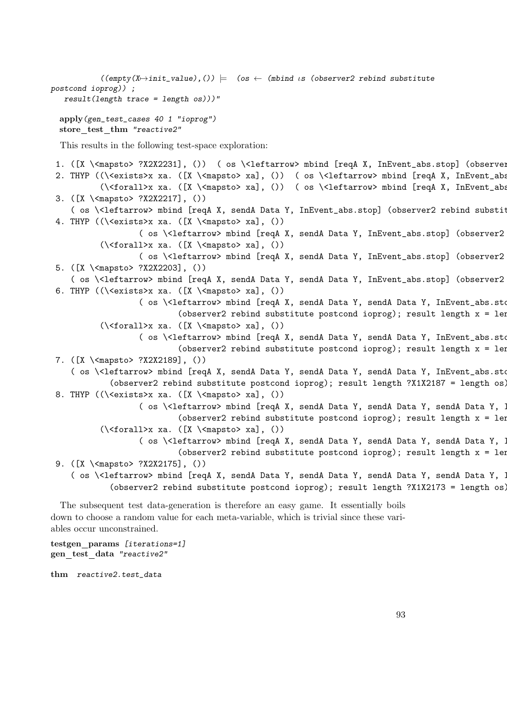```
((empty(X \rightarrow init_value),()) = (os \leftarrow (mbind \text{ is } (observer2 \text{ rebind substitute}postcond ioprog)) ;
   result(length trace = length os)))"
  apply(gen_test_cases 40 1 "ioprog")
  store test thm "reactive2"
  This results in the following test-space exploration:
 1. ([X \<mapsto> ?X2X2231], ()) ( os \<leftarrow> mbind [reqA X, InEvent_abs.stop] (observer
 2. THYP ((\<exists>x xa. ([X \<mapsto> xa], ()) ( os \<leftarrow> mbind [reqA X, InEvent_abs
           (\<forall>x xa. ([X \<mapsto> xa], ()) ( os \<leftarrow> mbind [reqA X, InEvent_absture postconduct length x = length x = length x = length x = length x = length x = length x = length x = length x = length x = length x = l
 3. ([X \<mapsto> ?X2X2217], ())
     ( os \<leftarrow> mbind [reqA X, sendA Data Y, InEvent_abs.stop] (observer2 rebind substit
 4. THYP ((\exists x \ xa. ([X \setminus \{x \}) x \ A. (Y))( os \<leftarrow> mbind [reqA X, sendA Data Y, InEvent_abs.stop] (observer2
           (\forallforall>x xa. ([X \setminus \{ \text{mapsto} \ xa], ()})( os \<leftarrow> mbind [reqA X, sendA Data Y, InEvent_abs.stop] (observer2
 5. ([X \<mapsto> ?X2X2203], ())
    ( os \<leftarrow> mbind [reqA X, sendA Data Y, sendA Data Y, InEvent_abs.stop] (observer2
 6. THYP ((\exists x \ xa. ([X \setminus \{x \}) x \ A \setminus \{x \})( os \<leftarrow> mbind [reqA X, sendA Data Y, sendA Data Y, InEvent_abs.sto
                              (observer2 rebind substitute postcond ioprog); result length x = len(\forallforall>x xa. ([X \setminus \{ \text{mapsto} \ xa], ()})( os \<leftarrow> mbind [reqA X, sendA Data Y, sendA Data Y, InEvent_abs.sto
                              (observer2 rebind substitute postcond ioprog); result length x = 1en
 7. ([X \<mapsto> ?X2X2189], ())
     ( os \<leftarrow> mbind [reqA X, sendA Data Y, sendA Data Y, sendA Data Y, InEvent_abs.stop]
              (observer2 rebind substitute postcond ioprog); result length ?X1X2187 = length os)
 8. THYP ((\<exists>x xa. ([X \<mapsto> xa], ())
                     ( os \<leftarrow> mbind [reqA X, sendA Data Y, sendA Data Y, SendA Data Y, I
                              (observer2 rebind substitute postcond ioprog); result length x = \text{len}(\forallforall>x xa. ([X \setminus \{ \text{mapsto} \} \ xa], ...)( os \<leftarrow> mbind [reqA X, sendA Data Y, sendA Data Y, sendA Data Y, I
                              (observer2 rebind substitute postcond ioprog); result length x = 1en
 9. ([X \<mapsto> ?X2X2175], ())
     ( os \<leftarrow> mbind [reqA X, sendA Data Y, sendA Data Y, sendA Data Y, SendA Data Y, In
              (observer2 rebind substitute postcond ioprog); result length ?X1X2173 = length os)
  The subsequent test data-generation is therefore an easy game. It essentially boils
down to choose a random value for each meta-variable, which is trivial since these vari-
```
ables occur unconstrained.

testgen params [iterations=1] gen\_test\_data "reactive2"

thm reactive2.test\_data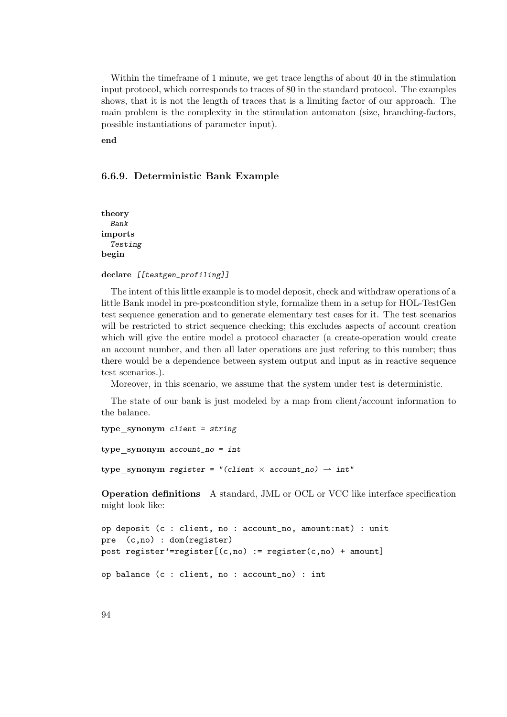Within the timeframe of 1 minute, we get trace lengths of about 40 in the stimulation input protocol, which corresponds to traces of 80 in the standard protocol. The examples shows, that it is not the length of traces that is a limiting factor of our approach. The main problem is the complexity in the stimulation automaton (size, branching-factors, possible instantiations of parameter input).

end

#### 6.6.9. Deterministic Bank Example

theory Bank imports Testing begin

declare [[testgen\_profiling]]

The intent of this little example is to model deposit, check and withdraw operations of a little Bank model in pre-postcondition style, formalize them in a setup for HOL-TestGen test sequence generation and to generate elementary test cases for it. The test scenarios will be restricted to strict sequence checking; this excludes aspects of account creation which will give the entire model a protocol character (a create-operation would create an account number, and then all later operations are just refering to this number; thus there would be a dependence between system output and input as in reactive sequence test scenarios.).

Moreover, in this scenario, we assume that the system under test is deterministic.

The state of our bank is just modeled by a map from client/account information to the balance.

```
type synonym client = string
type synonym account_no = int
type_synonym register = "(client \times account_no) \rightarrow int"
```
Operation definitions A standard, JML or OCL or VCC like interface specification might look like:

```
op deposit (c : client, no : account_no, amount:nat) : unit
pre (c,no) : dom(register)
post register'=register[(c, no) := register(c, no) + amount]
op balance (c : client, no : account_no) : int
```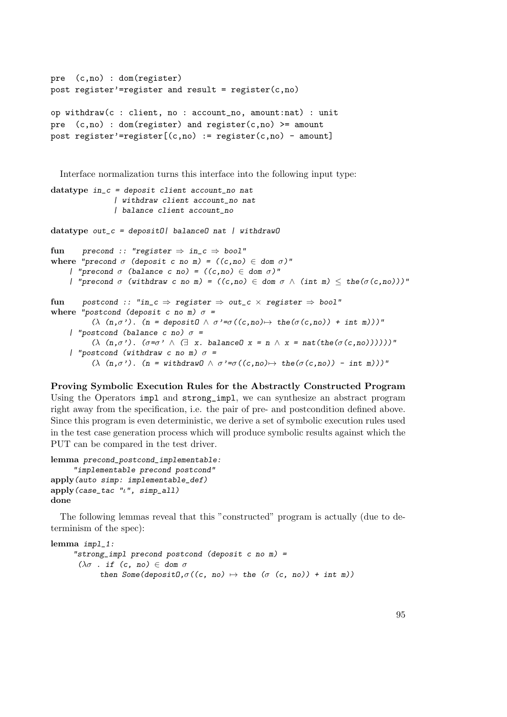```
pre (c,no) : dom(register)
post register'=register and result = register(c,no)op withdraw(c : client, no : account_no, amount:nat) : unit
pre (c, no) : dom(register) and register(c,no) >= amount
post register'=register[(c, no) := register(c, no) - amount]
```
Interface normalization turns this interface into the following input type:

```
datatype in_c = deposit client account_no nat
                  | withdraw client account_no nat
                  | balance client account_no
datatype out_c = deposit0| balance0 nat | without0fun precond :: "register \Rightarrow in c \Rightarrow bool"
where "precond \sigma (deposit c no m) = ((c,no) \in dom \sigma)"
     | "precond \sigma (balance c no) = ((c, no) \in dom \sigma)'"
     | "precond \sigma (withdraw c no m) = ((c, no) \in dom \sigma \wedge (int \pi) \leq the(\sigma(c, no)))"
fun postcond :: "in_c \Rightarrow register \Rightarrow out_c \times register \Rightarrow bool"
where "postcond (deposit c no m) \sigma =
            (\lambda \ (n, \sigma \'). (n = deposit0 \land \sigma \' = \sigma((c, no) \rightarrow the(\sigma(c, no)) + int m)))"
     | "postcond (balance c no) \sigma =
            (\lambda (n, \sigma). (\sigma = \sigma) \wedge (\exists x. balance x = n \wedge x = nat(the(\sigma(c, no)))))"
     | "postcond (withdraw c no m) \sigma =
            (\lambda (n,\sigma). (n = withdrawD \land \sigma'=\sigma((c,no) \mapsto the(\sigma(c,no)) - int m)))"
```
Proving Symbolic Execution Rules for the Abstractly Constructed Program Using the Operators impl and strong\_impl, we can synthesize an abstract program right away from the specification, i.e. the pair of pre- and postcondition defined above. Since this program is even deterministic, we derive a set of symbolic execution rules used in the test case generation process which will produce symbolic results against which the PUT can be compared in the test driver.

```
lemma precond_postcond_implementable:
     "implementable precond postcond"
apply(auto simp: implementable_def)
apply(case_tac "u", simp_all)
done
```
The following lemmas reveal that this "constructed" program is actually (due to determinism of the spec):

```
lemma impl_1:
      "strong_impl precond postcond (deposit c no m) =
       (\lambda \sigma . if (c, no) \in dom \sigmathen Some(depositO,\sigma((c, no) \mapsto the (\sigma (c, no)) + intm))
```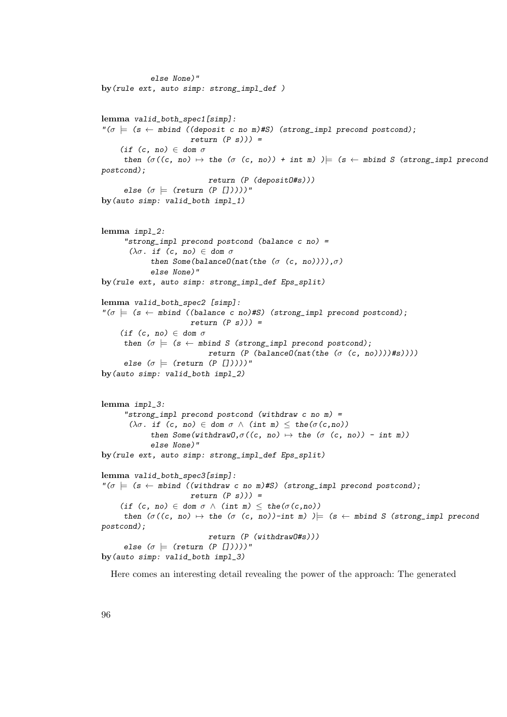```
else None)"
by(rule ext, auto simp: strong_impl_def )
lemma valid_both_spec1[simp]:
\Gamma(\sigma) = (s \leftarrow \text{mbind} ((\text{deposit c no m}) \# S) (\text{strong\_impl} precond postcond));return (P s))) =(if (c, no) \in dom \sigmathen (\sigma((c, no) \mapsto the (\sigma (c, no)) + int m) )|_{\mathbb{R}} (s \leftarrow mbind S (strong_impl precond
postcond);
                             return (P (depositO#s)))
      else (\sigma \models (return (P [])))"
by(auto simp: valid_both impl_1)
lemma impl_2:
      "strong_impl precond postcond (balance c no) =
       (\lambda \sigma. if (c, no) \in dom \sigmathen Some(balanceO(nat(the (σ (c, no)))),σ)else None)"
by(rule ext, auto simp: strong_impl_def Eps_split)
lemma valid_both_spec2 [simp]:
\lvert \sigma \rvert = (s \leftarrow \text{mbind } ((\text{balance } c \text{ no}) \# S) (strong_impl precond postcond);
                        return (P s)) =(if (c, no) \in dom \sigmathen (\sigma \models (s \leftarrow \text{mbind } S \text{ (strong\_impl } precond \text{ postcond});return (P (balance0(nat(the (σ (c, no))))#s))))else (\sigma \models (return (P [1))))"
by(auto simp: valid_both impl_2)
lemma impl_3:
      "strong_impl precond postcond (withdraw c no m) =
       (\lambda \sigma. if (c, no) \in dom \sigma \wedge (int m) \leq the(\sigma(c,no))
             then Some(withdrawO,\sigma((c, no) \mapsto the (\sigma (c, no)) - int m))
             else None)"
by(rule ext, auto simp: strong_impl_def Eps_split)
lemma valid_both_spec3[simp]:
"\sigma \models (s \leftarrow mbind ((withdraw c no m)#S) (strong_impl precond postcond);
                        return (P s)) =(if (c, no) \in dom \sigma \wedge (int m) \leq the(\sigma(c,no))
      then (\sigma((c, no) \mapsto the (\sigma (c, no))-int m) )\models (s \leftarrow mbind S (strong\_impl precondpostcond);
                             return (P (withdrawO#s)))
      else (\sigma \models (return (P [])))"
by(auto simp: valid_both impl_3)
```
Here comes an interesting detail revealing the power of the approach: The generated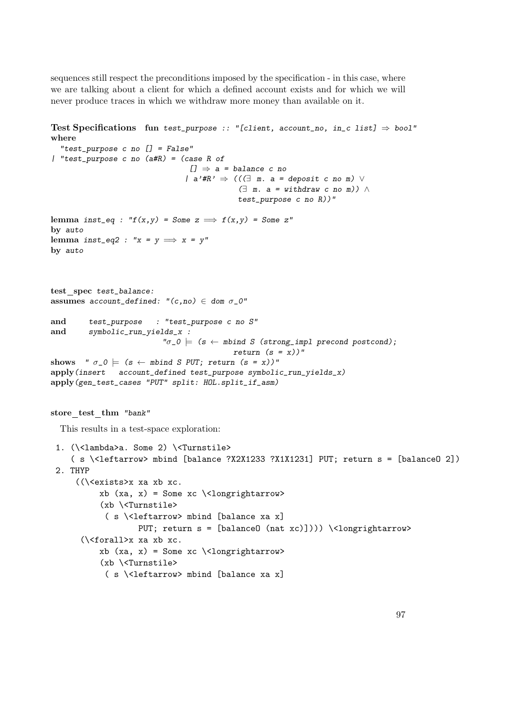sequences still respect the preconditions imposed by the specification - in this case, where we are talking about a client for which a defined account exists and for which we will never produce traces in which we withdraw more money than available on it.

```
Test Specifications fun test_purpose :: "[client, account_no, in_c list] \Rightarrow bool"
where
  "test_purpose c no [] = False"
| "test_purpose c no (a#R) = (case R of
                                        [1] \Rightarrow a = balance c no
                                       | a'#R' \Rightarrow ((\exists m. a = deposit c no m) \vee(∃ m. a = without <i>withdraw</i> c no m)) ∧test_purpose c no R))"
lemma inst_eq : "f(x,y) = Some \; z \implies f(x,y) = Some \; z"
by auto
lemma inst_eq2 : "x = y \implies x = y"
by auto
test spec test_balance:
assumes account_defined: "(c, no) \in dom \sigma_0"
and test_purpose : "test_purpose c no S"
and symbolic_run_yields_x :
                                "\sigma_0 \models (s \leftarrow mbind S (strong_impl precond postcond);
                                                    return (s = x)"
shows " \sigma_0 \models (s \leftarrow mbind S PUT; return (s = x))"
apply(insert account_defined test_purpose symbolic_run_yields_x)
apply(gen_test_cases "PUT" split: HOL.split_if_asm)
store test thm "bank"
  This results in a test-space exploration:
 1. (\<lambda>a. Some 2) \<Turnstile>
     ( s \<leftarrow> mbind [balance ?X2X1233 ?X1X1231] PUT; return s = [balanceO 2])
 2. THYP
       ((\<exists>x xa xb xc.
              xb (xa, x) = Some xc \l\clap{1} \l\clap{2} \l\clap{2} \l\clap{3} \l\clap{3} \l\clap{4} \l\clap{4} \l\clap{4} \l\clap{4} \l\clap{4} \l\clap{4} \l\clap{4} \l\clap{4} \l\clap{4} \l\clap{4} \l\clap{4} \l\clap{4} \l\clap{4} \l\clap{5} \l\clap{4} \l\clap{4} \l\clap{4} \l\clap{4} \l\clap{5} \l\clap{4} \l\clap{5} \l\(xb \<Turnstile>
               ( s \<leftarrow> mbind [balance xa x]
                         PUT; return s = [balance0 (nat xc)]))) \<longrightarrow>
        (\<forall>x xa xb xc.
              xb (xa, x) = Some xc \allowbreak \ldots \allowbreak \allowbreak \ldots(xb \<Turnstile>
               ( s \<leftarrow> mbind [balance xa x]
```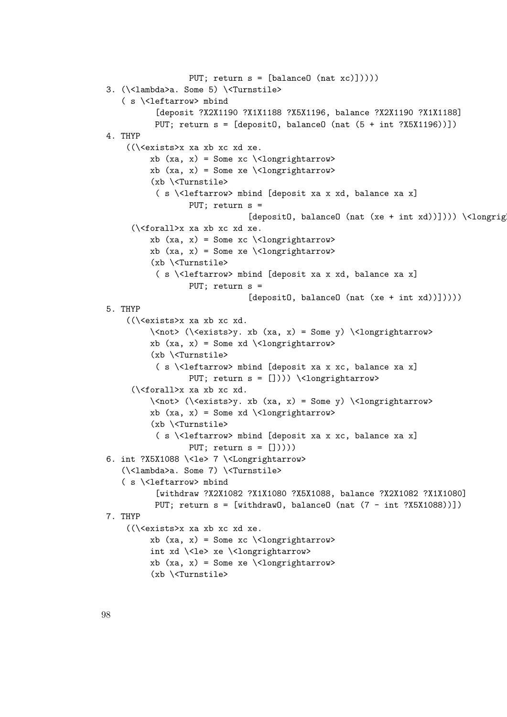```
PUT; return s = [balance0 (nat xc)]))))
3. (\<lambda>a. Some 5) \<Turnstile>
   ( s \<leftarrow> mbind
          [deposit ?X2X1190 ?X1X1188 ?X5X1196, balance ?X2X1190 ?X1X1188]
          PUT; return s = [depositO, balanceO (nat (5 + int ?X5X1196))])
4. THYP
    ((\<exists>x xa xb xc xd xe.
         xb (xa, x) = Some xc \t\clor{olongrightarrow>}xb (xa, x) = Some xe \langlelongrightarrow>
         (xb \<Turnstile>
          ( s \<leftarrow> mbind [deposit xa x xd, balance xa x]
                  PUT; return s =
                               [deposit0, balance0 (nat (xe + int xd))]))) \<longrig
     (\<forall>x xa xb xc xd xe.
         xb (xa, x) = Some xc \t\clorly 2.5xb (xa, x) = Some xe \langlelongrightarrow>
         (xb \<Turnstile>
          ( s \<leftarrow> mbind [deposit xa x xd, balance xa x]
                  PUT; return s =
                               [deposit0, balance0 (nat (xe + int xd))]))5. THYP
    ((\<exists>x xa xb xc xd.
         \<not> (\<exists>y. xb (xa, x) = Some y) \<longrightarrow>
         xb (xa, x) = Some xd \n\clap{1>congrightarrow>}(xb \<Turnstile>
          ( s \<leftarrow> mbind [deposit xa x xc, balance xa x]
                 PUT; return s = []))) \ <longrightarrow>
     (\<forall>x xa xb xc xd.
         \<not> (\<exists>y. xb (xa, x) = Some y) \<longrightarrow>
         xb (xa, x) = Some xd \n\clap{1>congrightarrow>}(xb \<Turnstile>
          ( s \<leftarrow> mbind [deposit xa x xc, balance xa x]
                 PUT; return s = []))))
6. int ?X5X1088 \<le> 7 \<Longrightarrow>
   (\<lambda>a. Some 7) \<Turnstile>
   ( s \<leftarrow> mbind
          [withdraw ?X2X1082 ?X1X1080 ?X5X1088, balance ?X2X1082 ?X1X1080]
          PUT; return s = [withdraw0, balance0 (nat (7 - int ?X5X1088))])
7. THYP
    ((\<exists>x xa xb xc xd xe.
         xb (xa, x) = Some xc \allowbreak \ldots \allowbreak \allowbreak \ldotsint xd \<le> xe \<longrightarrow>
         xb (xa, x) = Some xe \l\clap{1}ongraphtarrow>(xb \<Turnstile>
```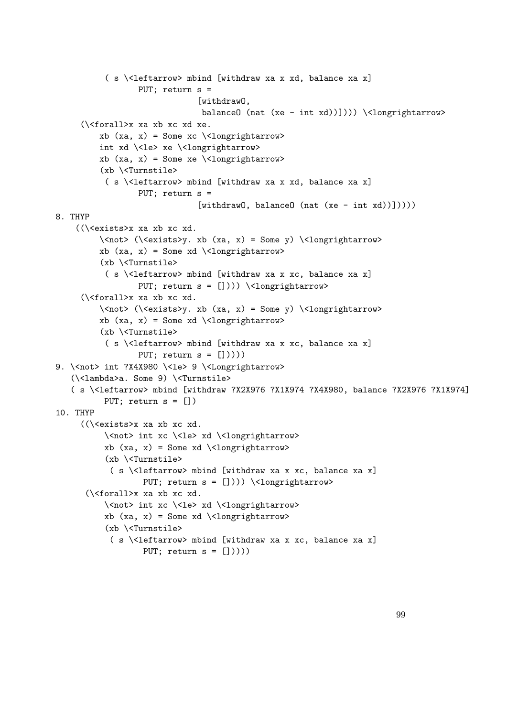```
( s \<leftarrow> mbind [withdraw xa x xd, balance xa x]
                  PUT; return s =
                               [withdraw0,
                               balanceO (nat (xe - int xd))]))) \<longrightarrow>
     (\<forall>x xa xb xc xd xe.
         xb (xa, x) = Some xc \t\clor{olongrightarrow>}int xd \<le> xe \<longrightarrow>
         xb (xa, x) = Some xe \ \ldots(xb \<Turnstile>
           ( s \<leftarrow> mbind [withdraw xa x xd, balance xa x]
                  PUT; return s =
                               [without0, balance0 (nat (xe - int xd))]))8. THYP
    ((\<exists>x xa xb xc xd.
         \langle \cos \theta \rangle \langle \cos \theta \rangle, xb \langle xa, x \rangle = Some y) \langle \cos \theta \ranglexb (xa, x) = Some xd \ \ldots(xb \<Turnstile>
           ( s \<leftarrow> mbind [withdraw xa x xc, balance xa x]
                  PUT; return s = []))) \ <longrightarrow>
     (\<forall>x xa xb xc xd.
         \<not> (\<exists>y. xb (xa, x) = Some y) \<longrightarrow>
         xb (xa, x) = Some xd \n\clap{1>congrightarrow>}(xb \<Turnstile>
           ( s \<leftarrow> mbind [withdraw xa x xc, balance xa x]
                  PUT; return s = [])))
9. \<not> int ?X4X980 \<le> 9 \<Longrightarrow>
   (\<lambda>a. Some 9) \<Turnstile>
   ( s \<leftarrow> mbind [withdraw ?X2X976 ?X1X974 ?X4X980, balance ?X2X976 ?X1X974]
          PUT; return s = [])
10. THYP
     ((\<exists>x xa xb xc xd.
          \<not> int xc \<le> xd \<longrightarrow>
          xb (xa, x) = Some xd \n\clap{1>congrightarrow>}(xb \<Turnstile>
            ( s \<leftarrow> mbind [withdraw xa x xc, balance xa x]
                   PUT; return s = [])) \{\text{longrightarrow}\}(\<forall>x xa xb xc xd.
          \<not> int xc \<le> xd \<longrightarrow>
          xb (xa, x) = Some xd \n\clap{1>congrightarrow>}(xb \<Turnstile>
            ( s \<leftarrow> mbind [withdraw xa x xc, balance xa x]
                   PUT; return s = [])))
```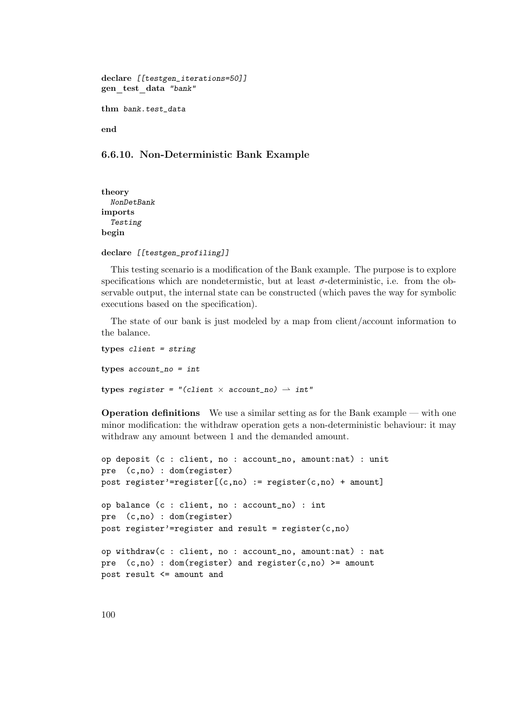```
declare [[testgen_iterations=50]]
gen_test_data "bank"
thm bank.test_data
end
```
# 6.6.10. Non-Deterministic Bank Example

theory NonDetBank imports Testing begin

```
declare [[testgen_profiling]]
```
This testing scenario is a modification of the Bank example. The purpose is to explore specifications which are nondetermistic, but at least  $\sigma$ -deterministic, i.e. from the observable output, the internal state can be constructed (which paves the way for symbolic executions based on the specification).

The state of our bank is just modeled by a map from client/account information to the balance.

```
types client = string
types account\_no = inttypes register = "(client \times account_no) \rightarrow int"
```
Operation definitions We use a similar setting as for the Bank example — with one minor modification: the withdraw operation gets a non-deterministic behaviour: it may withdraw any amount between 1 and the demanded amount.

```
op deposit (c : client, no : account_no, amount:nat) : unit
pre (c,no) : dom(register)
post register'=register[(c, no) := register(c, no) + amount]
op balance (c : client, no : account_no) : int
pre (c,no) : dom(register)
post register'=register and result = register(c,no)op withdraw(c : client, no : account_no, amount:nat) : nat
pre (c,no) : dom(register) and register(c,no) >= amount
post result <= amount and
```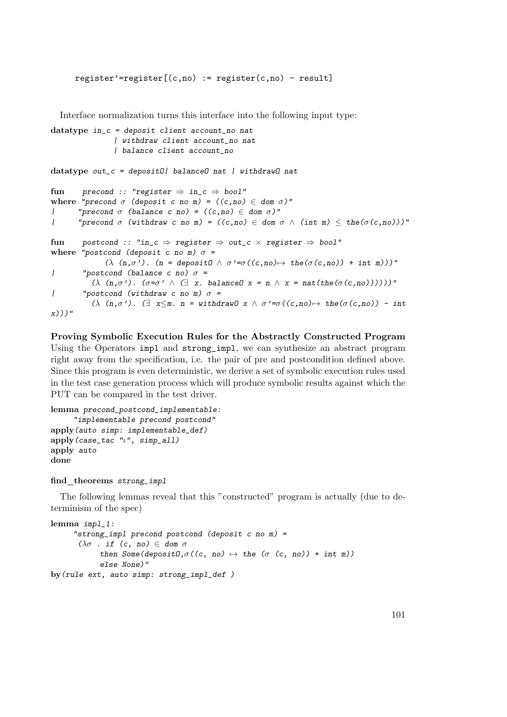$register' = register[(c,no) := register(c,no) - result]$ 

Interface normalization turns this interface into the following input type:

```
datatype in_c = deposit client account_no nat
                    | withdraw client account_no nat
                    | balance client account_no
datatype out_c = depositO| balanceO nat | withdrawO nat
fun precond :: "register \Rightarrow in_c \Rightarrow bool"
where "precond \sigma (deposit c no m) = ((c,no) \in dom \sigma)"
| "precond \sigma (balance c no) = ((c, no) \in dom \sigma)'"
| "precond \sigma (withdraw c no m) = ((c,no) \in dom \sigma \wedge (int m) \leq the(\sigma(c,no)))"
fun postcond :: "in_c \Rightarrow register \Rightarrow out_c \times register \Rightarrow bool"
where "postcond (deposit c no m) \sigma =
                 (\lambda (n,\sigma'). (n = depositO \land \sigma' = \sigma((c, no) \mapsto \text{the}(\sigma(c, no)) + \text{int } m))"
| "postcond (balance c no) \sigma =
             (\lambda \ (n,\sigma^{\prime}). (\sigma=\sigma^{\prime}) \ \wedge \ (\exists \ x. \ \text{balanced} \ x = n \ \wedge \ x = \text{nat}(\text{the}(\sigma(c,no)))))"
| "postcond (withdraw c no m) \sigma =
             (\lambda \(n, \sigma')). (\exists x \leq m. n = \text{without} \in \mathcal{N} \land \sigma' = \sigma((c, n\sigma)) \rightarrow \text{the}(\sigma(c, n\sigma)) - \text{int}x)))"
```
Proving Symbolic Execution Rules for the Abstractly Constructed Program Using the Operators impl and strong\_impl, we can synthesize an abstract program right away from the specification, i.e. the pair of pre and postcondition defined above. Since this program is even deterministic, we derive a set of symbolic execution rules used in the test case generation process which will produce symbolic results against which the PUT can be compared in the test driver.

```
lemma precond_postcond_implementable:
     "implementable precond postcond"
apply(auto simp: implementable_def)
apply(case_tac "ι", simp_all)
apply auto
done
```
find theorems strong impl

The following lemmas reveal that this "constructed" program is actually (due to determinism of the spec)

```
lemma impl_1:
      "strong_impl precond postcond (deposit c no m) =
       (\lambda \sigma . if (c, no) \in dom \sigmathen Some(depositO,\sigma((c, no) \mapsto the (\sigma (c, no)) + int m))
            else None)"
by(rule ext, auto simp: strong_impl_def )
```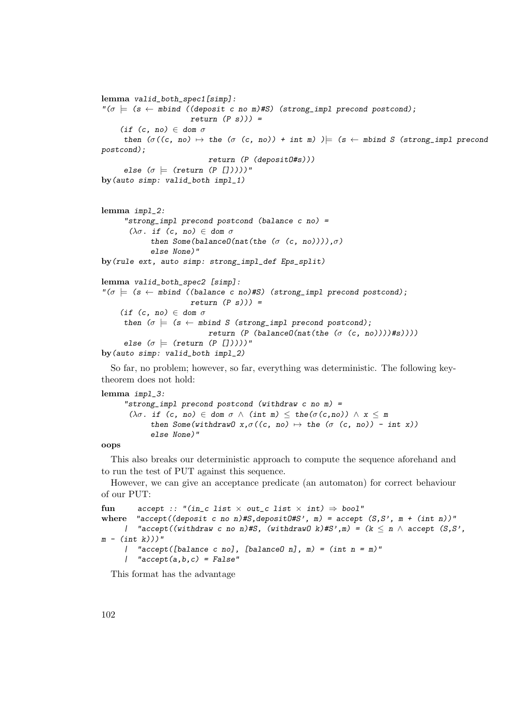```
lemma valid_both_spec1[simp]:
\Gamma(\sigma) = (s \leftarrow \text{mbind} ((\text{deposit c no m}) \# S) (\text{strong\_impl} precondition);
                         return (P s)) =(if (c, no) \in dom \sigmathen (\sigma((c, no) \mapsto the (\sigma (c, no)) + int m)) \models (s \leftarrow mbind S (strong\_impl precondpostcond);
                             return (P (depositO#s)))
      else (\sigma \models (return (P \cap \neg))))"
by(auto simp: valid_both impl_1)
lemma impl_2:
      "strong_impl precond postcond (balance c no) =
       (\lambda \sigma. if (c, no) \in dom \sigmathen Some(balance0(nat(the (\sigma (c, no)))),\sigma)
             else None)"
by(rule ext, auto simp: strong_impl_def Eps_split)
lemma valid_both_spec2 [simp]:
"\sigma \models (s \leftarrow mbind ((balance c no)#S) (strong_impl precond postcond);
                        return (P s)) =(if (c, no) \in dom \sigmathen (\sigma \models (s \leftarrow \text{mbind } S \text{ (strong\_impl } precond \text{ postcond});return (P (balanceO(nat(the (σ (c, no))))#s))))else (\sigma \models (return (P [1))))"
by(auto simp: valid_both impl_2)
```
So far, no problem; however, so far, everything was deterministic. The following keytheorem does not hold:

#### lemma impl\_3:

```
"strong_impl precond postcond (withdraw c no m) =
 (\lambda \sigma. if (c, no) \in dom \sigma \wedge (int m) \leq the(\sigma(c,no)) \wedge x \leq m
       then Some(withdrawD x, \sigma((c, no) \mapsto the (\sigma (c, no)) - int x))else None)"
```

```
oops
```
This also breaks our deterministic approach to compute the sequence aforehand and to run the test of PUT against this sequence.

However, we can give an acceptance predicate (an automaton) for correct behaviour of our PUT:

```
fun accept :: "(in_c list \times out_c list \times int) \Rightarrow bool"
where "accept((deposit c no n)#S,depositO#S', m) = accept (S,S', m + (int n))"
     | "accept((withdraw c no n)#S, (withdrawO k)#S',m) = (k \leq n \wedge accept (S,S',
m - (int k))"
     | "accept([balance c no], [balance0 n], m) = (int n = m)"
     | "accept(a,b,c) = False"
```
This format has the advantage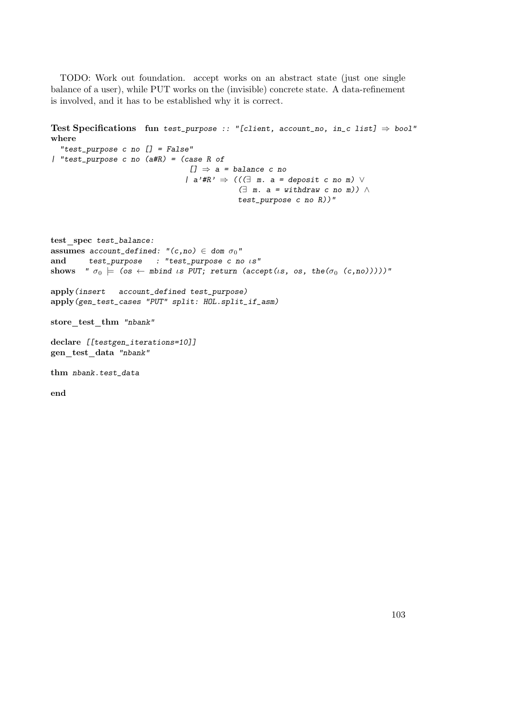TODO: Work out foundation. accept works on an abstract state (just one single balance of a user), while PUT works on the (invisible) concrete state. A data-refinement is involved, and it has to be established why it is correct.

```
Test Specifications fun test_purpose :: "[client, account_no, in_c list] \Rightarrow bool"
where
  "test_purpose c no [] = False"
| "test_purpose c no (a#R) = (case R of
                                  [1] \Rightarrow a = balance c no
                                 | a'# R' \Rightarrow ((\exists m. a = deposit c no m) \vee(∃ m. a = without <i>withdraw</i> c no m)) ∧test_purpose c no R))"
test spec test_balance:
assumes account_defined: "(c, no) \in dom \sigma_0"
and test_purpose : "test_purpose c no ιs"
shows " \sigma_0 \models (os \leftarrow mbind is PUT; return (accept(is, os, the(\sigma_0 (c,no)))))"
apply(insert account_defined test_purpose)
apply(gen_test_cases "PUT" split: HOL.split_if_asm)
store_test_thm "nbank"
declare [[testgen_iterations=10]]
gen test data "nbank"
thm nbank.test_data
end
```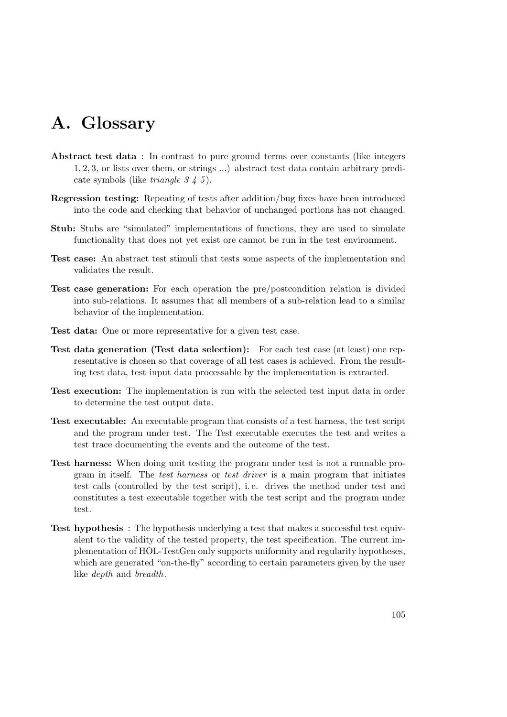# A. Glossary

- Abstract test data : In contrast to pure ground terms over constants (like integers 1, 2, 3, or lists over them, or strings ...) abstract test data contain arbitrary predicate symbols (like *triangle 3 4 5*).
- Regression testing: Repeating of tests after addition/bug fixes have been introduced into the code and checking that behavior of unchanged portions has not changed.
- Stub: Stubs are "simulated" implementations of functions, they are used to simulate functionality that does not yet exist ore cannot be run in the test environment.
- Test case: An abstract test stimuli that tests some aspects of the implementation and validates the result.
- Test case generation: For each operation the pre/postcondition relation is divided into sub-relations. It assumes that all members of a sub-relation lead to a similar behavior of the implementation.
- Test data: One or more representative for a given test case.
- Test data generation (Test data selection): For each test case (at least) one representative is chosen so that coverage of all test cases is achieved. From the resulting test data, test input data processable by the implementation is extracted.
- Test execution: The implementation is run with the selected test input data in order to determine the test output data.
- Test executable: An executable program that consists of a test harness, the test script and the program under test. The Test executable executes the test and writes a test trace documenting the events and the outcome of the test.
- Test harness: When doing unit testing the program under test is not a runnable program in itself. The test harness or test driver is a main program that initiates test calls (controlled by the test script), i. e. drives the method under test and constitutes a test executable together with the test script and the program under test.
- Test hypothesis : The hypothesis underlying a test that makes a successful test equivalent to the validity of the tested property, the test specification. The current implementation of HOL-TestGen only supports uniformity and regularity hypotheses, which are generated "on-the-fly" according to certain parameters given by the user like depth and breadth.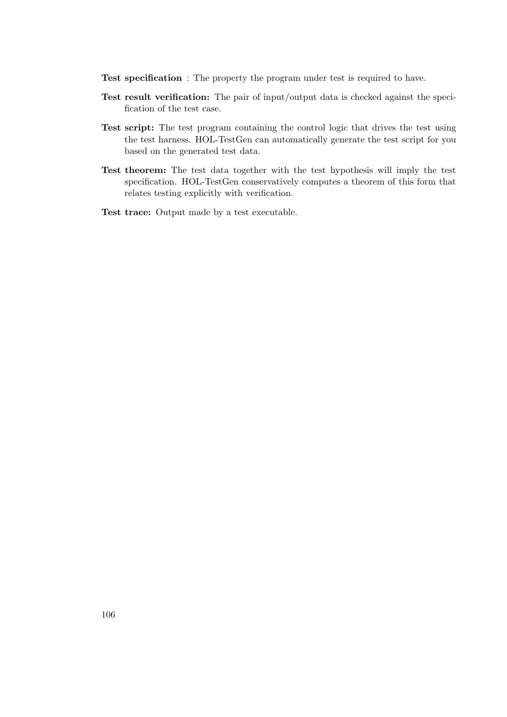- Test specification : The property the program under test is required to have.
- Test result verification: The pair of input/output data is checked against the specification of the test case.
- Test script: The test program containing the control logic that drives the test using the test harness. HOL-TestGen can automatically generate the test script for you based on the generated test data.
- Test theorem: The test data together with the test hypothesis will imply the test specification. HOL-TestGen conservatively computes a theorem of this form that relates testing explicitly with verification.
- Test trace: Output made by a test executable.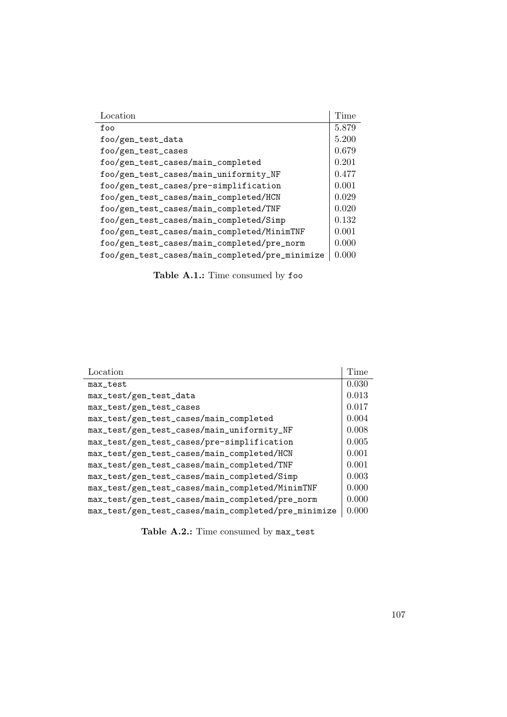| Location                                       | Time  |
|------------------------------------------------|-------|
| foo                                            | 5.879 |
| foo/gen_test_data                              | 5.200 |
| foo/gen_test_cases                             | 0.679 |
| foo/gen_test_cases/main_completed              | 0.201 |
| foo/gen_test_cases/main_uniformity_NF          | 0.477 |
| foo/gen_test_cases/pre-simplification          | 0.001 |
| foo/gen_test_cases/main_completed/HCN          | 0.029 |
| foo/gen_test_cases/main_completed/TNF          | 0.020 |
| foo/gen_test_cases/main_completed/Simp         | 0.132 |
| foo/gen_test_cases/main_completed/MinimTNF     | 0.001 |
| foo/gen_test_cases/main_completed/pre_norm     | 0.000 |
| foo/gen_test_cases/main_completed/pre_minimize | 0.000 |

Table A.1.: Time consumed by foo

| Location                                            | Time  |
|-----------------------------------------------------|-------|
| max_test                                            | 0.030 |
| max_test/gen_test_data                              | 0.013 |
| max_test/gen_test_cases                             | 0.017 |
| max_test/gen_test_cases/main_completed              | 0.004 |
| max_test/gen_test_cases/main_uniformity_NF          | 0.008 |
| max_test/gen_test_cases/pre-simplification          | 0.005 |
| max_test/gen_test_cases/main_completed/HCN          | 0.001 |
| max_test/gen_test_cases/main_completed/TNF          | 0.001 |
| max_test/gen_test_cases/main_completed/Simp         | 0.003 |
| max_test/gen_test_cases/main_completed/MinimTNF     | 0.000 |
| max_test/gen_test_cases/main_completed/pre_norm     | 0.000 |
| max_test/gen_test_cases/main_completed/pre_minimize | 0.000 |

Table A.2.: Time consumed by  $\texttt{max\_test}$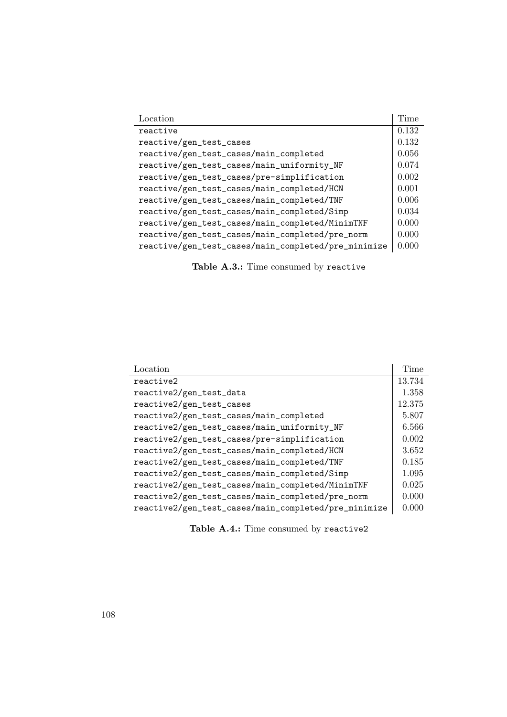| Location                                            | Time  |
|-----------------------------------------------------|-------|
| reactive                                            | 0.132 |
| reactive/gen_test_cases                             | 0.132 |
| reactive/gen_test_cases/main_completed              | 0.056 |
| reactive/gen_test_cases/main_uniformity_NF          | 0.074 |
| reactive/gen_test_cases/pre-simplification          | 0.002 |
| reactive/gen_test_cases/main_completed/HCN          | 0.001 |
| reactive/gen_test_cases/main_completed/TNF          | 0.006 |
| reactive/gen_test_cases/main_completed/Simp         | 0.034 |
| reactive/gen_test_cases/main_completed/MinimTNF     | 0.000 |
| reactive/gen_test_cases/main_completed/pre_norm     | 0.000 |
| reactive/gen_test_cases/main_completed/pre_minimize | 0.000 |

Table A.3.: Time consumed by reactive

| Location                                             | Time   |
|------------------------------------------------------|--------|
| reactive2                                            | 13.734 |
| reactive2/gen_test_data                              | 1.358  |
| reactive2/gen_test_cases                             | 12.375 |
| reactive2/gen_test_cases/main_completed              | 5.807  |
| reactive2/gen_test_cases/main_uniformity_NF          | 6.566  |
| reactive2/gen_test_cases/pre-simplification          | 0.002  |
| reactive2/gen_test_cases/main_completed/HCN          | 3.652  |
| reactive2/gen_test_cases/main_completed/TNF          | 0.185  |
| reactive2/gen_test_cases/main_completed/Simp         | 1.095  |
| reactive2/gen_test_cases/main_completed/MinimTNF     | 0.025  |
| reactive2/gen_test_cases/main_completed/pre_norm     | 0.000  |
| reactive2/gen_test_cases/main_completed/pre_minimize | 0.000  |

Table A.4.: Time consumed by reactive<sub>2</sub>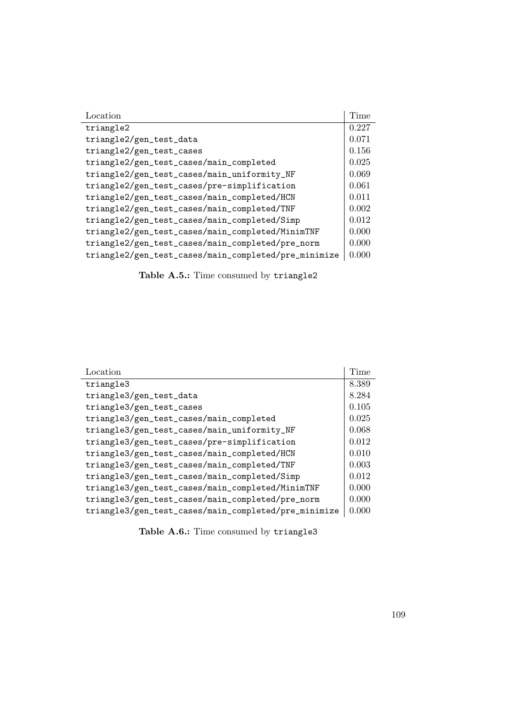| Location                                             | Time  |
|------------------------------------------------------|-------|
| triangle2                                            | 0.227 |
| triangle2/gen_test_data                              | 0.071 |
| triangle2/gen_test_cases                             | 0.156 |
| triangle2/gen_test_cases/main_completed              | 0.025 |
| triangle2/gen_test_cases/main_uniformity_NF          | 0.069 |
| triangle2/gen_test_cases/pre-simplification          | 0.061 |
| triangle2/gen_test_cases/main_completed/HCN          | 0.011 |
| triangle2/gen_test_cases/main_completed/TNF          | 0.002 |
| triangle2/gen_test_cases/main_completed/Simp         | 0.012 |
| triangle2/gen_test_cases/main_completed/MinimTNF     | 0.000 |
| triangle2/gen_test_cases/main_completed/pre_norm     | 0.000 |
| triangle2/gen_test_cases/main_completed/pre_minimize | 0.000 |

Table A.5.: Time consumed by triangle2

| Location                                             | Time  |
|------------------------------------------------------|-------|
| triangle3                                            | 8.389 |
| triangle3/gen_test_data                              | 8.284 |
| triangle3/gen_test_cases                             | 0.105 |
| triangle3/gen_test_cases/main_completed              | 0.025 |
| triangle3/gen_test_cases/main_uniformity_NF          | 0.068 |
| triangle3/gen_test_cases/pre-simplification          | 0.012 |
| triangle3/gen_test_cases/main_completed/HCN          | 0.010 |
| triangle3/gen_test_cases/main_completed/TNF          | 0.003 |
| triangle3/gen_test_cases/main_completed/Simp         | 0.012 |
| triangle3/gen_test_cases/main_completed/MinimTNF     | 0.000 |
| triangle3/gen_test_cases/main_completed/pre_norm     | 0.000 |
| triangle3/gen_test_cases/main_completed/pre_minimize | 0.000 |

Table A.6.: Time consumed by triangle3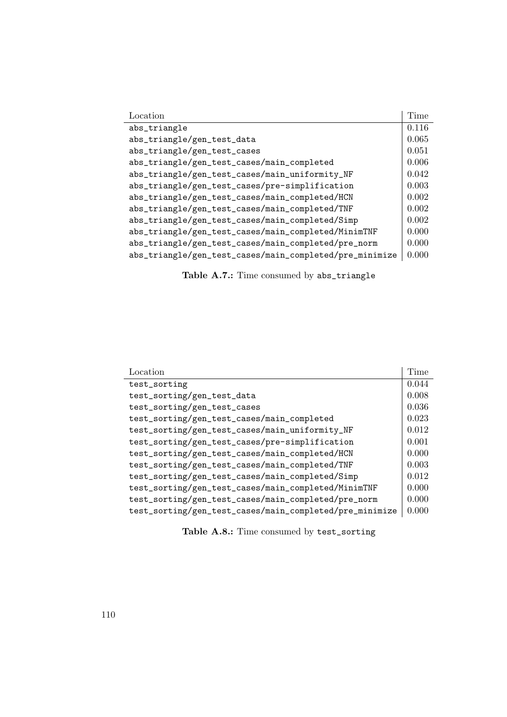| Location                                                | Time  |
|---------------------------------------------------------|-------|
| abs_triangle                                            | 0.116 |
| abs_triangle/gen_test_data                              | 0.065 |
| abs_triangle/gen_test_cases                             | 0.051 |
| abs_triangle/gen_test_cases/main_completed              | 0.006 |
| abs_triangle/gen_test_cases/main_uniformity_NF          | 0.042 |
| abs_triangle/gen_test_cases/pre-simplification          | 0.003 |
| abs_triangle/gen_test_cases/main_completed/HCN          | 0.002 |
| abs_triangle/gen_test_cases/main_completed/TNF          | 0.002 |
| abs_triangle/gen_test_cases/main_completed/Simp         | 0.002 |
| abs_triangle/gen_test_cases/main_completed/MinimTNF     | 0.000 |
| abs_triangle/gen_test_cases/main_completed/pre_norm     | 0.000 |
| abs_triangle/gen_test_cases/main_completed/pre_minimize | 0.000 |

Table A.7.: Time consumed by abs\_triangle

| Location                                                | Time  |
|---------------------------------------------------------|-------|
| test_sorting                                            | 0.044 |
| test_sorting/gen_test_data                              | 0.008 |
| test_sorting/gen_test_cases                             | 0.036 |
| test_sorting/gen_test_cases/main_completed              | 0.023 |
| test_sorting/gen_test_cases/main_uniformity_NF          | 0.012 |
| test_sorting/gen_test_cases/pre-simplification          | 0.001 |
| test_sorting/gen_test_cases/main_completed/HCN          | 0.000 |
| test_sorting/gen_test_cases/main_completed/TNF          | 0.003 |
| test_sorting/gen_test_cases/main_completed/Simp         | 0.012 |
| test_sorting/gen_test_cases/main_completed/MinimTNF     | 0.000 |
| test_sorting/gen_test_cases/main_completed/pre_norm     | 0.000 |
| test_sorting/gen_test_cases/main_completed/pre_minimize | 0.000 |

Table A.8.: Time consumed by test\_sorting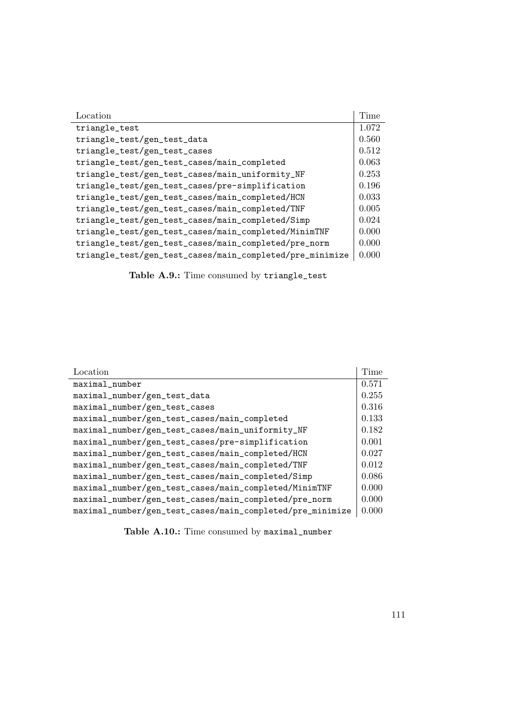| Location                                                 | Time  |
|----------------------------------------------------------|-------|
| triangle_test                                            | 1.072 |
| triangle_test/gen_test_data                              | 0.560 |
| triangle_test/gen_test_cases                             | 0.512 |
| triangle_test/gen_test_cases/main_completed              | 0.063 |
| triangle_test/gen_test_cases/main_uniformity_NF          | 0.253 |
| triangle_test/gen_test_cases/pre-simplification          | 0.196 |
| triangle_test/gen_test_cases/main_completed/HCN          | 0.033 |
| triangle_test/gen_test_cases/main_completed/TNF          | 0.005 |
| triangle_test/gen_test_cases/main_completed/Simp         | 0.024 |
| triangle_test/gen_test_cases/main_completed/MinimTNF     | 0.000 |
| triangle_test/gen_test_cases/main_completed/pre_norm     | 0.000 |
| triangle_test/gen_test_cases/main_completed/pre_minimize | 0.000 |

Table A.9.: Time consumed by triangle\_test

| Location                                                  | Time  |
|-----------------------------------------------------------|-------|
| maximal_number                                            | 0.571 |
| maximal_number/gen_test_data                              | 0.255 |
| maximal_number/gen_test_cases                             | 0.316 |
| maximal_number/gen_test_cases/main_completed              | 0.133 |
| maximal_number/gen_test_cases/main_uniformity_NF          | 0.182 |
| maximal_number/gen_test_cases/pre-simplification          | 0.001 |
| maximal_number/gen_test_cases/main_completed/HCN          | 0.027 |
| maximal_number/gen_test_cases/main_completed/TNF          | 0.012 |
| maximal_number/gen_test_cases/main_completed/Simp         | 0.086 |
| maximal_number/gen_test_cases/main_completed/MinimTNF     | 0.000 |
| maximal_number/gen_test_cases/main_completed/pre_norm     | 0.000 |
| maximal_number/gen_test_cases/main_completed/pre_minimize | 0.000 |

Table A.10.: Time consumed by maximal\_number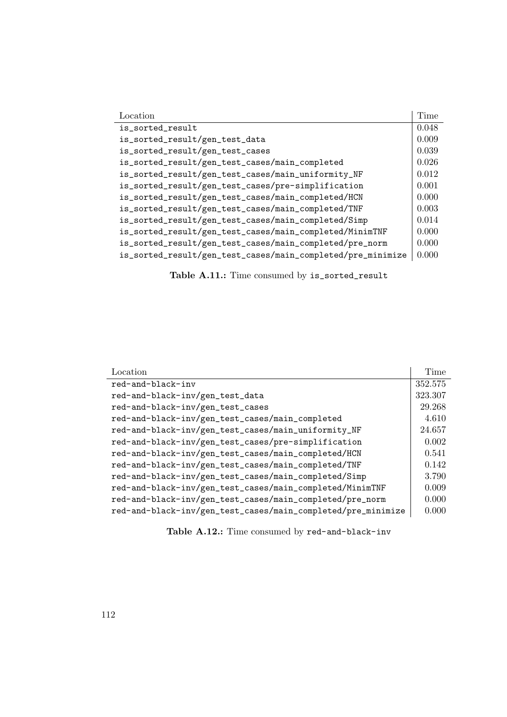| Location                                                    | Time  |
|-------------------------------------------------------------|-------|
| is_sorted_result                                            | 0.048 |
| is_sorted_result/gen_test_data                              | 0.009 |
| is_sorted_result/gen_test_cases                             | 0.039 |
| is_sorted_result/gen_test_cases/main_completed              | 0.026 |
| is_sorted_result/gen_test_cases/main_uniformity_NF          | 0.012 |
| is_sorted_result/gen_test_cases/pre-simplification          | 0.001 |
| is_sorted_result/gen_test_cases/main_completed/HCN          | 0.000 |
| is_sorted_result/gen_test_cases/main_completed/TNF          | 0.003 |
| is_sorted_result/gen_test_cases/main_completed/Simp         | 0.014 |
| is_sorted_result/gen_test_cases/main_completed/MinimTNF     | 0.000 |
| is_sorted_result/gen_test_cases/main_completed/pre_norm     | 0.000 |
| is_sorted_result/gen_test_cases/main_completed/pre_minimize | 0.000 |

Table A.11.: Time consumed by is\_sorted\_result

| Location                                                     | Time    |
|--------------------------------------------------------------|---------|
| red-and-black-inv                                            | 352.575 |
| red-and-black-inv/gen_test_data                              | 323.307 |
| red-and-black-inv/gen_test_cases                             | 29.268  |
| red-and-black-inv/gen_test_cases/main_completed              | 4.610   |
| red-and-black-inv/gen_test_cases/main_uniformity_NF          | 24.657  |
| red-and-black-inv/gen_test_cases/pre-simplification          | 0.002   |
| red-and-black-inv/gen_test_cases/main_completed/HCN          | 0.541   |
| red-and-black-inv/gen_test_cases/main_completed/TNF          | 0.142   |
| red-and-black-inv/gen_test_cases/main_completed/Simp         | 3.790   |
| red-and-black-inv/gen_test_cases/main_completed/MinimTNF     | 0.009   |
| red-and-black-inv/gen_test_cases/main_completed/pre_norm     | 0.000   |
| red-and-black-inv/gen_test_cases/main_completed/pre_minimize | 0.000   |

Table A.12.: Time consumed by red-and-black-inv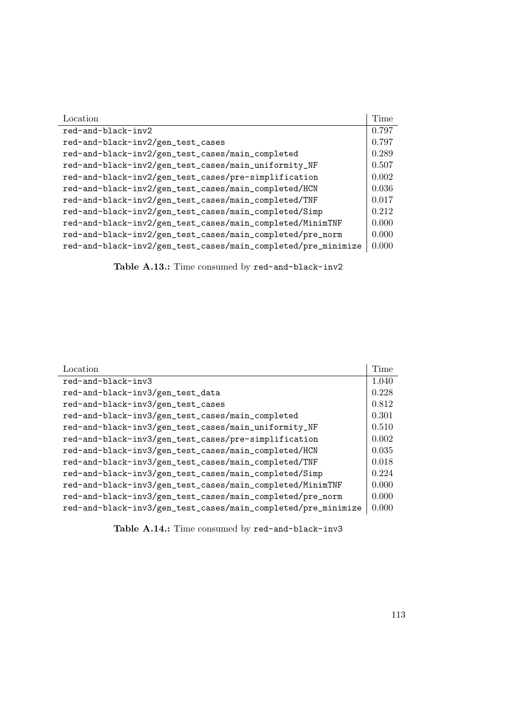| Location                                                      | Time  |
|---------------------------------------------------------------|-------|
| red-and-black-inv2                                            | 0.797 |
| red-and-black-inv2/gen_test_cases                             | 0.797 |
| red-and-black-inv2/gen_test_cases/main_completed              | 0.289 |
| red-and-black-inv2/gen_test_cases/main_uniformity_NF          | 0.507 |
| red-and-black-inv2/gen_test_cases/pre-simplification          | 0.002 |
| red-and-black-inv2/gen_test_cases/main_completed/HCN          | 0.036 |
| red-and-black-inv2/gen_test_cases/main_completed/TNF          | 0.017 |
| red-and-black-inv2/gen_test_cases/main_completed/Simp         | 0.212 |
| red-and-black-inv2/gen_test_cases/main_completed/MinimTNF     | 0.000 |
| red-and-black-inv2/gen_test_cases/main_completed/pre_norm     | 0.000 |
| red-and-black-inv2/gen_test_cases/main_completed/pre_minimize | 0.000 |

Table A.13.: Time consumed by red-and-black-inv2

| Location                                                      | Time  |
|---------------------------------------------------------------|-------|
| red-and-black-inv3                                            | 1.040 |
| red-and-black-inv3/gen_test_data                              | 0.228 |
| red-and-black-inv3/gen_test_cases                             | 0.812 |
| red-and-black-inv3/gen_test_cases/main_completed              | 0.301 |
| red-and-black-inv3/gen_test_cases/main_uniformity_NF          | 0.510 |
| red-and-black-inv3/gen_test_cases/pre-simplification          | 0.002 |
| red-and-black-inv3/gen_test_cases/main_completed/HCN          | 0.035 |
| red-and-black-inv3/gen_test_cases/main_completed/TNF          | 0.018 |
| red-and-black-inv3/gen_test_cases/main_completed/Simp         | 0.224 |
| red-and-black-inv3/gen_test_cases/main_completed/MinimTNF     | 0.000 |
| red-and-black-inv3/gen_test_cases/main_completed/pre_norm     | 0.000 |
| red-and-black-inv3/gen_test_cases/main_completed/pre_minimize | 0.000 |

Table A.14.: Time consumed by red-and-black-inv3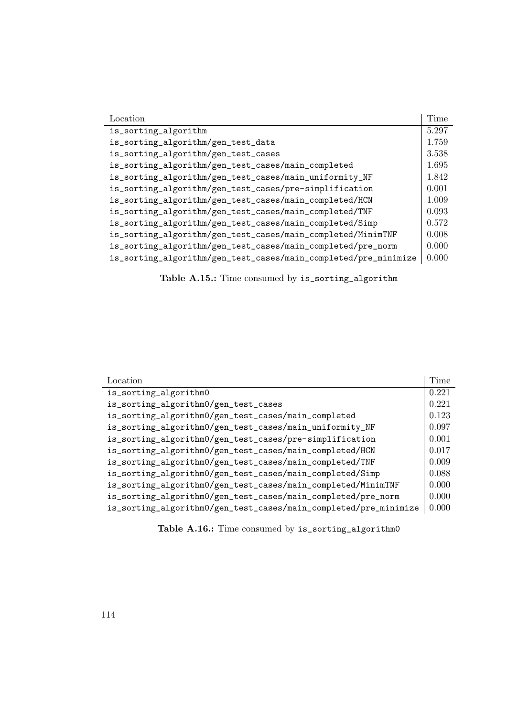| Location                                                        | Time  |
|-----------------------------------------------------------------|-------|
| is_sorting_algorithm                                            | 5.297 |
| is_sorting_algorithm/gen_test_data                              | 1.759 |
| is_sorting_algorithm/gen_test_cases                             | 3.538 |
| is_sorting_algorithm/gen_test_cases/main_completed              | 1.695 |
| is_sorting_algorithm/gen_test_cases/main_uniformity_NF          | 1.842 |
| is_sorting_algorithm/gen_test_cases/pre-simplification          | 0.001 |
| is_sorting_algorithm/gen_test_cases/main_completed/HCN          | 1.009 |
| is_sorting_algorithm/gen_test_cases/main_completed/TNF          | 0.093 |
| is_sorting_algorithm/gen_test_cases/main_completed/Simp         | 0.572 |
| is_sorting_algorithm/gen_test_cases/main_completed/MinimTNF     | 0.008 |
| is_sorting_algorithm/gen_test_cases/main_completed/pre_norm     | 0.000 |
| is_sorting_algorithm/gen_test_cases/main_completed/pre_minimize | 0.000 |

Table A.15.: Time consumed by is\_sorting\_algorithm

| Location                                                         | Time  |
|------------------------------------------------------------------|-------|
| is_sorting_algorithm0                                            | 0.221 |
| is_sorting_algorithm0/gen_test_cases                             | 0.221 |
| is_sorting_algorithm0/gen_test_cases/main_completed              | 0.123 |
| is_sorting_algorithm0/gen_test_cases/main_uniformity_NF          | 0.097 |
| is_sorting_algorithm0/gen_test_cases/pre-simplification          | 0.001 |
| is_sorting_algorithm0/gen_test_cases/main_completed/HCN          | 0.017 |
| is_sorting_algorithm0/gen_test_cases/main_completed/TNF          | 0.009 |
| is_sorting_algorithm0/gen_test_cases/main_completed/Simp         | 0.088 |
| is_sorting_algorithm0/gen_test_cases/main_completed/MinimTNF     | 0.000 |
| is_sorting_algorithm0/gen_test_cases/main_completed/pre_norm     | 0.000 |
| is_sorting_algorithm0/gen_test_cases/main_completed/pre_minimize | 0.000 |

Table A.16.: Time consumed by is\_sorting\_algorithm0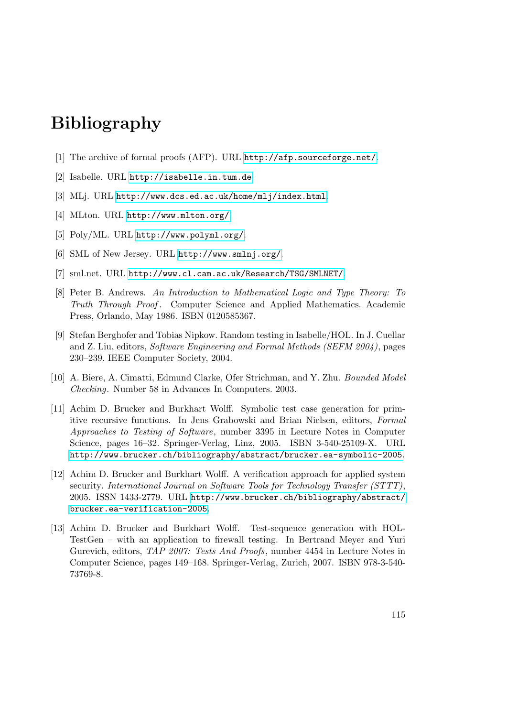## Bibliography

- [1] The archive of formal proofs (AFP). URL <http://afp.sourceforge.net/>.
- [2] Isabelle. URL <http://isabelle.in.tum.de>.
- [3] MLj. URL <http://www.dcs.ed.ac.uk/home/mlj/index.html>.
- [4] MLton. URL <http://www.mlton.org/>.
- [5] Poly/ML. URL <http://www.polyml.org/>.
- [6] SML of New Jersey. URL <http://www.smlnj.org/>.
- [7] sml.net. URL <http://www.cl.cam.ac.uk/Research/TSG/SMLNET/>.
- [8] Peter B. Andrews. An Introduction to Mathematical Logic and Type Theory: To Truth Through Proof. Computer Science and Applied Mathematics. Academic Press, Orlando, May 1986. ISBN 0120585367.
- [9] Stefan Berghofer and Tobias Nipkow. Random testing in Isabelle/HOL. In J. Cuellar and Z. Liu, editors, Software Engineering and Formal Methods (SEFM 2004), pages 230–239. IEEE Computer Society, 2004.
- [10] A. Biere, A. Cimatti, Edmund Clarke, Ofer Strichman, and Y. Zhu. Bounded Model Checking. Number 58 in Advances In Computers. 2003.
- [11] Achim D. Brucker and Burkhart Wolff. Symbolic test case generation for primitive recursive functions. In Jens Grabowski and Brian Nielsen, editors, Formal Approaches to Testing of Software, number 3395 in Lecture Notes in Computer Science, pages 16–32. Springer-Verlag, Linz, 2005. ISBN 3-540-25109-X. URL <http://www.brucker.ch/bibliography/abstract/brucker.ea-symbolic-2005>.
- [12] Achim D. Brucker and Burkhart Wolff. A verification approach for applied system security. International Journal on Software Tools for Technology Transfer (STTT), 2005. ISSN 1433-2779. URL [http://www.brucker.ch/bibliography/abstract/](http://www.brucker.ch/bibliography/abstract/brucker.ea-verification-2005) [brucker.ea-verification-2005](http://www.brucker.ch/bibliography/abstract/brucker.ea-verification-2005).
- [13] Achim D. Brucker and Burkhart Wolff. Test-sequence generation with HOL-TestGen – with an application to firewall testing. In Bertrand Meyer and Yuri Gurevich, editors, TAP 2007: Tests And Proofs, number 4454 in Lecture Notes in Computer Science, pages 149–168. Springer-Verlag, Zurich, 2007. ISBN 978-3-540- 73769-8.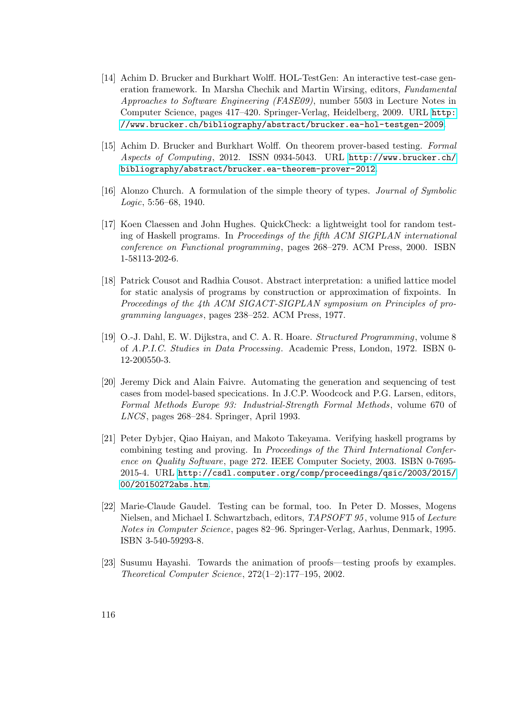- [14] Achim D. Brucker and Burkhart Wolff. HOL-TestGen: An interactive test-case generation framework. In Marsha Chechik and Martin Wirsing, editors, Fundamental Approaches to Software Engineering (FASE09), number 5503 in Lecture Notes in Computer Science, pages 417–420. Springer-Verlag, Heidelberg, 2009. URL [http:](http://www.brucker.ch/bibliography/abstract/brucker.ea-hol-testgen-2009) [//www.brucker.ch/bibliography/abstract/brucker.ea-hol-testgen-2009](http://www.brucker.ch/bibliography/abstract/brucker.ea-hol-testgen-2009).
- [15] Achim D. Brucker and Burkhart Wolff. On theorem prover-based testing. Formal Aspects of Computing, 2012. ISSN 0934-5043. URL [http://www.brucker.ch/](http://www.brucker.ch/bibliography/abstract/brucker.ea-theorem-prover-2012) [bibliography/abstract/brucker.ea-theorem-prover-2012](http://www.brucker.ch/bibliography/abstract/brucker.ea-theorem-prover-2012).
- [16] Alonzo Church. A formulation of the simple theory of types. Journal of Symbolic Logic, 5:56–68, 1940.
- [17] Koen Claessen and John Hughes. QuickCheck: a lightweight tool for random testing of Haskell programs. In Proceedings of the fifth ACM SIGPLAN international conference on Functional programming, pages 268–279. ACM Press, 2000. ISBN 1-58113-202-6.
- [18] Patrick Cousot and Radhia Cousot. Abstract interpretation: a unified lattice model for static analysis of programs by construction or approximation of fixpoints. In Proceedings of the 4th ACM SIGACT-SIGPLAN symposium on Principles of programming languages, pages 238–252. ACM Press, 1977.
- [19] O.-J. Dahl, E. W. Dijkstra, and C. A. R. Hoare. Structured Programming, volume 8 of A.P.I.C. Studies in Data Processing. Academic Press, London, 1972. ISBN 0- 12-200550-3.
- [20] Jeremy Dick and Alain Faivre. Automating the generation and sequencing of test cases from model-based specications. In J.C.P. Woodcock and P.G. Larsen, editors, Formal Methods Europe 93: Industrial-Strength Formal Methods , volume 670 of LNCS, pages 268–284. Springer, April 1993.
- [21] Peter Dybjer, Qiao Haiyan, and Makoto Takeyama. Verifying haskell programs by combining testing and proving. In Proceedings of the Third International Conference on Quality Software, page 272. IEEE Computer Society, 2003. ISBN 0-7695- 2015-4. URL [http://csdl.computer.org/comp/proceedings/qsic/2003/2015/](http://csdl.computer.org/comp/proceedings/qsic/2003/2015/00/20150272abs.htm) [00/20150272abs.htm](http://csdl.computer.org/comp/proceedings/qsic/2003/2015/00/20150272abs.htm).
- [22] Marie-Claude Gaudel. Testing can be formal, too. In Peter D. Mosses, Mogens Nielsen, and Michael I. Schwartzbach, editors, TAPSOFT 95 , volume 915 of Lecture Notes in Computer Science, pages 82–96. Springer-Verlag, Aarhus, Denmark, 1995. ISBN 3-540-59293-8.
- [23] Susumu Hayashi. Towards the animation of proofs—testing proofs by examples. Theoretical Computer Science, 272(1–2):177–195, 2002.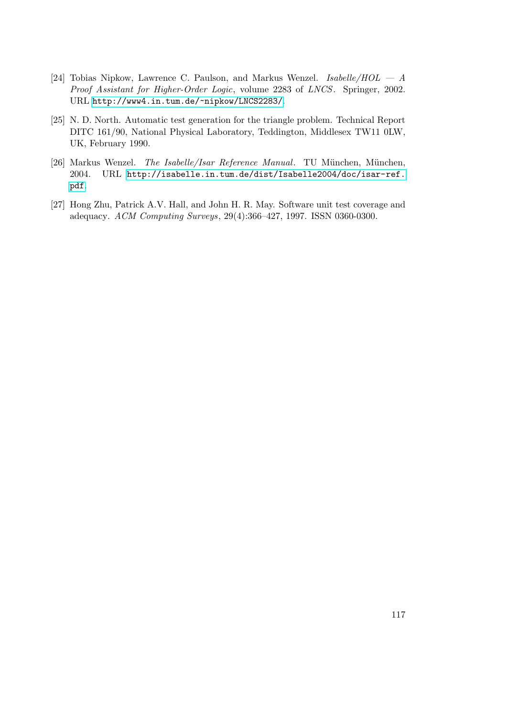- [24] Tobias Nipkow, Lawrence C. Paulson, and Markus Wenzel. Isabelle/ $HOL A$ Proof Assistant for Higher-Order Logic, volume 2283 of LNCS. Springer, 2002. URL <http://www4.in.tum.de/~nipkow/LNCS2283/>.
- [25] N. D. North. Automatic test generation for the triangle problem. Technical Report DITC 161/90, National Physical Laboratory, Teddington, Middlesex TW11 0LW, UK, February 1990.
- [26] Markus Wenzel. The Isabelle/Isar Reference Manual. TU München, München, 2004. URL [http://isabelle.in.tum.de/dist/Isabelle2004/doc/isar-ref.](http://isabelle.in.tum.de/dist/Isabelle2004/doc/isar-ref.pdf) [pdf](http://isabelle.in.tum.de/dist/Isabelle2004/doc/isar-ref.pdf).
- [27] Hong Zhu, Patrick A.V. Hall, and John H. R. May. Software unit test coverage and adequacy. ACM Computing Surveys, 29(4):366–427, 1997. ISSN 0360-0300.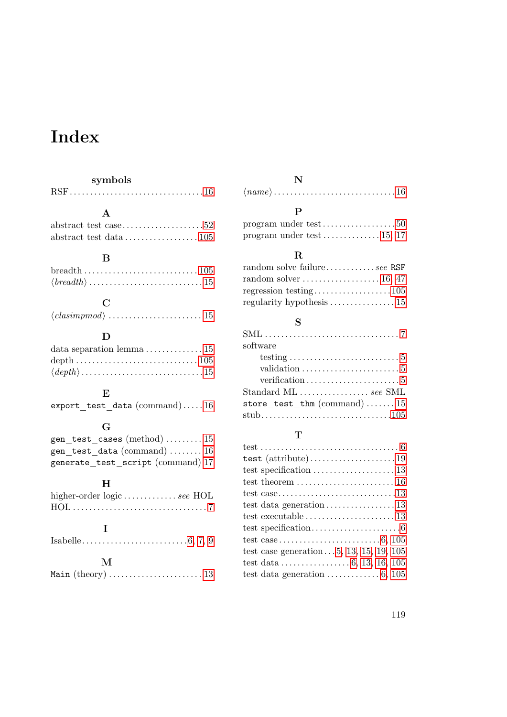# Index

### symbols

|--|--|--|

### A

|  | $abstruct \text{ test data} \dots \dots \dots \dots \dots \dots 105$ |  |
|--|----------------------------------------------------------------------|--|

### B

### D

| data separation lemma $\ldots \ldots \ldots \ldots 15$                            |  |
|-----------------------------------------------------------------------------------|--|
| $depth \ldots \ldots \ldots \ldots \ldots \ldots \ldots \ldots \ldots \ldots 105$ |  |
|                                                                                   |  |

### E

|  |  |  | $\mathtt{export\_test\_data}\ (\mathrm{command}) \ldots .16$ |  |  |  |  |  |  |
|--|--|--|--------------------------------------------------------------|--|--|--|--|--|--|
|--|--|--|--------------------------------------------------------------|--|--|--|--|--|--|

### G

| $gen\_test\_cases$ (method)  15   |  |
|-----------------------------------|--|
| gen_test_data (command)  16       |  |
| generate_test_script (command) 17 |  |

### H

| higher-order logic  see HOL |  |  |
|-----------------------------|--|--|
|                             |  |  |

#### I

| M |  |
|---|--|
|   |  |

### N

| $\langle name \rangle \dots \dots \dots \dots \dots \dots \dots \dots \dots 16$ |  |  |  |  |  |  |  |  |  |  |  |  |  |  |  |  |  |  |  |  |  |  |  |  |  |  |  |  |  |
|---------------------------------------------------------------------------------|--|--|--|--|--|--|--|--|--|--|--|--|--|--|--|--|--|--|--|--|--|--|--|--|--|--|--|--|--|
|---------------------------------------------------------------------------------|--|--|--|--|--|--|--|--|--|--|--|--|--|--|--|--|--|--|--|--|--|--|--|--|--|--|--|--|--|

#### P

|  | program under test $\ldots \ldots \ldots \ldots 15, 17$ |  |
|--|---------------------------------------------------------|--|

#### R

| random solve failuresee RSF                                   |  |
|---------------------------------------------------------------|--|
|                                                               |  |
|                                                               |  |
| regularity hypothesis $\ldots \ldots \ldots \ldots \ldots 15$ |  |

#### S

| software                                                        |  |
|-----------------------------------------------------------------|--|
|                                                                 |  |
| validation $\ldots \ldots \ldots \ldots \ldots \ldots \ldots 5$ |  |
|                                                                 |  |
| Standard ML  see SML                                            |  |
| store test thm (command)15                                      |  |
|                                                                 |  |

### T

| $test \ldots \ldots \ldots \ldots \ldots \ldots \ldots \ldots \ldots \ldots \ldots 6$ |
|---------------------------------------------------------------------------------------|
|                                                                                       |
| test specification $\ldots \ldots \ldots \ldots \ldots 13$                            |
|                                                                                       |
|                                                                                       |
| test data generation $\dots \dots \dots \dots \dots 13$                               |
|                                                                                       |
|                                                                                       |
|                                                                                       |
| test case generation5, 13, 15, 19, 105                                                |
|                                                                                       |
| test data generation $\ldots \ldots \ldots \ldots 6, 105$                             |
|                                                                                       |